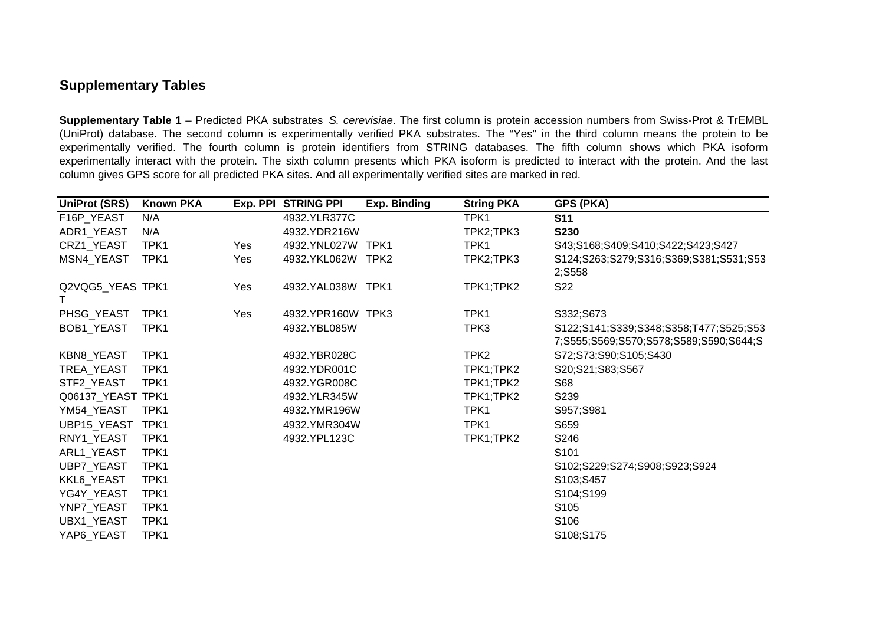## **Supplementary Tables**

**Supplementary Table 1** – Predicted PKA substrates *S. cerevisiae*. The first column is protein accession numbers from Swiss-Prot & TrEMBL (UniProt) database. The second column is experimentally verified PKA substrates. The "Yes" in the third column means the protein to be experimentally verified. The fourth column is protein identifiers from STRING databases. The fifth column shows which PKA isoform experimentally interact with the protein. The sixth column presents which PKA isoform is predicted to interact with the protein. And the last column gives GPS score for all predicted PKA sites. And all experimentally verified sites are marked in red.

| <b>UniProt (SRS)</b>  | <b>Known PKA</b> | Exp. PPI | <b>STRING PPI</b> | <b>Exp. Binding</b> | <b>String PKA</b> | GPS (PKA)                                                                        |
|-----------------------|------------------|----------|-------------------|---------------------|-------------------|----------------------------------------------------------------------------------|
| F16P_YEAST            | N/A              |          | 4932.YLR377C      |                     | TPK1              | <b>S11</b>                                                                       |
| ADR1_YEAST            | N/A              |          | 4932.YDR216W      |                     | TPK2;TPK3         | <b>S230</b>                                                                      |
| CRZ1_YEAST            | TPK1             | Yes      | 4932.YNL027W      | TPK1                | TPK1              | S43;S168;S409;S410;S422;S423;S427                                                |
| MSN4_YEAST            | TPK1             | Yes      | 4932.YKL062W TPK2 |                     | TPK2;TPK3         | S124;S263;S279;S316;S369;S381;S531;S53<br>2;S558                                 |
| Q2VQG5_YEAS TPK1<br>Т |                  | Yes      | 4932.YAL038W TPK1 |                     | TPK1;TPK2         | S22                                                                              |
| PHSG_YEAST            | TPK1             | Yes      | 4932.YPR160W TPK3 |                     | TPK1              | S332;S673                                                                        |
| <b>BOB1 YEAST</b>     | TPK1             |          | 4932.YBL085W      |                     | TPK3              | S122;S141;S339;S348;S358;T477;S525;S53<br>7;S555;S569;S570;S578;S589;S590;S644;S |
| <b>KBN8 YEAST</b>     | TPK1             |          | 4932.YBR028C      |                     | TPK <sub>2</sub>  | S72;S73;S90;S105;S430                                                            |
| TREA_YEAST            | TPK1             |          | 4932.YDR001C      |                     | TPK1;TPK2         | S20;S21;S83;S567                                                                 |
| STF2_YEAST            | TPK1             |          | 4932.YGR008C      |                     | TPK1;TPK2         | S68                                                                              |
| Q06137_YEAST TPK1     |                  |          | 4932.YLR345W      |                     | TPK1;TPK2         | S239                                                                             |
| YM54_YEAST            | TPK1             |          | 4932.YMR196W      |                     | TPK1              | S957;S981                                                                        |
| <b>UBP15 YEAST</b>    | TPK1             |          | 4932.YMR304W      |                     | TPK1              | S659                                                                             |
| RNY1_YEAST            | TPK1             |          | 4932.YPL123C      |                     | TPK1;TPK2         | S246                                                                             |
| ARL1_YEAST            | TPK1             |          |                   |                     |                   | S101                                                                             |
| UBP7_YEAST            | TPK1             |          |                   |                     |                   | S102;S229;S274;S908;S923;S924                                                    |
| KKL6_YEAST            | TPK1             |          |                   |                     |                   | S103;S457                                                                        |
| YG4Y_YEAST            | TPK1             |          |                   |                     |                   | S104;S199                                                                        |
| YNP7_YEAST            | TPK1             |          |                   |                     |                   | S <sub>105</sub>                                                                 |
| UBX1_YEAST            | TPK1             |          |                   |                     |                   | S106                                                                             |
| YAP6_YEAST            | TPK1             |          |                   |                     |                   | S108;S175                                                                        |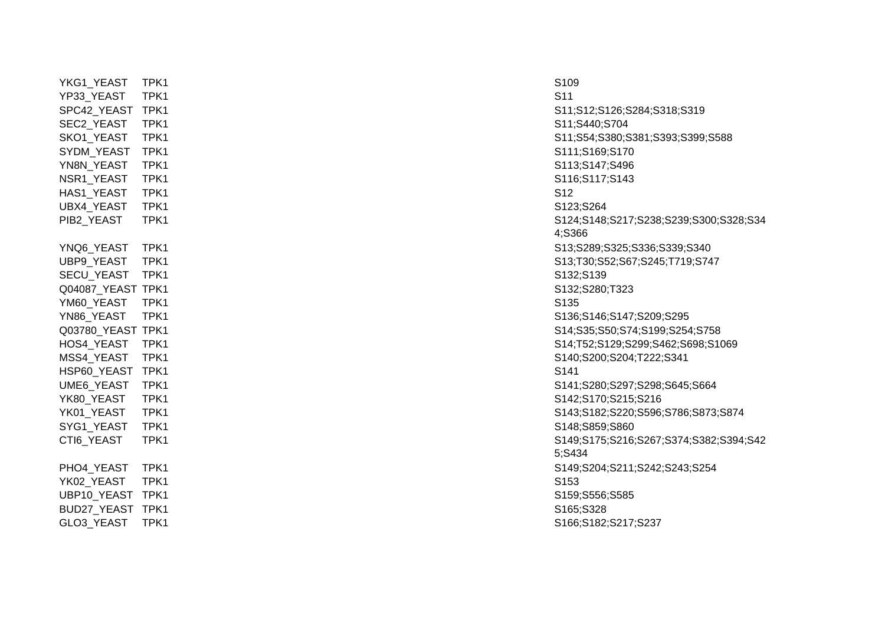| YKG1_YEAST                  | TPK1 | S <sub>109</sub> |
|-----------------------------|------|------------------|
| YP33_YEAST                  | TPK1 | S <sub>11</sub>  |
| SPC42_YEAST TPK1            |      | S11;S12;S        |
| SEC2_YEAST                  | TPK1 | S11;S440;        |
| SKO1_YEAST                  | TPK1 | S11;S54;S        |
| SYDM_YEAST                  | TPK1 | S111;S169        |
| YN8N_YEAST                  | TPK1 | S113;S147        |
| NSR1_YEAST                  | TPK1 | S116;S117        |
| HAS1_YEAST                  | TPK1 | S <sub>12</sub>  |
| UBX4_YEAST                  | TPK1 | S123;S264        |
| PIB2_YEAST                  | TPK1 | S124;S148        |
|                             |      | 4;S366           |
| YNQ6_YEAST                  | TPK1 | S13;S289;        |
| UBP9_YEAST                  | TPK1 | S13;T30;S        |
| SECU_YEAST                  | TPK1 | S132;S139        |
| Q04087_YEAST TPK1           |      | S132;S280        |
| YM60_YEAST                  | TPK1 | S135             |
| YN86_YEAST                  | TPK1 | S136;S146        |
| Q03780_YEAST TPK1           |      | S14;S35;S        |
| HOS4_YEAST                  | TPK1 | S14; T52; S      |
| MSS4 YEAST                  | TPK1 | S140;S200        |
| HSP60_YEAST TPK1            |      | S141             |
| UME6_YEAST                  | TPK1 | S141;S280        |
| YK80_YEAST                  | TPK1 | S142;S170        |
| YK01_YEAST                  | TPK1 | S143;S182        |
| SYG1_YEAST                  | TPK1 | S148;S859        |
| CTI6_YEAST                  | TPK1 | S149;S175        |
|                             |      | 5;S434           |
| PHO4_YEAST                  | TPK1 | S149;S204        |
| YK02_YEAST                  | TPK1 | S153             |
| UBP10_YEAST TPK1            |      | S159;S556        |
| BUD27_YEAST TPK1            |      | S165;S328        |
| $\sim$ $\sim$ $\sim$ $\sim$ |      | 0.10000100       |

S11;S12;S126;S284;S318;S319 S11;S440;S704 S11;S54;S380;S381;S393;S399;S588 S111;S169;S170 S113;S147;S496 S116;S117;S143 S124;S148;S217;S238;S239;S300;S328;S34 4;S366 S13;S289;S325;S336;S339;S340 S13;T30;S52;S67;S245;T719;S747 S132;S280;T323 S136:S146:S147:S209:S295 S14;S35;S50;S74;S199;S254;S758 S14;T52;S129;S299;S462;S698;S1069 S140;S200;S204;T222;S341 S141;S280;S297;S298;S645;S664 S142;S170;S215;S216 S143;S182;S220;S596;S786;S873;S874 S148;S859;S860 S149;S175;S216;S267;S374;S382;S394;S42 5;S434 S149;S204;S211;S242;S243;S254 S159;S556;S585 GLO3\_YEAST TPK1 S166;S182;S217;S237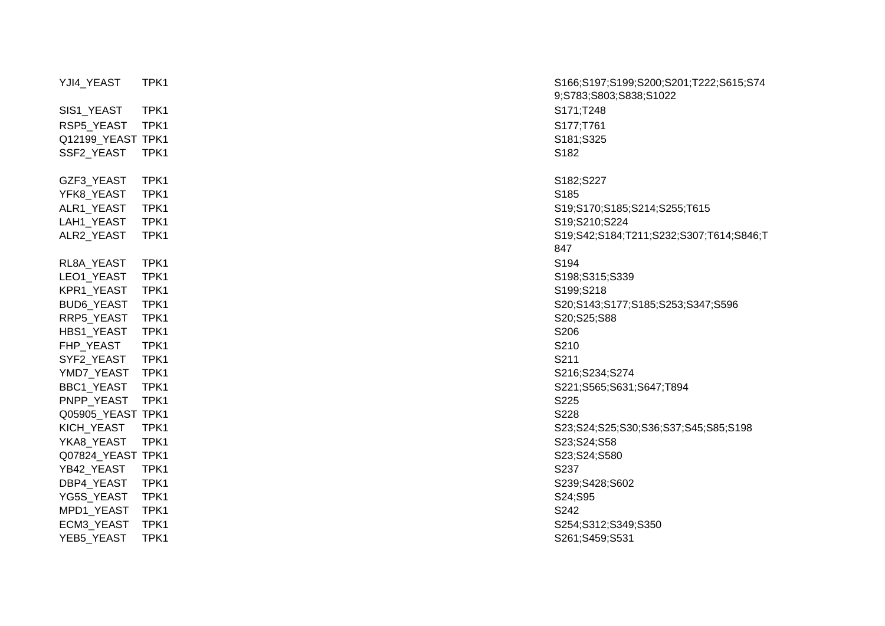| YJI4_YEAST        | TPK1 | S166;S197              |
|-------------------|------|------------------------|
| SIS1_YEAST        | TPK1 | 9;S783;S8<br>S171;T248 |
| RSP5_YEAST        | TPK1 | S177;T761              |
| Q12199_YEAST TPK1 |      | S181;S325              |
| SSF2_YEAST        | TPK1 | S182                   |
|                   |      |                        |
| GZF3_YEAST        | TPK1 | S182;S227              |
| YFK8_YEAST        | TPK1 | S185                   |
| ALR1_YEAST        | TPK1 | S19;S170;              |
| LAH1_YEAST        | TPK1 | S19;S210;              |
| ALR2_YEAST        | TPK1 | S19;S42;S<br>847       |
| RL8A_YEAST        | TPK1 | S194                   |
| LEO1_YEAST        | TPK1 | S198;S315              |
| KPR1_YEAST        | TPK1 | S199;S218              |
| <b>BUD6_YEAST</b> | TPK1 | S20;S143;              |
| RRP5_YEAST        | TPK1 | S20;S25;S              |
| HBS1_YEAST        | TPK1 | S206                   |
| FHP_YEAST         | TPK1 | S210                   |
| SYF2_YEAST        | TPK1 | S211                   |
| YMD7_YEAST        | TPK1 | S216;S234              |
| BBC1_YEAST        | TPK1 | S221;S565              |
| PNPP_YEAST        | TPK1 | S225                   |
| Q05905_YEAST TPK1 |      | S228                   |
| KICH_YEAST        | TPK1 | S23;S24;S              |
| YKA8_YEAST        | TPK1 | S23;S24;S              |
| Q07824_YEAST TPK1 |      | S23;S24;S              |
| YB42_YEAST        | TPK1 | S237                   |
| DBP4_YEAST        | TPK1 | S239;S428              |
| YG5S_YEAST        | TPK1 | S24;S95                |
| MPD1_YEAST        | TPK1 | S242                   |
| ECM3_YEAST        | TPK1 | S254;S312              |
| YEB5_YEAST        | TPK1 | S261;S459              |

YJI4\_YEAST TPK1 TPK1 S166;S197;S199;S200;S201;T222;S615;S74 9;S783;S803;S838;S1022 S19;S170;S185;S214;S255;T615 S19:S210:S224 ALR2\_YEAST TPK1 S19;S42;S184;T211;S232;S307;T614;S846;T 847S198;S315;S339 S20;S143;S177;S185;S253;S347;S596 S20;S25;S88 S216:S234:S274 S221;S565;S631;S647;T894 S23;S24;S25;S30;S36;S37;S45;S85;S198 S23;S24;S58 S23;S24;S580 S239;S428;S602 S254;S312;S349;S350 S261;S459;S531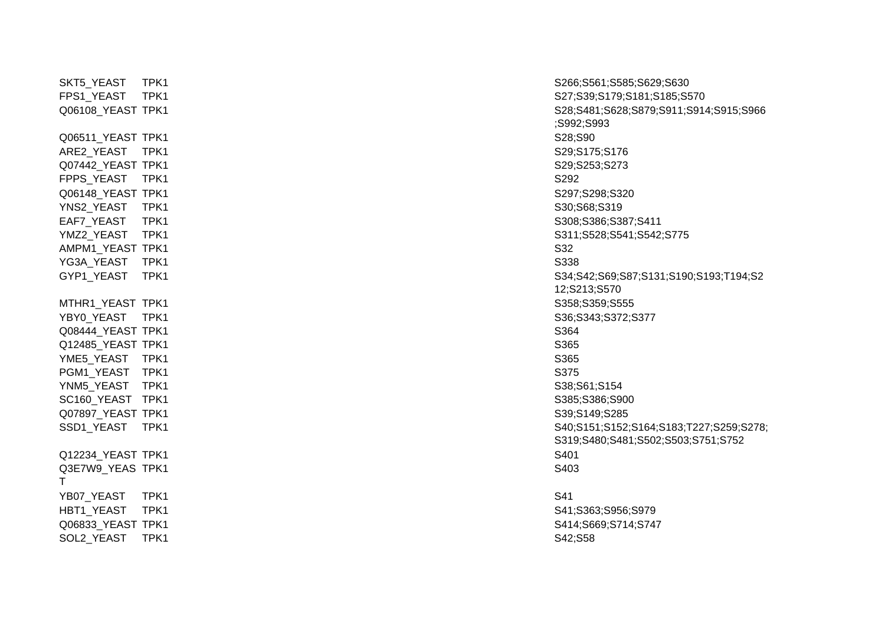$\overline{Q}06511\_YEAST \ \overline{IPK1} \ \overline{S28;S90}$ ARE2\_YEAST TPK1 S29;S175;S176 Q07442\_YEAST TPK1 S29;S253;S273 FPPS\_YEAST TPK1 S292 Q06148\_YEAST TPK1 S297;S298;S320 YNS2\_YEAST TPK1 S30;S68;S319 EAF7\_YEAST TPK1 S308;S386;S387;S411 AMPM1\_YEAST\_TPK1 S32 YG3A\_YEAST TPK1 S338 S338 MTHR1\_YEAST TPK1 S358;S359;S555 YBY0\_YEAST TPK1 S36:S343:S372:S377 Q08444\_YEAST TPK1 S364 Q12485\_YEAST TPK1 S365 THE STRING TO SAFETY TERM IN THE SAFETY STATE OF THE SAFETY STATE STATE STATE STATE STATE STATE STATE STATE STATE STATE STATE STATE STATE STATE STATE STATE STATE STATE STATE STATE STATE STATE STATE STATE STATE STATE STATE PGM1\_YEAST TPK1 S375 YNM5\_YEAST TPK1 S38;S61;S154 SC160\_YEAST TPK1 S385;S386;S900 Q07897\_YEAST TPK1 S39;S149;S285 Q12234 YEAST TPK1 S401 Q3E7W9\_YEAS TPK1TYB07\_YEAST TPK1 S41 HBT1\_YEAST TPK1 S41;S363;S956;S979 Q06833\_YEAST TPK1 S414;S669;S714;S747 SOL2\_YEAST TPK1 S42;S58

SKT5\_YEAST TPK1 S266;S561;S585;S629;S630 FPS1\_YEAST TPK1 S27;S39;S179;S181;S185;S570 Q06108\_YEAST TPK1 S28;S481;S628;S879;S911;S914;S915;S966 ;S992;S993 YMZ2\_YEAST TPK1 S311;S528;S541;S542;S775 GYP1\_YEAST TPK1 S34;S42;S69;S87;S131;S190;S193;T194;S2 12;S213;S570 SSD1\_YEAST TPK1 S40;S151;S152;S164;S183;T227;S259;S278; S319;S480;S481;S502;S503;S751;S752  $\sim$  1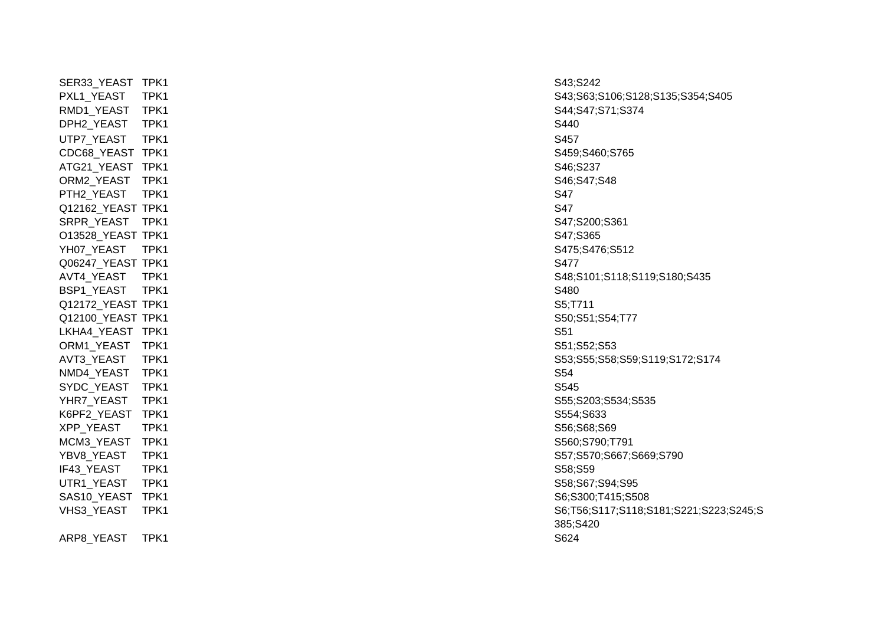SER33\_YEAST TPK1 S43;S242 RMD1\_YEAST TPK1 S44;S47;S71;S374 DPH2\_YEAST TPK1 S440 UTP7\_YEAST TPK1 S457 CDC68\_YEAST TPK1 S459;S460;S765 ATG21\_YEAST TPK1 S46;S237 ORM2\_YEAST TPK1 S46:S47;S48 PTH2\_YEAST TPK1 S47 Q12162\_YEAST TPK1 S47 SRPR\_YEAST \_\_TPK1 S47:S200;S361 O13528\_YEAST\_TPK1 S47;S365 YH07\_YEAST TPK1 S475;S476;S512 Q06247\_YEAST TPK1 S477 BSP1\_YEAST TPK1 S480 Q12172\_YEAST\_TPK1 S5;T711 S5;T711 Q12100\_YEAST TPK1 S50;S51;S54;T77 LKHA4\_YEAST TPK1 S51 ORM1\_YEAST TPK1 S51;S52;S53 NMD4\_YEAST TPK1 S54 SYDC\_YEAST TPK1 S545 YHR7\_YEAST TPK1 S55;S203;S534;S535 K6PF2\_YEAST TPK1 S554;S633 XPP\_YEAST TPK1 S56;S68;S69 MCM3\_YEAST TPK1 S560;S790;T791 IF43\_YEAST TPK1 S58:S59 UTR1\_YEAST TPK1 S58:S67;S94:S95 SAS10\_YEAST TPK1 S6;S300;T415;S508

ARP8\_YEAST TPK1 S624

PXL1\_YEAST TPK1 TRX1 S43;S63;S106;S128;S135;S354;S405 AVT4\_YEAST TPK1 S48;S101;S118;S119;S180;S435 AVT3\_YEAST TPK1 S53;S55;S58;S59;S119;S172;S174 YBV8\_YEAST TPK1 S57;S570;S667;S669;S790 VHS3\_YEAST TPK1 S6;T56;S117;S118;S181;S221;S223;S245;S 385;S420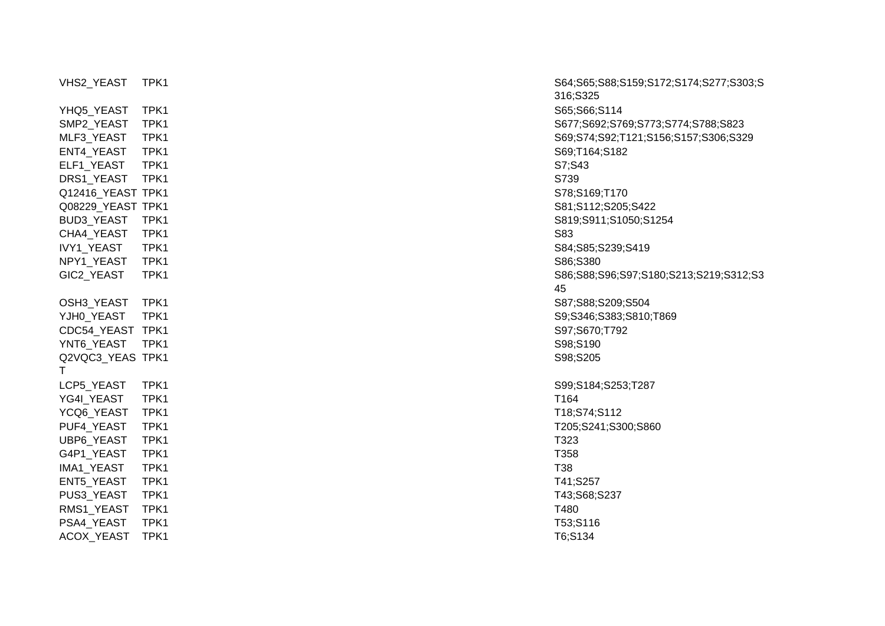|                       |      | 316;S325   |
|-----------------------|------|------------|
| YHQ5_YEAST            | TPK1 | S65;S66;   |
| SMP2_YEAST            | TPK1 | S677;S69   |
| MLF3_YEAST            | TPK1 | S69;S74;   |
| ENT4_YEAST            | TPK1 | S69;T164   |
| ELF1_YEAST            | TPK1 | S7;S43     |
| DRS1_YEAST            | TPK1 | S739       |
| Q12416_YEAST TPK1     |      | S78;S169   |
| Q08229_YEAST TPK1     |      | S81;S112   |
| BUD3_YEAST            | TPK1 | S819;S91   |
| CHA4_YEAST            | TPK1 | S83        |
| IVY1_YEAST            | TPK1 | S84;S85;   |
| NPY1_YEAST            | TPK1 | S86;S380   |
| GIC2 YEAST            | TPK1 | S86;S88;   |
|                       |      | 45         |
| OSH3_YEAST            | TPK1 | S87;S88;   |
| YJH0_YEAST            | TPK1 | S9;S346;   |
| CDC54_YEAST TPK1      |      | S97;S670   |
| YNT6_YEAST            | TPK1 | S98;S190   |
| Q2VQC3 YEAS TPK1<br>Τ |      | S98;S205   |
| LCP5_YEAST            | TPK1 | S99;S184   |
| YG4I_YEAST            | TPK1 | T164       |
| YCQ6_YEAST            | TPK1 | T18;S74;   |
| PUF4_YEAST            | TPK1 | T205;S24   |
| UBP6_YEAST            | TPK1 | T323       |
| G4P1_YEAST            | TPK1 | T358       |
| IMA1_YEAST            | TPK1 | <b>T38</b> |
| ENT5_YEAST            | TPK1 | T41;S257   |
| PUS3_YEAST            | TPK1 | T43;S68;   |
| RMS1_YEAST            | TPK1 | T480       |
| PSA4_YEAST            | TPK1 | T53;S116   |
| ACOX_YEAST            | TPK1 | T6;S134    |

VHS2\_YEAST TPK1 S64;S65;S88;S159;S172;S174;S277;S303;S 316;S325 S65;S66;S114 S677;S692;S769;S773;S774;S788;S823 S69;S74;S92;T121;S156;S157;S306;S329 S69;T164;S182 S78:S169:T170 S81;S112;S205;S422 S819;S911;S1050;S1254 S84;S85;S239;S419 S86;S88;S96;S97;S180;S213;S219;S312;S3 45S87;S88;S209;S504 S9;S346;S383;S810;T869 S97;S670;T792 S98;S205 S99;S184;S253;T287 T18;S74;S112 T205;S241;S300;S860 T43;S68;S237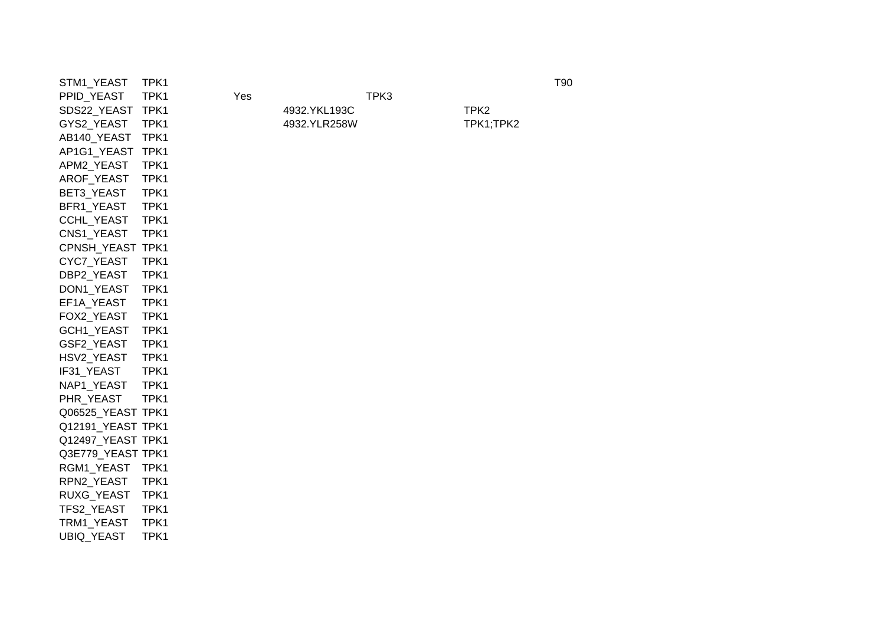| STM1_YEAST        | TPK1 |     |              |      |                  | T90 |
|-------------------|------|-----|--------------|------|------------------|-----|
| PPID_YEAST        | TPK1 | Yes |              | TPK3 |                  |     |
| SDS22_YEAST       | TPK1 |     | 4932.YKL193C |      | TPK <sub>2</sub> |     |
| GYS2_YEAST        | TPK1 |     | 4932.YLR258W |      | TPK1;TPK2        |     |
| AB140_YEAST       | TPK1 |     |              |      |                  |     |
| AP1G1_YEAST TPK1  |      |     |              |      |                  |     |
| APM2_YEAST        | TPK1 |     |              |      |                  |     |
| AROF_YEAST        | TPK1 |     |              |      |                  |     |
| BET3_YEAST        | TPK1 |     |              |      |                  |     |
| BFR1_YEAST        | TPK1 |     |              |      |                  |     |
| CCHL_YEAST        | TPK1 |     |              |      |                  |     |
| CNS1_YEAST        | TPK1 |     |              |      |                  |     |
| CPNSH_YEAST TPK1  |      |     |              |      |                  |     |
| CYC7_YEAST        | TPK1 |     |              |      |                  |     |
| DBP2_YEAST        | TPK1 |     |              |      |                  |     |
| DON1_YEAST        | TPK1 |     |              |      |                  |     |
| EF1A_YEAST        | TPK1 |     |              |      |                  |     |
| FOX2_YEAST        | TPK1 |     |              |      |                  |     |
| GCH1_YEAST        | TPK1 |     |              |      |                  |     |
| GSF2_YEAST        | TPK1 |     |              |      |                  |     |
| HSV2_YEAST        | TPK1 |     |              |      |                  |     |
| IF31_YEAST        | TPK1 |     |              |      |                  |     |
| NAP1_YEAST        | TPK1 |     |              |      |                  |     |
| PHR_YEAST         | TPK1 |     |              |      |                  |     |
| Q06525_YEAST TPK1 |      |     |              |      |                  |     |
| Q12191_YEAST TPK1 |      |     |              |      |                  |     |
| Q12497_YEAST TPK1 |      |     |              |      |                  |     |
| Q3E779_YEAST TPK1 |      |     |              |      |                  |     |
| RGM1_YEAST        | TPK1 |     |              |      |                  |     |
| RPN2_YEAST        | TPK1 |     |              |      |                  |     |
| RUXG_YEAST        | TPK1 |     |              |      |                  |     |
| TFS2_YEAST        | TPK1 |     |              |      |                  |     |
| TRM1_YEAST        | TPK1 |     |              |      |                  |     |
| UBIQ_YEAST        | TPK1 |     |              |      |                  |     |
|                   |      |     |              |      |                  |     |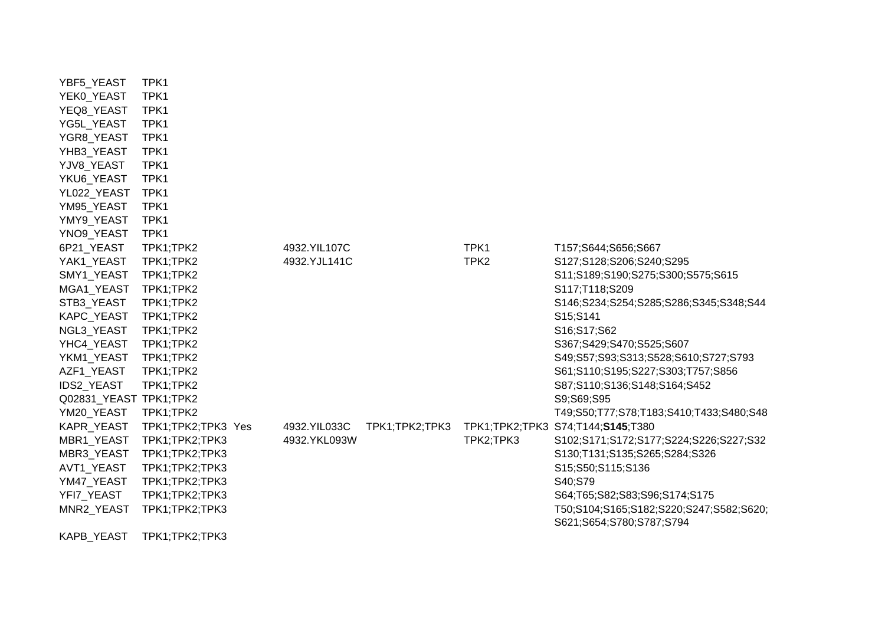| YBF5_YEAST             | TPK1               |              |                |                  |                                                                     |
|------------------------|--------------------|--------------|----------------|------------------|---------------------------------------------------------------------|
| YEK0_YEAST             | TPK1               |              |                |                  |                                                                     |
| YEQ8_YEAST             | TPK1               |              |                |                  |                                                                     |
| YG5L_YEAST             | TPK1               |              |                |                  |                                                                     |
| YGR8_YEAST             | TPK1               |              |                |                  |                                                                     |
| YHB3_YEAST             | TPK1               |              |                |                  |                                                                     |
| YJV8_YEAST             | TPK1               |              |                |                  |                                                                     |
| YKU6_YEAST             | TPK1               |              |                |                  |                                                                     |
| YL022_YEAST            | TPK1               |              |                |                  |                                                                     |
| YM95_YEAST             | TPK1               |              |                |                  |                                                                     |
| YMY9_YEAST             | TPK1               |              |                |                  |                                                                     |
| YNO9_YEAST             | TPK1               |              |                |                  |                                                                     |
| 6P21_YEAST             | TPK1;TPK2          | 4932.YIL107C |                | TPK1             | T157;S644;S656;S667                                                 |
| YAK1_YEAST             | TPK1;TPK2          | 4932.YJL141C |                | TPK <sub>2</sub> | S127;S128;S206;S240;S295                                            |
| SMY1_YEAST             | TPK1;TPK2          |              |                |                  | S11;S189;S190;S275;S300;S575;S615                                   |
| MGA1_YEAST             | TPK1;TPK2          |              |                |                  | S117;T118;S209                                                      |
| STB3_YEAST             | TPK1;TPK2          |              |                |                  | S146;S234;S254;S285;S286;S345;S348;S44                              |
| KAPC_YEAST             | TPK1;TPK2          |              |                |                  | S15;S141                                                            |
| NGL3_YEAST             | TPK1;TPK2          |              |                |                  | S16;S17;S62                                                         |
| YHC4_YEAST             | TPK1;TPK2          |              |                |                  | S367;S429;S470;S525;S607                                            |
| YKM1 YEAST             | TPK1;TPK2          |              |                |                  | S49;S57;S93;S313;S528;S610;S727;S793                                |
| AZF1_YEAST             | TPK1;TPK2          |              |                |                  | S61;S110;S195;S227;S303;T757;S856                                   |
| <b>IDS2 YEAST</b>      | TPK1;TPK2          |              |                |                  | S87;S110;S136;S148;S164;S452                                        |
| Q02831_YEAST TPK1;TPK2 |                    |              |                |                  | S9;S69;S95                                                          |
| YM20_YEAST             | TPK1;TPK2          |              |                |                  | T49;S50;T77;S78;T183;S410;T433;S480;S48                             |
| KAPR_YEAST             | TPK1;TPK2;TPK3 Yes | 4932.YIL033C | TPK1;TPK2;TPK3 | TPK1;TPK2;TPK3   | S74;T144;S145;T380                                                  |
| MBR1_YEAST             | TPK1;TPK2;TPK3     | 4932.YKL093W |                | TPK2;TPK3        | S102;S171;S172;S177;S224;S226;S227;S32                              |
| MBR3_YEAST             | TPK1;TPK2;TPK3     |              |                |                  | S130;T131;S135;S265;S284;S326                                       |
| AVT1_YEAST             | TPK1;TPK2;TPK3     |              |                |                  | S15;S50;S115;S136                                                   |
| YM47_YEAST             | TPK1;TPK2;TPK3     |              |                |                  | S40;S79                                                             |
| YFI7_YEAST             | TPK1;TPK2;TPK3     |              |                |                  | S64;T65;S82;S83;S96;S174;S175                                       |
| MNR2_YEAST             | TPK1;TPK2;TPK3     |              |                |                  | T50;S104;S165;S182;S220;S247;S582;S620;<br>S621;S654;S780;S787;S794 |
| KAPB_YEAST             | TPK1;TPK2;TPK3     |              |                |                  |                                                                     |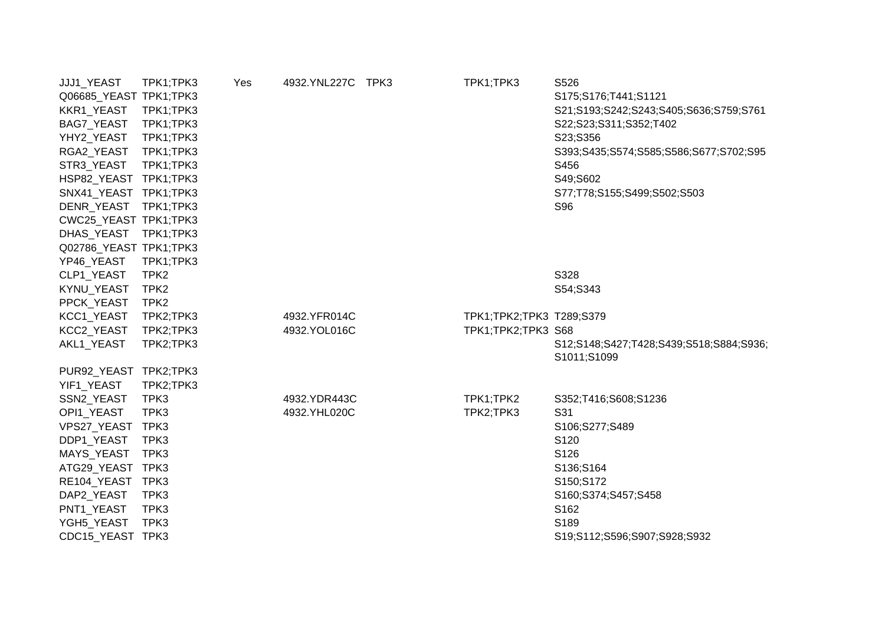| JJJ1_YEAST             | TPK1;TPK3        | Yes | 4932.YNL227C | TPK3 | TPK1;TPK3                | S526                                    |
|------------------------|------------------|-----|--------------|------|--------------------------|-----------------------------------------|
| Q06685_YEAST TPK1;TPK3 |                  |     |              |      |                          | S175;S176;T441;S1121                    |
| KKR1_YEAST             | TPK1;TPK3        |     |              |      |                          | S21;S193;S242;S243;S405;S636;S759;S761  |
| BAG7_YEAST             | TPK1;TPK3        |     |              |      |                          | S22;S23;S311;S352;T402                  |
| YHY2_YEAST             | TPK1;TPK3        |     |              |      |                          | S23;S356                                |
| RGA2_YEAST             | TPK1;TPK3        |     |              |      |                          | S393;S435;S574;S585;S586;S677;S702;S95  |
| STR3_YEAST             | TPK1;TPK3        |     |              |      |                          | S456                                    |
| HSP82_YEAST TPK1;TPK3  |                  |     |              |      |                          | S49;S602                                |
| SNX41_YEAST TPK1;TPK3  |                  |     |              |      |                          | S77;T78;S155;S499;S502;S503             |
| DENR_YEAST             | TPK1;TPK3        |     |              |      |                          | S96                                     |
| CWC25_YEAST TPK1;TPK3  |                  |     |              |      |                          |                                         |
| DHAS_YEAST             | TPK1;TPK3        |     |              |      |                          |                                         |
| Q02786_YEAST TPK1;TPK3 |                  |     |              |      |                          |                                         |
| YP46_YEAST             | TPK1;TPK3        |     |              |      |                          |                                         |
| CLP1_YEAST             | TPK <sub>2</sub> |     |              |      |                          | S328                                    |
| KYNU_YEAST             | TPK <sub>2</sub> |     |              |      |                          | S54;S343                                |
| PPCK_YEAST             | TPK <sub>2</sub> |     |              |      |                          |                                         |
| KCC1_YEAST             | TPK2;TPK3        |     | 4932.YFR014C |      | TPK1;TPK2;TPK3 T289;S379 |                                         |
| KCC2_YEAST             | TPK2;TPK3        |     | 4932.YOL016C |      | TPK1;TPK2;TPK3 S68       |                                         |
| AKL1_YEAST             | TPK2;TPK3        |     |              |      |                          | S12;S148;S427;T428;S439;S518;S884;S936; |
|                        |                  |     |              |      |                          | S1011;S1099                             |
| PUR92_YEAST TPK2;TPK3  |                  |     |              |      |                          |                                         |
| YIF1 YEAST             | TPK2;TPK3        |     |              |      |                          |                                         |
| SSN2_YEAST             | TPK3             |     | 4932.YDR443C |      | TPK1;TPK2                | S352;T416;S608;S1236                    |
| OPI1_YEAST             | TPK3             |     | 4932.YHL020C |      | TPK2;TPK3                | S31                                     |
| VPS27_YEAST TPK3       |                  |     |              |      |                          | S106;S277;S489                          |
| DDP1_YEAST             | TPK3             |     |              |      |                          | S120                                    |
| MAYS_YEAST             | TPK3             |     |              |      |                          | S126                                    |
| ATG29_YEAST            | TPK3             |     |              |      |                          | S136;S164                               |
| RE104_YEAST TPK3       |                  |     |              |      |                          | S150;S172                               |
| DAP2_YEAST             | TPK3             |     |              |      |                          | S160;S374;S457;S458                     |
| PNT1_YEAST             | TPK3             |     |              |      |                          | S162                                    |
| YGH5_YEAST             | TPK3             |     |              |      |                          | S189                                    |
| CDC15_YEAST TPK3       |                  |     |              |      |                          | S19;S112;S596;S907;S928;S932            |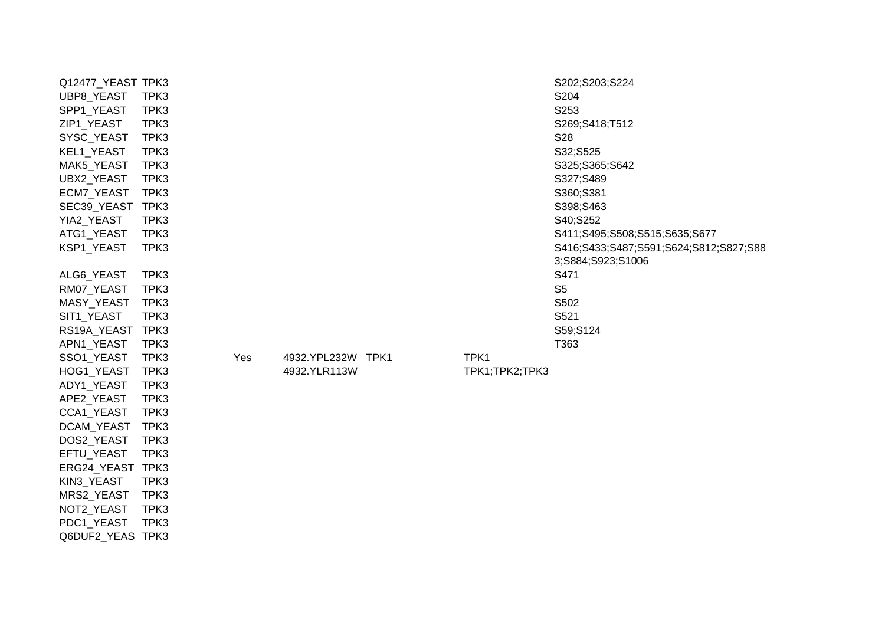| Q12477_YEAST TPK3 |      |     |                   |                | S202;S203;S224                         |
|-------------------|------|-----|-------------------|----------------|----------------------------------------|
|                   | TPK3 |     |                   |                | S204                                   |
| UBP8_YEAST        | TPK3 |     |                   |                | S253                                   |
| SPP1_YEAST        |      |     |                   |                |                                        |
| ZIP1_YEAST        | TPK3 |     |                   |                | S269;S418;T512                         |
| SYSC_YEAST        | TPK3 |     |                   |                | S28                                    |
| KEL1_YEAST        | TPK3 |     |                   |                | S32;S525                               |
| MAK5_YEAST        | TPK3 |     |                   |                | S325;S365;S642                         |
| UBX2_YEAST        | TPK3 |     |                   |                | S327;S489                              |
| ECM7_YEAST        | TPK3 |     |                   |                | S360;S381                              |
| SEC39_YEAST TPK3  |      |     |                   |                | S398;S463                              |
| YIA2_YEAST        | TPK3 |     |                   |                | S40;S252                               |
| ATG1_YEAST        | TPK3 |     |                   |                | S411;S495;S508;S515;S635;S677          |
| KSP1_YEAST        | TPK3 |     |                   |                | S416;S433;S487;S591;S624;S812;S827;S88 |
|                   |      |     |                   |                | 3;S884;S923;S1006                      |
| ALG6_YEAST        | TPK3 |     |                   |                | S471                                   |
| RM07_YEAST        | TPK3 |     |                   |                | S <sub>5</sub>                         |
| MASY_YEAST        | TPK3 |     |                   |                | S502                                   |
| SIT1_YEAST        | TPK3 |     |                   |                | S521                                   |
| RS19A_YEAST TPK3  |      |     |                   |                | S59;S124                               |
| APN1_YEAST        | TPK3 |     |                   |                | T363                                   |
| SSO1_YEAST        | TPK3 | Yes | 4932.YPL232W TPK1 | TPK1           |                                        |
| HOG1_YEAST        | TPK3 |     | 4932.YLR113W      | TPK1;TPK2;TPK3 |                                        |
| ADY1_YEAST        | TPK3 |     |                   |                |                                        |
| APE2_YEAST        | TPK3 |     |                   |                |                                        |
| CCA1_YEAST        | TPK3 |     |                   |                |                                        |
| DCAM_YEAST        | TPK3 |     |                   |                |                                        |
| DOS2_YEAST        | TPK3 |     |                   |                |                                        |
| EFTU_YEAST        | TPK3 |     |                   |                |                                        |
| ERG24_YEAST TPK3  |      |     |                   |                |                                        |
| KIN3_YEAST        | TPK3 |     |                   |                |                                        |
| MRS2_YEAST        | TPK3 |     |                   |                |                                        |
| NOT2_YEAST        | TPK3 |     |                   |                |                                        |
| PDC1_YEAST        | TPK3 |     |                   |                |                                        |

Q6DUF2\_YEAS TPK3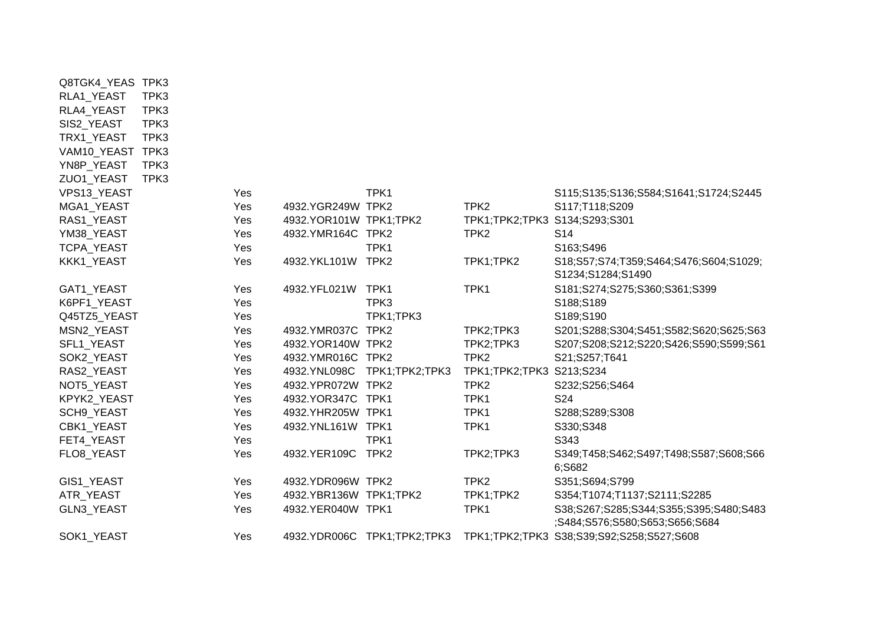| Q8TGK4_YEAS TPK3 |      |     |                          |                             |                               |                                                  |
|------------------|------|-----|--------------------------|-----------------------------|-------------------------------|--------------------------------------------------|
| RLA1_YEAST       | TPK3 |     |                          |                             |                               |                                                  |
| RLA4_YEAST       | TPK3 |     |                          |                             |                               |                                                  |
| SIS2_YEAST       | TPK3 |     |                          |                             |                               |                                                  |
| TRX1_YEAST       | TPK3 |     |                          |                             |                               |                                                  |
| VAM10_YEAST TPK3 |      |     |                          |                             |                               |                                                  |
| YN8P_YEAST       | TPK3 |     |                          |                             |                               |                                                  |
| ZUO1_YEAST       | TPK3 |     |                          |                             |                               |                                                  |
| VPS13_YEAST      |      | Yes |                          | TPK1                        |                               | S115;S135;S136;S584;S1641;S1724;S2445            |
| MGA1_YEAST       |      | Yes | 4932.YGR249W TPK2        |                             | TPK <sub>2</sub>              | S117;T118;S209                                   |
| RAS1_YEAST       |      | Yes | 4932. YOR101W TPK1; TPK2 |                             | TPK1;TPK2;TPK3 S134;S293;S301 |                                                  |
| YM38_YEAST       |      | Yes | 4932.YMR164C TPK2        |                             | TPK <sub>2</sub>              | S <sub>14</sub>                                  |
| TCPA_YEAST       |      | Yes |                          | TPK1                        |                               | S163;S496                                        |
| KKK1_YEAST       |      | Yes | 4932.YKL101W TPK2        |                             | TPK1;TPK2                     | S18;S57;S74;T359;S464;S476;S604;S1029;           |
|                  |      |     |                          |                             |                               | S1234;S1284;S1490                                |
| GAT1_YEAST       |      | Yes | 4932.YFL021W TPK1        |                             | TPK1                          | S181;S274;S275;S360;S361;S399                    |
| K6PF1_YEAST      |      | Yes |                          | TPK3                        |                               | S188;S189                                        |
| Q45TZ5_YEAST     |      | Yes |                          | TPK1;TPK3                   |                               | S189;S190                                        |
| MSN2_YEAST       |      | Yes | 4932.YMR037C             | TPK <sub>2</sub>            | TPK2;TPK3                     | S201;S288;S304;S451;S582;S620;S625;S63           |
| SFL1_YEAST       |      | Yes | 4932.YOR140W TPK2        |                             | TPK2;TPK3                     | S207;S208;S212;S220;S426;S590;S599;S61           |
| SOK2_YEAST       |      | Yes | 4932.YMR016C TPK2        |                             | TPK <sub>2</sub>              | S21;S257;T641                                    |
| RAS2_YEAST       |      | Yes | 4932.YNL098C             | TPK1;TPK2;TPK3              | TPK1;TPK2;TPK3 S213;S234      |                                                  |
| NOT5_YEAST       |      | Yes | 4932.YPR072W TPK2        |                             | TPK <sub>2</sub>              | S232;S256;S464                                   |
| KPYK2_YEAST      |      | Yes | 4932.YOR347C TPK1        |                             | TPK1                          | S24                                              |
| SCH9_YEAST       |      | Yes | 4932.YHR205W TPK1        |                             | TPK1                          | S288;S289;S308                                   |
| CBK1_YEAST       |      | Yes | 4932.YNL161W TPK1        |                             | TPK1                          | S330;S348                                        |
| FET4_YEAST       |      | Yes |                          | TPK1                        |                               | S343                                             |
| FLO8_YEAST       |      | Yes | 4932.YER109C             | TPK <sub>2</sub>            | TPK2;TPK3                     | S349;T458;S462;S497;T498;S587;S608;S66<br>6;S682 |
| GIS1_YEAST       |      | Yes | 4932.YDR096W TPK2        |                             | TPK <sub>2</sub>              | S351;S694;S799                                   |
| ATR_YEAST        |      | Yes | 4932.YBR136W TPK1;TPK2   |                             | TPK1;TPK2                     | S354;T1074;T1137;S2111;S2285                     |
| GLN3_YEAST       |      | Yes | 4932.YER040W TPK1        |                             | TPK1                          | S38;S267;S285;S344;S355;S395;S480;S483           |
|                  |      |     |                          |                             |                               | ;S484;S576;S580;S653;S656;S684                   |
| SOK1_YEAST       |      | Yes |                          | 4932.YDR006C TPK1;TPK2;TPK3 |                               | TPK1;TPK2;TPK3 S38;S39;S92;S258;S527;S608        |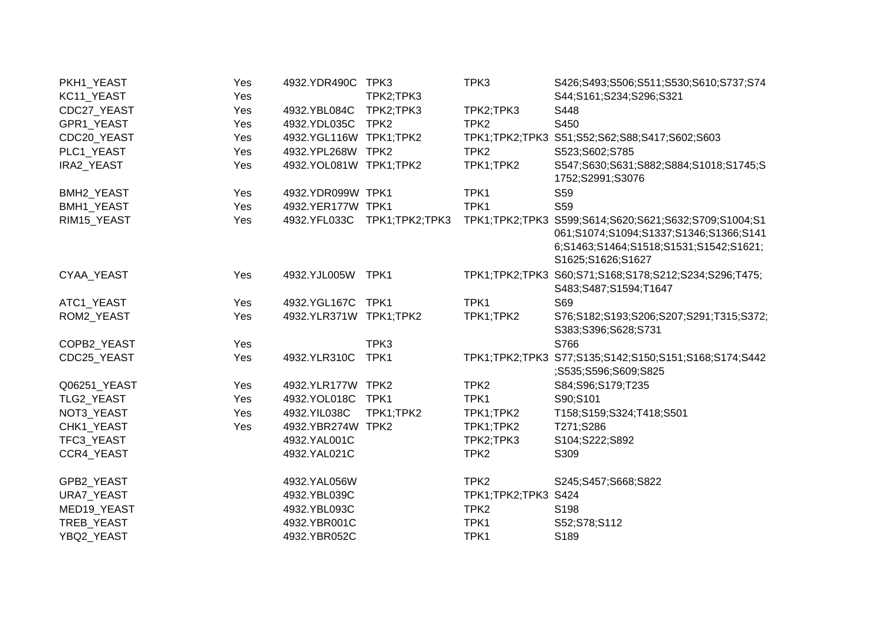| PKH1_YEAST        | Yes | 4932.YDR490C           | TPK3                        | TPK3             | S426;S493;S506;S511;S530;S610;S737;S74                                                                                                                         |
|-------------------|-----|------------------------|-----------------------------|------------------|----------------------------------------------------------------------------------------------------------------------------------------------------------------|
| KC11_YEAST        | Yes |                        | TPK2;TPK3                   |                  | S44;S161;S234;S296;S321                                                                                                                                        |
| CDC27_YEAST       | Yes | 4932.YBL084C           | TPK2;TPK3                   | TPK2;TPK3        | S448                                                                                                                                                           |
| GPR1_YEAST        | Yes | 4932.YDL035C           | TPK <sub>2</sub>            | TPK <sub>2</sub> | S450                                                                                                                                                           |
| CDC20_YEAST       | Yes | 4932.YGL116W TPK1;TPK2 |                             |                  | TPK1;TPK2;TPK3 S51;S52;S62;S88;S417;S602;S603                                                                                                                  |
| PLC1_YEAST        | Yes | 4932.YPL268W           | TPK <sub>2</sub>            | TPK <sub>2</sub> | S523;S602;S785                                                                                                                                                 |
| <b>IRA2 YEAST</b> | Yes | 4932.YOL081W TPK1;TPK2 |                             | TPK1;TPK2        | S547;S630;S631;S882;S884;S1018;S1745;S<br>1752;S2991;S3076                                                                                                     |
| BMH2_YEAST        | Yes | 4932.YDR099W TPK1      |                             | TPK1             | S59                                                                                                                                                            |
| BMH1_YEAST        | Yes | 4932.YER177W TPK1      |                             | TPK1             | S59                                                                                                                                                            |
| RIM15_YEAST       | Yes |                        | 4932.YFL033C TPK1;TPK2;TPK3 |                  | TPK1;TPK2;TPK3 S599;S614;S620;S621;S632;S709;S1004;S1<br>061;S1074;S1094;S1337;S1346;S1366;S141<br>6;S1463;S1464;S1518;S1531;S1542;S1621;<br>S1625;S1626;S1627 |
| CYAA YEAST        | Yes | 4932.YJL005W           | TPK1                        |                  | TPK1;TPK2;TPK3 S60;S71;S168;S178;S212;S234;S296;T475;<br>S483;S487;S1594;T1647                                                                                 |
| ATC1_YEAST        | Yes | 4932.YGL167C TPK1      |                             | TPK1             | S69                                                                                                                                                            |
| ROM2_YEAST        | Yes | 4932.YLR371W TPK1;TPK2 |                             | TPK1;TPK2        | S76;S182;S193;S206;S207;S291;T315;S372;<br>S383;S396;S628;S731                                                                                                 |
| COPB2_YEAST       | Yes |                        | TPK3                        |                  | S766                                                                                                                                                           |
| CDC25_YEAST       | Yes | 4932.YLR310C           | TPK1                        |                  | TPK1;TPK2;TPK3 S77;S135;S142;S150;S151;S168;S174;S442<br>;S535;S596;S609;S825                                                                                  |
| Q06251_YEAST      | Yes | 4932.YLR177W TPK2      |                             | TPK <sub>2</sub> | S84;S96;S179;T235                                                                                                                                              |
| TLG2_YEAST        | Yes | 4932.YOL018C           | TPK1                        | TPK1             | S90;S101                                                                                                                                                       |
| NOT3_YEAST        | Yes | 4932.YIL038C           | TPK1;TPK2                   | TPK1;TPK2        | T158;S159;S324;T418;S501                                                                                                                                       |
| CHK1_YEAST        | Yes | 4932.YBR274W           | TPK <sub>2</sub>            | TPK1;TPK2        | T271;S286                                                                                                                                                      |
| TFC3_YEAST        |     | 4932.YAL001C           |                             | TPK2;TPK3        | S104;S222;S892                                                                                                                                                 |
| CCR4 YEAST        |     | 4932.YAL021C           |                             | TPK <sub>2</sub> | S309                                                                                                                                                           |
| GPB2_YEAST        |     | 4932.YAL056W           |                             | TPK <sub>2</sub> | S245;S457;S668;S822                                                                                                                                            |
| <b>URA7 YEAST</b> |     | 4932.YBL039C           |                             | TPK1;TPK2;TPK3   | S424                                                                                                                                                           |
| MED19_YEAST       |     | 4932.YBL093C           |                             | TPK <sub>2</sub> | S198                                                                                                                                                           |
| TREB_YEAST        |     | 4932.YBR001C           |                             | TPK1             | S52;S78;S112                                                                                                                                                   |
| YBQ2_YEAST        |     | 4932.YBR052C           |                             | TPK1             | S189                                                                                                                                                           |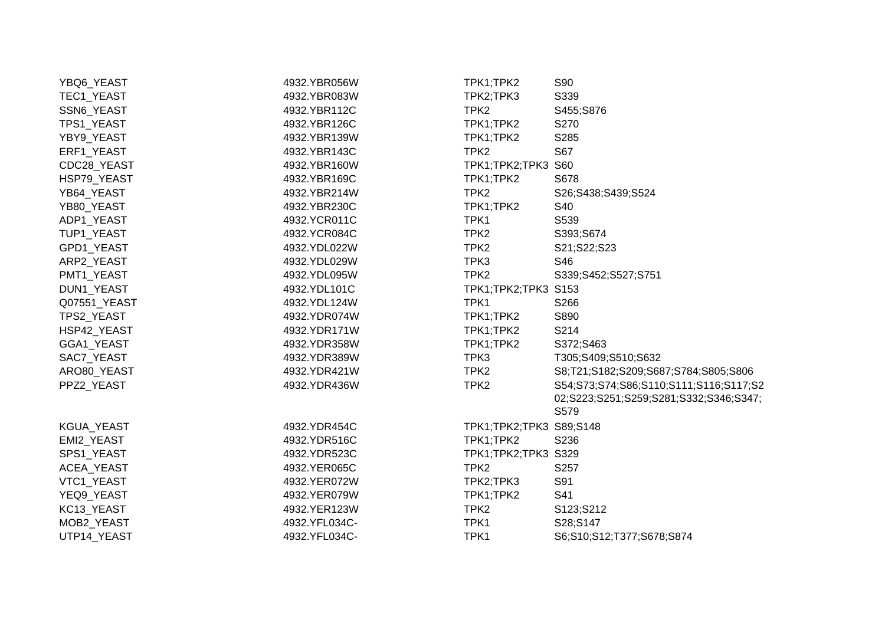| YBQ6_YEAST   | 4932.YBR056W  | TPK1;TPK2               | S90                                    |
|--------------|---------------|-------------------------|----------------------------------------|
| TEC1_YEAST   | 4932.YBR083W  | TPK2;TPK3               | S339                                   |
| SSN6_YEAST   | 4932.YBR112C  | TPK <sub>2</sub>        | S455;S876                              |
| TPS1_YEAST   | 4932.YBR126C  | TPK1;TPK2               | S270                                   |
| YBY9_YEAST   | 4932.YBR139W  | TPK1;TPK2               | S285                                   |
| ERF1_YEAST   | 4932.YBR143C  | TPK <sub>2</sub>        | S67                                    |
| CDC28_YEAST  | 4932.YBR160W  | TPK1;TPK2;TPK3 S60      |                                        |
| HSP79_YEAST  | 4932.YBR169C  | TPK1;TPK2               | S678                                   |
| YB64_YEAST   | 4932.YBR214W  | TPK <sub>2</sub>        | S26;S438;S439;S524                     |
| YB80_YEAST   | 4932.YBR230C  | TPK1;TPK2               | S40                                    |
| ADP1_YEAST   | 4932.YCR011C  | TPK1                    | S539                                   |
| TUP1_YEAST   | 4932.YCR084C  | TPK <sub>2</sub>        | S393;S674                              |
| GPD1_YEAST   | 4932.YDL022W  | TPK <sub>2</sub>        | S21;S22;S23                            |
| ARP2_YEAST   | 4932.YDL029W  | TPK3                    | S46                                    |
| PMT1_YEAST   | 4932.YDL095W  | TPK <sub>2</sub>        | S339;S452;S527;S751                    |
| DUN1_YEAST   | 4932.YDL101C  | TPK1;TPK2;TPK3 S153     |                                        |
| Q07551_YEAST | 4932.YDL124W  | TPK1                    | S266                                   |
| TPS2_YEAST   | 4932.YDR074W  | TPK1;TPK2               | S890                                   |
| HSP42 YEAST  | 4932.YDR171W  | TPK1;TPK2               | S214                                   |
| GGA1_YEAST   | 4932.YDR358W  | TPK1;TPK2               | S372;S463                              |
| SAC7_YEAST   | 4932.YDR389W  | TPK3                    | T305;S409;S510;S632                    |
| ARO80_YEAST  | 4932.YDR421W  | TPK <sub>2</sub>        | S8;T21;S182;S209;S687;S784;S805;S806   |
| PPZ2_YEAST   | 4932.YDR436W  | TPK <sub>2</sub>        | S54;S73;S74;S86;S110;S111;S116;S117;S2 |
|              |               |                         | 02;S223;S251;S259;S281;S332;S346;S347; |
|              |               |                         | S579                                   |
| KGUA_YEAST   | 4932.YDR454C  | TPK1;TPK2;TPK3 S89;S148 |                                        |
| EMI2_YEAST   | 4932.YDR516C  | TPK1;TPK2               | S236                                   |
| SPS1_YEAST   | 4932.YDR523C  | TPK1;TPK2;TPK3 S329     |                                        |
| ACEA_YEAST   | 4932.YER065C  | TPK <sub>2</sub>        | S257                                   |
| VTC1_YEAST   | 4932.YER072W  | TPK2;TPK3               | S91                                    |
| YEQ9_YEAST   | 4932.YER079W  | TPK1;TPK2               | S41                                    |
| KC13_YEAST   | 4932.YER123W  | TPK <sub>2</sub>        | S123;S212                              |
| MOB2_YEAST   | 4932.YFL034C- | TPK1                    | S28;S147                               |
| UTP14_YEAST  | 4932.YFL034C- | TPK1                    | S6;S10;S12;T377;S678;S874              |
|              |               |                         |                                        |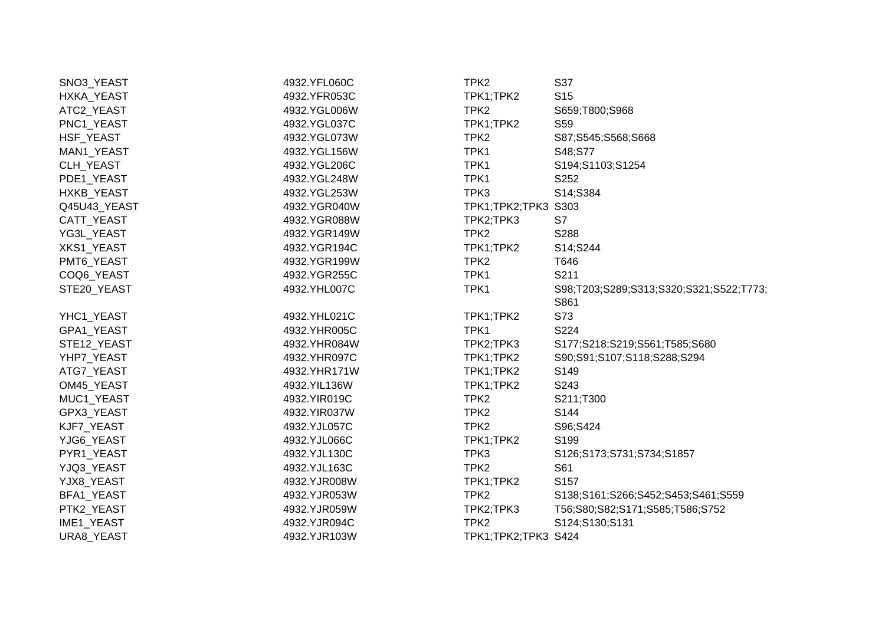| SNO3_YEAST   | 4932.YFL060C | TPK2                | S37                                     |
|--------------|--------------|---------------------|-----------------------------------------|
| HXKA_YEAST   | 4932.YFR053C | TPK1;TPK2           | S <sub>15</sub>                         |
| ATC2_YEAST   | 4932.YGL006W | TPK <sub>2</sub>    | S659;T800;S968                          |
| PNC1_YEAST   | 4932.YGL037C | TPK1;TPK2           | S <sub>59</sub>                         |
| HSF_YEAST    | 4932.YGL073W | TPK <sub>2</sub>    | S87;S545;S568;S668                      |
| MAN1_YEAST   | 4932.YGL156W | TPK1                | S48;S77                                 |
| CLH_YEAST    | 4932.YGL206C | TPK1                | S194;S1103;S1254                        |
| PDE1_YEAST   | 4932.YGL248W | TPK1                | S252                                    |
| HXKB_YEAST   | 4932.YGL253W | TPK3                | S14;S384                                |
| Q45U43_YEAST | 4932.YGR040W | TPK1;TPK2;TPK3 S303 |                                         |
| CATT_YEAST   | 4932.YGR088W | TPK2;TPK3           | S7                                      |
| YG3L_YEAST   | 4932.YGR149W | TPK <sub>2</sub>    | S288                                    |
| XKS1_YEAST   | 4932.YGR194C | TPK1;TPK2           | S14;S244                                |
| PMT6_YEAST   | 4932.YGR199W | TPK <sub>2</sub>    | T646                                    |
| COQ6_YEAST   | 4932.YGR255C | TPK1                | S211                                    |
| STE20 YEAST  | 4932.YHL007C | TPK1                | S98;T203;S289;S313;S320;S321;S522;T773; |
|              |              |                     | S861                                    |
| YHC1_YEAST   | 4932.YHL021C | TPK1;TPK2           | S73                                     |
| GPA1 YEAST   | 4932.YHR005C | TPK1                | S224                                    |
| STE12_YEAST  | 4932.YHR084W | TPK2;TPK3           | S177;S218;S219;S561;T585;S680           |
| YHP7_YEAST   | 4932.YHR097C | TPK1;TPK2           | S90;S91;S107;S118;S288;S294             |
| ATG7_YEAST   | 4932.YHR171W | TPK1;TPK2           | S149                                    |
| OM45_YEAST   | 4932.YIL136W | TPK1;TPK2           | S243                                    |
| MUC1_YEAST   | 4932.YIR019C | TPK <sub>2</sub>    | S211;T300                               |
| GPX3_YEAST   | 4932.YIR037W | TPK <sub>2</sub>    | S144                                    |
| KJF7_YEAST   | 4932.YJL057C | TPK <sub>2</sub>    | S96;S424                                |
| YJG6_YEAST   | 4932.YJL066C | TPK1;TPK2           | S199                                    |
| PYR1_YEAST   | 4932.YJL130C | TPK3                | S126;S173;S731;S734;S1857               |
| YJQ3_YEAST   | 4932.YJL163C | TPK <sub>2</sub>    | S61                                     |
| YJX8_YEAST   | 4932.YJR008W | TPK1;TPK2           | S157                                    |
| BFA1_YEAST   | 4932.YJR053W | TPK <sub>2</sub>    | S138;S161;S266;S452;S453;S461;S559      |
| PTK2_YEAST   | 4932.YJR059W | TPK2;TPK3           | T56;S80;S82;S171;S585;T586;S752         |
| IME1_YEAST   | 4932.YJR094C | TPK <sub>2</sub>    | S124;S130;S131                          |
| URA8_YEAST   | 4932.YJR103W | TPK1;TPK2;TPK3 S424 |                                         |
|              |              |                     |                                         |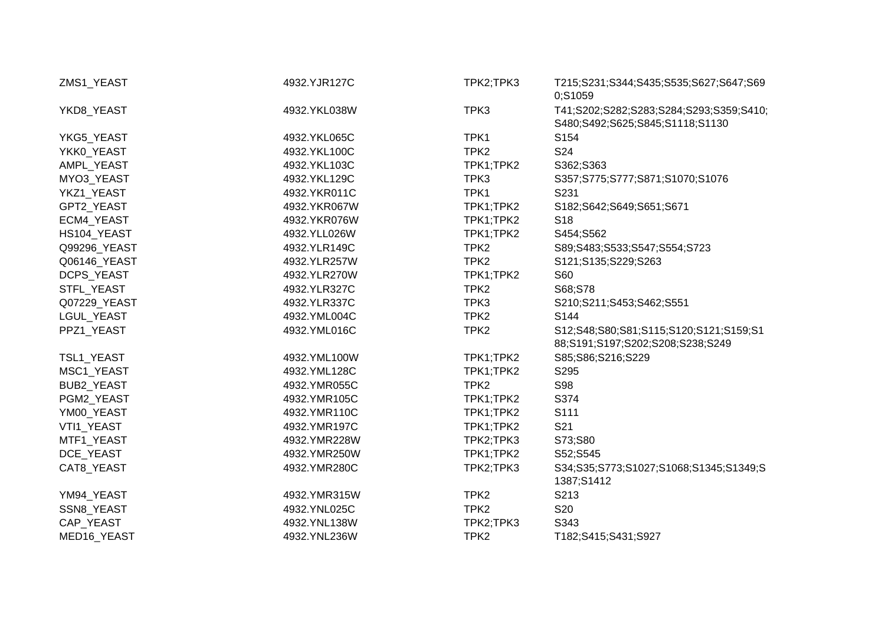| ZMS1_YEAST<br>4932.YJR127C |              | TPK2;TPK3        | T215;S231;S344;S435;S535;S627;S647;S69<br>0;S1059                          |
|----------------------------|--------------|------------------|----------------------------------------------------------------------------|
| YKD8_YEAST                 | 4932.YKL038W | TPK3             | T41;S202;S282;S283;S284;S293;S359;S410;<br>S480;S492;S625;S845;S1118;S1130 |
| YKG5_YEAST                 | 4932.YKL065C | TPK1             | S154                                                                       |
| YKK0_YEAST                 | 4932.YKL100C | TPK <sub>2</sub> | S24                                                                        |
| AMPL_YEAST                 | 4932.YKL103C | TPK1;TPK2        | S362;S363                                                                  |
| MYO3_YEAST                 | 4932.YKL129C | TPK3             | S357;S775;S777;S871;S1070;S1076                                            |
| YKZ1_YEAST                 | 4932.YKR011C | TPK1             | S231                                                                       |
| GPT2_YEAST                 | 4932.YKR067W | TPK1;TPK2        | S182;S642;S649;S651;S671                                                   |
| ECM4_YEAST                 | 4932.YKR076W | TPK1;TPK2        | S <sub>18</sub>                                                            |
| HS104_YEAST                | 4932.YLL026W | TPK1;TPK2        | S454;S562                                                                  |
| Q99296_YEAST               | 4932.YLR149C | TPK <sub>2</sub> | S89;S483;S533;S547;S554;S723                                               |
| Q06146_YEAST               | 4932.YLR257W | TPK <sub>2</sub> | S121;S135;S229;S263                                                        |
| DCPS_YEAST                 | 4932.YLR270W | TPK1;TPK2        | S60                                                                        |
| STFL_YEAST                 | 4932.YLR327C | TPK <sub>2</sub> | S68;S78                                                                    |
| Q07229_YEAST               | 4932.YLR337C | TPK3             | S210;S211;S453;S462;S551                                                   |
| LGUL_YEAST                 | 4932.YML004C | TPK <sub>2</sub> | S144                                                                       |
| PPZ1_YEAST                 | 4932.YML016C | TPK <sub>2</sub> | S12;S48;S80;S81;S115;S120;S121;S159;S1<br>88;S191;S197;S202;S208;S238;S249 |
| TSL1_YEAST                 | 4932.YML100W | TPK1;TPK2        | S85;S86;S216;S229                                                          |
| MSC1_YEAST                 | 4932.YML128C | TPK1;TPK2        | S295                                                                       |
| BUB2_YEAST                 | 4932.YMR055C | TPK <sub>2</sub> | <b>S98</b>                                                                 |
| PGM2_YEAST                 | 4932.YMR105C | TPK1;TPK2        | S374                                                                       |
| YM00_YEAST                 | 4932.YMR110C | TPK1;TPK2        | S111                                                                       |
| VTI1_YEAST                 | 4932.YMR197C | TPK1;TPK2        | S21                                                                        |
| MTF1_YEAST                 | 4932.YMR228W | TPK2;TPK3        | S73;S80                                                                    |
| DCE YEAST                  | 4932.YMR250W | TPK1;TPK2        | S52;S545                                                                   |
| CAT8_YEAST                 | 4932.YMR280C | TPK2;TPK3        | S34;S35;S773;S1027;S1068;S1345;S1349;S<br>1387;S1412                       |
| YM94_YEAST                 | 4932.YMR315W | TPK <sub>2</sub> | S213                                                                       |
| SSN8_YEAST                 | 4932.YNL025C | TPK <sub>2</sub> | <b>S20</b>                                                                 |
| CAP_YEAST                  | 4932.YNL138W | TPK2;TPK3        | S343                                                                       |
| MED16_YEAST                | 4932.YNL236W | TPK <sub>2</sub> | T182;S415;S431;S927                                                        |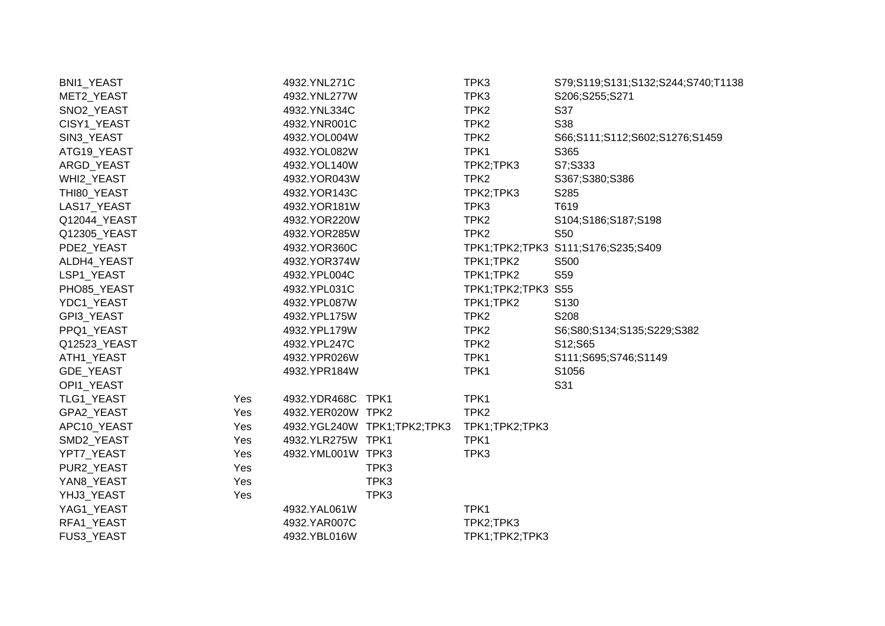| BNI1_YEAST   |     | 4932.YNL271C      |                             | TPK3               | S79;S119;S131;S132;S244;S740;T1138 |
|--------------|-----|-------------------|-----------------------------|--------------------|------------------------------------|
| MET2_YEAST   |     | 4932.YNL277W      |                             | TPK3               | S206;S255;S271                     |
| SNO2_YEAST   |     | 4932.YNL334C      |                             | TPK <sub>2</sub>   | S37                                |
| CISY1_YEAST  |     | 4932.YNR001C      |                             | TPK <sub>2</sub>   | S38                                |
| SIN3_YEAST   |     | 4932.YOL004W      |                             | TPK <sub>2</sub>   | S66;S111;S112;S602;S1276;S1459     |
| ATG19_YEAST  |     | 4932.YOL082W      |                             | TPK1               | S365                               |
| ARGD_YEAST   |     | 4932.YOL140W      |                             | TPK2;TPK3          | S7;S333                            |
| WHI2_YEAST   |     | 4932.YOR043W      |                             | TPK <sub>2</sub>   | S367;S380;S386                     |
| THI80_YEAST  |     | 4932.YOR143C      |                             | TPK2;TPK3          | S285                               |
| LAS17_YEAST  |     | 4932.YOR181W      |                             | TPK3               | T619                               |
| Q12044_YEAST |     | 4932.YOR220W      |                             | TPK <sub>2</sub>   | S104;S186;S187;S198                |
| Q12305_YEAST |     | 4932.YOR285W      |                             | TPK <sub>2</sub>   | S50                                |
| PDE2_YEAST   |     | 4932.YOR360C      |                             |                    | TPK1;TPK2;TPK3 S111;S176;S235;S409 |
| ALDH4_YEAST  |     | 4932.YOR374W      |                             | TPK1;TPK2          | S500                               |
| LSP1_YEAST   |     | 4932.YPL004C      |                             | TPK1;TPK2          | S59                                |
| PHO85_YEAST  |     | 4932.YPL031C      |                             | TPK1;TPK2;TPK3 S55 |                                    |
| YDC1_YEAST   |     | 4932.YPL087W      |                             | TPK1;TPK2          | S130                               |
| GPI3_YEAST   |     | 4932.YPL175W      |                             | TPK <sub>2</sub>   | S208                               |
| PPQ1_YEAST   |     | 4932.YPL179W      |                             | TPK <sub>2</sub>   | S6;S80;S134;S135;S229;S382         |
| Q12523_YEAST |     | 4932.YPL247C      |                             | TPK <sub>2</sub>   | S12;S65                            |
| ATH1_YEAST   |     | 4932.YPR026W      |                             | TPK1               | S111;S695;S746;S1149               |
| GDE_YEAST    |     | 4932.YPR184W      |                             | TPK1               | S1056                              |
| OPI1_YEAST   |     |                   |                             |                    | S31                                |
| TLG1_YEAST   | Yes | 4932.YDR468C TPK1 |                             | TPK1               |                                    |
| GPA2_YEAST   | Yes | 4932.YER020W TPK2 |                             | TPK <sub>2</sub>   |                                    |
| APC10_YEAST  | Yes |                   | 4932.YGL240W TPK1;TPK2;TPK3 | TPK1;TPK2;TPK3     |                                    |
| SMD2_YEAST   | Yes | 4932.YLR275W TPK1 |                             | TPK1               |                                    |
| YPT7_YEAST   | Yes | 4932.YML001W TPK3 |                             | TPK3               |                                    |
| PUR2_YEAST   | Yes |                   | TPK3                        |                    |                                    |
| YAN8_YEAST   | Yes |                   | TPK3                        |                    |                                    |
| YHJ3_YEAST   | Yes |                   | TPK3                        |                    |                                    |
| YAG1_YEAST   |     | 4932.YAL061W      |                             | TPK1               |                                    |
| RFA1_YEAST   |     | 4932.YAR007C      |                             | TPK2;TPK3          |                                    |
| FUS3_YEAST   |     | 4932.YBL016W      |                             | TPK1;TPK2;TPK3     |                                    |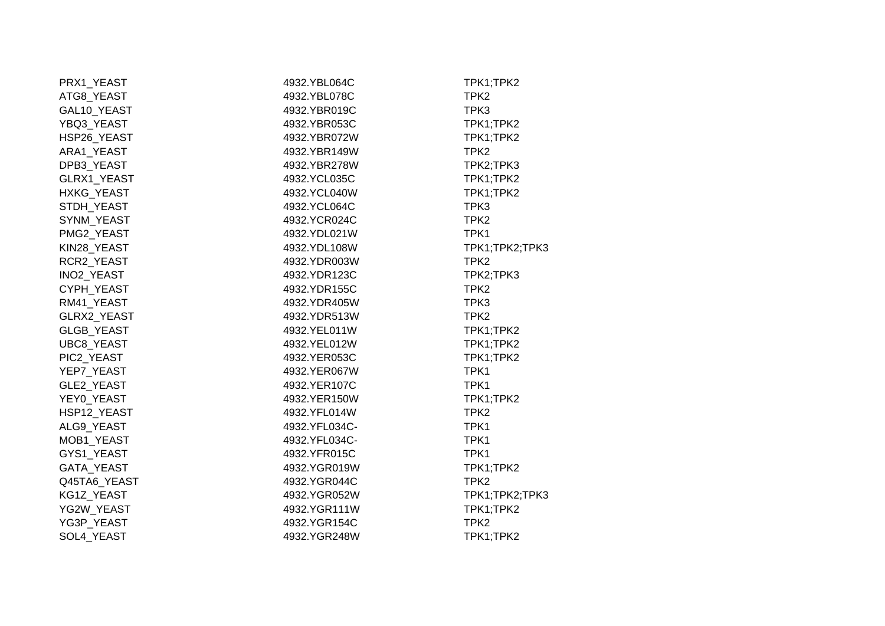| PRX1_YEAST         | 4932.YBL064C  | TPK1;TPK2        |
|--------------------|---------------|------------------|
| ATG8_YEAST         | 4932.YBL078C  | TPK <sub>2</sub> |
| GAL10_YEAST        | 4932.YBR019C  | TPK3             |
| YBQ3_YEAST         | 4932.YBR053C  | TPK1;TPK2        |
| HSP26_YEAST        | 4932.YBR072W  | TPK1;TPK2        |
| ARA1_YEAST         | 4932.YBR149W  | TPK <sub>2</sub> |
| DPB3_YEAST         | 4932.YBR278W  | TPK2;TPK3        |
| GLRX1_YEAST        | 4932.YCL035C  | TPK1;TPK2        |
| HXKG_YEAST         | 4932.YCL040W  | TPK1;TPK2        |
| STDH_YEAST         | 4932.YCL064C  | TPK3             |
| SYNM_YEAST         | 4932.YCR024C  | TPK <sub>2</sub> |
| PMG2_YEAST         | 4932.YDL021W  | TPK1             |
| KIN28_YEAST        | 4932.YDL108W  | TPK1;TPK2;TPK3   |
| RCR2_YEAST         | 4932.YDR003W  | TPK <sub>2</sub> |
| INO2_YEAST         | 4932.YDR123C  | TPK2;TPK3        |
| CYPH_YEAST         | 4932.YDR155C  | TPK <sub>2</sub> |
| RM41_YEAST         | 4932.YDR405W  | TPK3             |
| <b>GLRX2 YEAST</b> | 4932.YDR513W  | TPK <sub>2</sub> |
| GLGB_YEAST         | 4932.YEL011W  | TPK1;TPK2        |
| UBC8_YEAST         | 4932.YEL012W  | TPK1;TPK2        |
| PIC2_YEAST         | 4932.YER053C  | TPK1;TPK2        |
| YEP7_YEAST         | 4932.YER067W  | TPK1             |
| GLE2_YEAST         | 4932.YER107C  | TPK1             |
| YEY0_YEAST         | 4932.YER150W  | TPK1;TPK2        |
| HSP12_YEAST        | 4932.YFL014W  | TPK <sub>2</sub> |
| ALG9_YEAST         | 4932.YFL034C- | TPK1             |
| MOB1_YEAST         | 4932.YFL034C- | TPK1             |
| GYS1_YEAST         | 4932.YFR015C  | TPK1             |
| GATA_YEAST         | 4932.YGR019W  | TPK1;TPK2        |
| Q45TA6_YEAST       | 4932.YGR044C  | TPK <sub>2</sub> |
| KG1Z_YEAST         | 4932.YGR052W  | TPK1;TPK2;TPK3   |
| YG2W_YEAST         | 4932.YGR111W  | TPK1;TPK2        |
| YG3P_YEAST         | 4932.YGR154C  | TPK <sub>2</sub> |
| SOL4_YEAST         | 4932.YGR248W  | TPK1;TPK2        |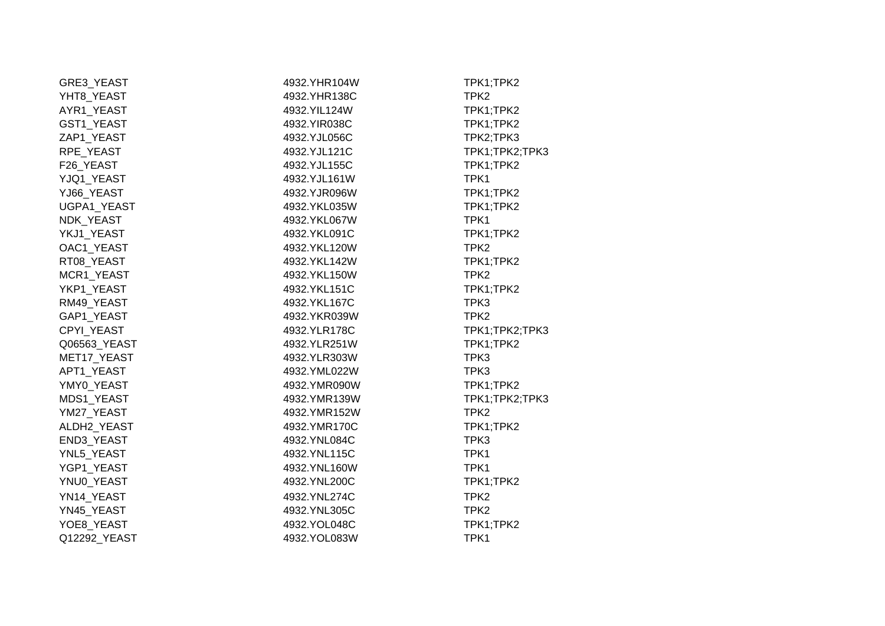| GRE3_YEAST       | 4932.YHR104W  | TPK1;TPK2        |
|------------------|---------------|------------------|
| YHT8_YEAST       | 4932.YHR138C  | TPK <sub>2</sub> |
| AYR1_YEAST       | 4932.YIL124W  | TPK1;TPK2        |
| GST1_YEAST       | 4932.YIR038C  | TPK1;TPK2        |
| ZAP1_YEAST       | 4932.YJL056C  | TPK2;TPK3        |
| RPE_YEAST        | 4932.YJL121C  | TPK1;TPK2;TPK3   |
| F26_YEAST        | 4932.YJL155C  | TPK1;TPK2        |
| YJQ1_YEAST       | 4932.YJL161W  | TPK1             |
| YJ66 YEAST       | 4932.YJR096W  | TPK1;TPK2        |
| UGPA1_YEAST      | 4932.YKL035W  | TPK1;TPK2        |
| <b>NDK YEAST</b> | 4932.YKL067W  | TPK1             |
| YKJ1_YEAST       | 4932.YKL091C  | TPK1;TPK2        |
| OAC1_YEAST       | 4932.YKL120W  | TPK <sub>2</sub> |
| RT08 YEAST       | 4932.YKL142W  | TPK1;TPK2        |
| MCR1_YEAST       | 4932.YKL150W  | TPK <sub>2</sub> |
| YKP1 YEAST       | 4932.YKL151C  | TPK1;TPK2        |
| RM49_YEAST       | 4932.YKL167C  | TPK3             |
| GAP1_YEAST       | 4932.YKR039W  | TPK <sub>2</sub> |
| CPYI YEAST       | 4932.YLR178C  | TPK1;TPK2;TPK3   |
| Q06563_YEAST     | 4932.YLR251W  | TPK1;TPK2        |
| MET17_YEAST      | 4932.YLR303W  | TPK3             |
| APT1_YEAST       | 4932.YML022W  | TPK3             |
| YMY0_YEAST       | 4932. YMR090W | TPK1;TPK2        |
| MDS1_YEAST       | 4932.YMR139W  | TPK1;TPK2;TPK3   |
| YM27_YEAST       | 4932.YMR152W  | TPK <sub>2</sub> |
| ALDH2_YEAST      | 4932.YMR170C  | TPK1;TPK2        |
| END3_YEAST       | 4932.YNL084C  | TPK3             |
| YNL5_YEAST       | 4932.YNL115C  | TPK1             |
| YGP1_YEAST       | 4932.YNL160W  | TPK1             |
| YNU0_YEAST       | 4932.YNL200C  | TPK1;TPK2        |
| YN14 YEAST       | 4932.YNL274C  | TPK <sub>2</sub> |
| YN45_YEAST       | 4932.YNL305C  | TPK <sub>2</sub> |
| YOE8_YEAST       | 4932.YOL048C  | TPK1;TPK2        |
| Q12292_YEAST     | 4932.YOL083W  | TPK1             |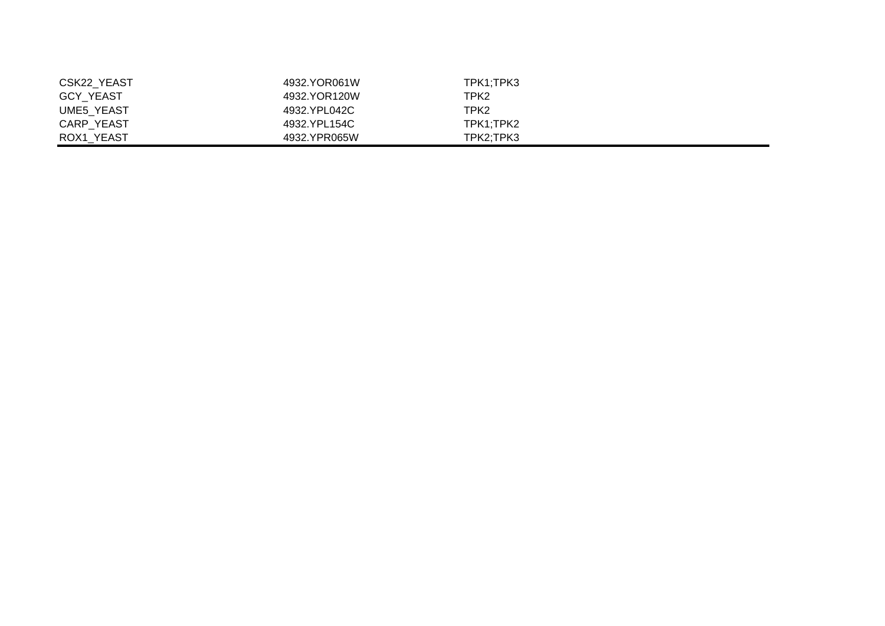| CSK22 YEAST       | 4932.YOR061W | TPK1:TPK3 |
|-------------------|--------------|-----------|
| <b>GCY YEAST</b>  | 4932.YOR120W | TPK2      |
| <b>UME5 YEAST</b> | 4932.YPL042C | TPK2      |
| <b>CARP YEAST</b> | 4932.YPL154C | TPK1:TPK2 |
| ROX1 YEAST        | 4932.YPR065W | TPK2:TPK3 |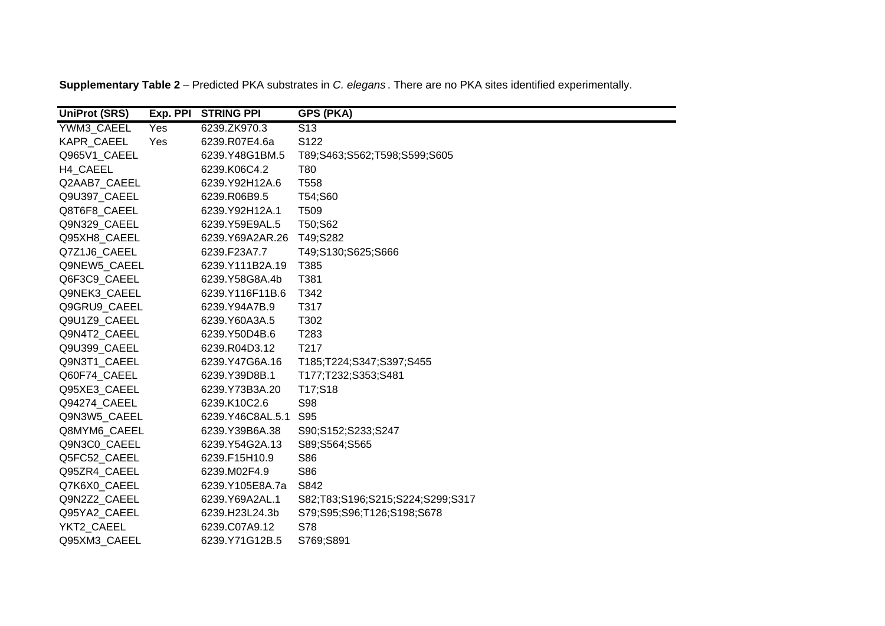**Supplementary Table 2** – Predicted PKA substrates in *C. elegans* . There are no PKA sites identified experimentally.

| <b>UniProt (SRS)</b> |     | Exp. PPI STRING PPI | <b>GPS (PKA)</b>                 |
|----------------------|-----|---------------------|----------------------------------|
| YWM3 CAEEL           | Yes | 6239.ZK970.3        | S <sub>13</sub>                  |
| <b>KAPR CAEEL</b>    | Yes | 6239.R07E4.6a       | S122                             |
| Q965V1_CAEEL         |     | 6239.Y48G1BM.5      | T89;S463;S562;T598;S599;S605     |
| H4 CAEEL             |     | 6239.K06C4.2        | <b>T80</b>                       |
| Q2AAB7 CAEEL         |     | 6239.Y92H12A.6      | T <sub>558</sub>                 |
| Q9U397 CAEEL         |     | 6239.R06B9.5        | T54;S60                          |
| Q8T6F8 CAEEL         |     | 6239.Y92H12A.1      | T <sub>509</sub>                 |
| Q9N329 CAEEL         |     | 6239.Y59E9AL.5      | T50;S62                          |
| Q95XH8_CAEEL         |     | 6239.Y69A2AR.26     | T49;S282                         |
| Q7Z1J6_CAEEL         |     | 6239.F23A7.7        | T49;S130;S625;S666               |
| Q9NEW5 CAEEL         |     | 6239.Y111B2A.19     | T385                             |
| Q6F3C9_CAEEL         |     | 6239.Y58G8A.4b      | T381                             |
| Q9NEK3_CAEEL         |     | 6239.Y116F11B.6     | T342                             |
| Q9GRU9 CAEEL         |     | 6239.Y94A7B.9       | T317                             |
| Q9U1Z9_CAEEL         |     | 6239.Y60A3A.5       | T302                             |
| Q9N4T2_CAEEL         |     | 6239.Y50D4B.6       | T283                             |
| Q9U399 CAEEL         |     | 6239.R04D3.12       | T217                             |
| Q9N3T1 CAEEL         |     | 6239.Y47G6A.16      | T185;T224;S347;S397;S455         |
| Q60F74 CAEEL         |     | 6239.Y39D8B.1       | T177;T232;S353;S481              |
| Q95XE3 CAEEL         |     | 6239.Y73B3A.20      | T17;S18                          |
| Q94274 CAEEL         |     | 6239.K10C2.6        | <b>S98</b>                       |
| Q9N3W5 CAEEL         |     | 6239.Y46C8AL.5.1    | S95                              |
| Q8MYM6_CAEEL         |     | 6239.Y39B6A.38      | S90;S152;S233;S247               |
| Q9N3C0_CAEEL         |     | 6239.Y54G2A.13      | S89;S564;S565                    |
| Q5FC52_CAEEL         |     | 6239.F15H10.9       | S86                              |
| Q95ZR4_CAEEL         |     | 6239.M02F4.9        | S86                              |
| Q7K6X0 CAEEL         |     | 6239.Y105E8A.7a     | S842                             |
| Q9N2Z2_CAEEL         |     | 6239.Y69A2AL.1      | S82;T83;S196;S215;S224;S299;S317 |
| Q95YA2_CAEEL         |     | 6239.H23L24.3b      | S79;S95;S96;T126;S198;S678       |
| YKT2 CAEEL           |     | 6239.C07A9.12       | S78                              |
| Q95XM3_CAEEL         |     | 6239.Y71G12B.5      | S769;S891                        |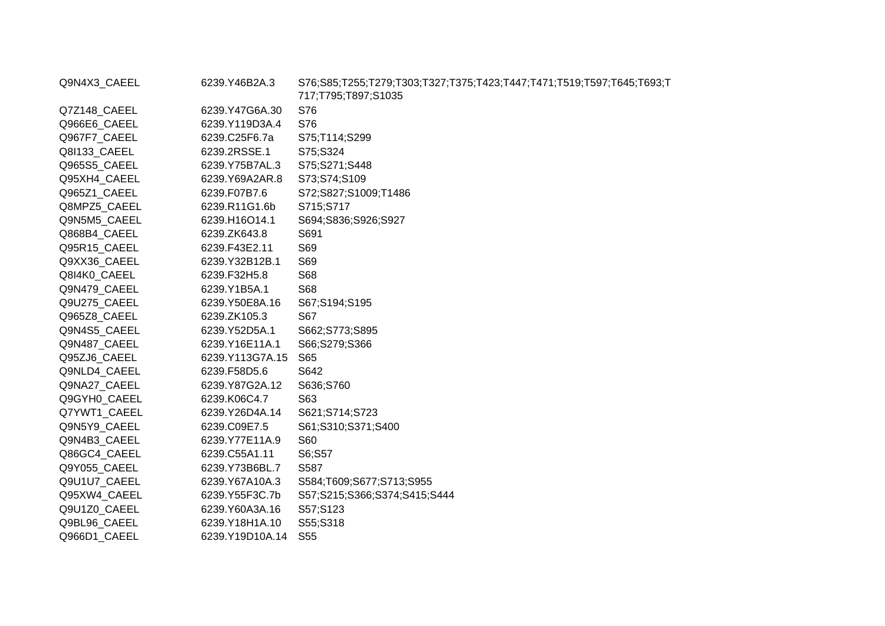| Q9N4X3_CAEEL | 6239.Y46B2A.3   | S76;S85;T255;T279;T303;T327;T375;T423;T447;T471;T519;T597;T645;T693;T<br>717;T795;T897;S1035 |
|--------------|-----------------|----------------------------------------------------------------------------------------------|
| Q7Z148_CAEEL | 6239.Y47G6A.30  | S76                                                                                          |
| Q966E6 CAEEL | 6239.Y119D3A.4  | S76                                                                                          |
| Q967F7_CAEEL | 6239.C25F6.7a   | S75;T114;S299                                                                                |
| Q8I133_CAEEL | 6239.2RSSE.1    | S75;S324                                                                                     |
| Q965S5_CAEEL | 6239.Y75B7AL.3  | S75;S271;S448                                                                                |
| Q95XH4_CAEEL | 6239.Y69A2AR.8  | S73;S74;S109                                                                                 |
| Q965Z1_CAEEL | 6239.F07B7.6    | S72;S827;S1009;T1486                                                                         |
| Q8MPZ5 CAEEL | 6239.R11G1.6b   | S715;S717                                                                                    |
| Q9N5M5_CAEEL | 6239.H16O14.1   | S694;S836;S926;S927                                                                          |
| Q868B4_CAEEL | 6239.ZK643.8    | S691                                                                                         |
| Q95R15_CAEEL | 6239.F43E2.11   | S69                                                                                          |
| Q9XX36_CAEEL | 6239.Y32B12B.1  | S69                                                                                          |
| Q8I4K0_CAEEL | 6239.F32H5.8    | S68                                                                                          |
| Q9N479 CAEEL | 6239.Y1B5A.1    | <b>S68</b>                                                                                   |
| Q9U275_CAEEL | 6239.Y50E8A.16  | S67;S194;S195                                                                                |
| Q965Z8_CAEEL | 6239.ZK105.3    | S67                                                                                          |
| Q9N4S5_CAEEL | 6239.Y52D5A.1   | S662;S773;S895                                                                               |
| Q9N487_CAEEL | 6239.Y16E11A.1  | S66;S279;S366                                                                                |
| Q95ZJ6_CAEEL | 6239.Y113G7A.15 | S65                                                                                          |
| Q9NLD4_CAEEL | 6239.F58D5.6    | S642                                                                                         |
| Q9NA27_CAEEL | 6239.Y87G2A.12  | S636;S760                                                                                    |
| Q9GYH0_CAEEL | 6239.K06C4.7    | S63                                                                                          |
| Q7YWT1 CAEEL | 6239.Y26D4A.14  | S621;S714;S723                                                                               |
| Q9N5Y9_CAEEL | 6239.C09E7.5    | S61;S310;S371;S400                                                                           |
| Q9N4B3_CAEEL | 6239.Y77E11A.9  | S60                                                                                          |
| Q86GC4_CAEEL | 6239.C55A1.11   | S6;S57                                                                                       |
| Q9Y055_CAEEL | 6239.Y73B6BL.7  | S587                                                                                         |
| Q9U1U7_CAEEL | 6239.Y67A10A.3  | S584;T609;S677;S713;S955                                                                     |
| Q95XW4_CAEEL | 6239.Y55F3C.7b  | S57;S215;S366;S374;S415;S444                                                                 |
| Q9U1Z0_CAEEL | 6239.Y60A3A.16  | S57;S123                                                                                     |
| Q9BL96_CAEEL | 6239.Y18H1A.10  | S55;S318                                                                                     |
| Q966D1_CAEEL | 6239.Y19D10A.14 | S <sub>55</sub>                                                                              |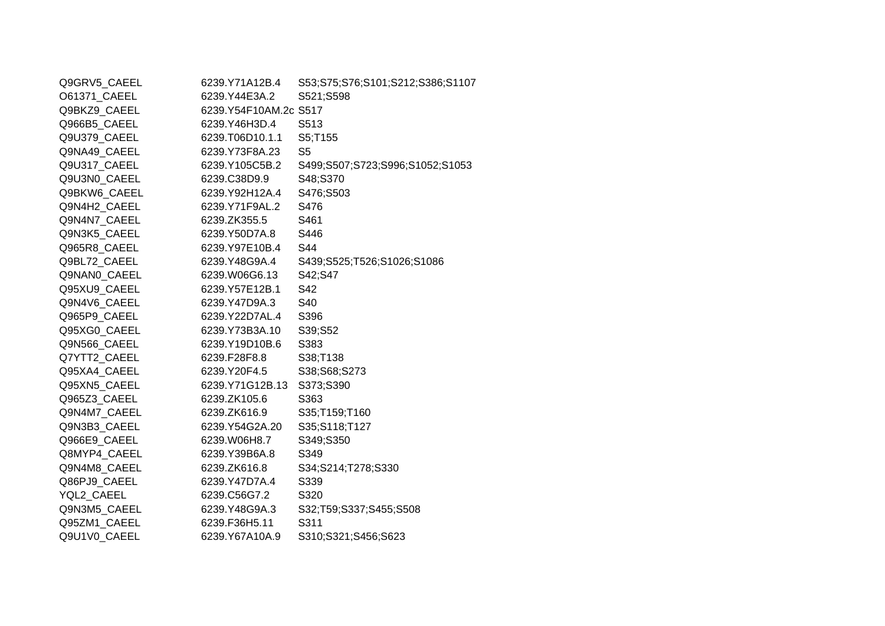| Q9GRV5_CAEEL | 6239.Y71A12B.4        | S53;S75;S76;S101;S212;S386;S1107 |
|--------------|-----------------------|----------------------------------|
| O61371 CAEEL | 6239.Y44E3A.2         | S521;S598                        |
| Q9BKZ9_CAEEL | 6239.Y54F10AM.2c S517 |                                  |
| Q966B5 CAEEL | 6239.Y46H3D.4         | S513                             |
| Q9U379_CAEEL | 6239.T06D10.1.1       | S5;T155                          |
| Q9NA49_CAEEL | 6239.Y73F8A.23        | S <sub>5</sub>                   |
| Q9U317_CAEEL | 6239.Y105C5B.2        | S499;S507;S723;S996;S1052;S1053  |
| Q9U3N0 CAEEL | 6239.C38D9.9          | S48;S370                         |
| Q9BKW6 CAEEL | 6239.Y92H12A.4        | S476;S503                        |
| Q9N4H2_CAEEL | 6239.Y71F9AL.2        | S476                             |
| Q9N4N7_CAEEL | 6239.ZK355.5          | S461                             |
| Q9N3K5_CAEEL | 6239.Y50D7A.8         | S446                             |
| Q965R8_CAEEL | 6239.Y97E10B.4        | S44                              |
| Q9BL72 CAEEL | 6239.Y48G9A.4         | S439;S525;T526;S1026;S1086       |
| Q9NAN0_CAEEL | 6239.W06G6.13         | S42;S47                          |
| Q95XU9 CAEEL | 6239.Y57E12B.1        | S42                              |
| Q9N4V6_CAEEL | 6239.Y47D9A.3         | S40                              |
| Q965P9_CAEEL | 6239.Y22D7AL.4        | S396                             |
| Q95XG0_CAEEL | 6239.Y73B3A.10        | S39;S52                          |
| Q9N566_CAEEL | 6239.Y19D10B.6        | S383                             |
| Q7YTT2 CAEEL | 6239.F28F8.8          | S38;T138                         |
| Q95XA4_CAEEL | 6239.Y20F4.5          | S38;S68;S273                     |
| Q95XN5_CAEEL | 6239.Y71G12B.13       | S373;S390                        |
| Q965Z3 CAEEL | 6239.ZK105.6          | S363                             |
| Q9N4M7_CAEEL | 6239.ZK616.9          | S35;T159;T160                    |
| Q9N3B3 CAEEL | 6239.Y54G2A.20        | S35;S118;T127                    |
| Q966E9_CAEEL | 6239.W06H8.7          | S349;S350                        |
| Q8MYP4 CAEEL | 6239.Y39B6A.8         | S349                             |
| Q9N4M8_CAEEL | 6239.ZK616.8          | S34;S214;T278;S330               |
| Q86PJ9_CAEEL | 6239.Y47D7A.4         | S339                             |
| YQL2 CAEEL   | 6239.C56G7.2          | S320                             |
| Q9N3M5_CAEEL | 6239.Y48G9A.3         | S32;T59;S337;S455;S508           |
| Q95ZM1_CAEEL | 6239.F36H5.11         | S311                             |
| Q9U1V0_CAEEL | 6239.Y67A10A.9        | S310;S321;S456;S623              |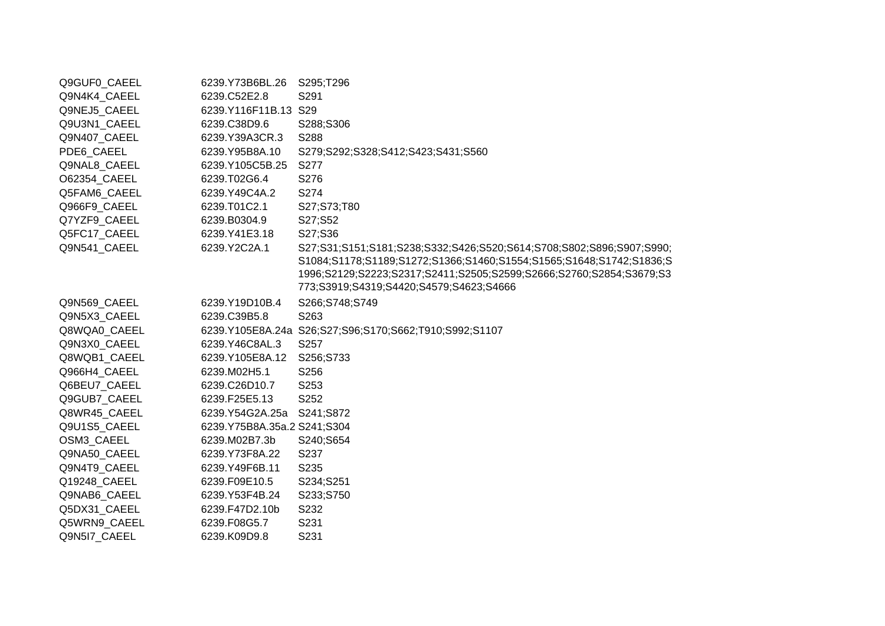| Q9GUF0_CAEEL | 6239.Y73B6BL.26             | S295;T296                                                            |
|--------------|-----------------------------|----------------------------------------------------------------------|
| Q9N4K4_CAEEL | 6239.C52E2.8                | S291                                                                 |
| Q9NEJ5_CAEEL | 6239.Y116F11B.13 S29        |                                                                      |
| Q9U3N1_CAEEL | 6239.C38D9.6                | S288;S306                                                            |
| Q9N407_CAEEL | 6239.Y39A3CR.3              | S288                                                                 |
| PDE6_CAEEL   | 6239.Y95B8A.10              | S279;S292;S328;S412;S423;S431;S560                                   |
| Q9NAL8_CAEEL | 6239.Y105C5B.25             | S277                                                                 |
| O62354_CAEEL | 6239.T02G6.4                | S276                                                                 |
| Q5FAM6_CAEEL | 6239.Y49C4A.2               | S274                                                                 |
| Q966F9_CAEEL | 6239.T01C2.1                | S27;S73;T80                                                          |
| Q7YZF9 CAEEL | 6239.B0304.9                | S27;S52                                                              |
| Q5FC17_CAEEL | 6239.Y41E3.18               | S27;S36                                                              |
| Q9N541 CAEEL | 6239.Y2C2A.1                | S27;S31;S151;S181;S238;S332;S426;S520;S614;S708;S802;S896;S907;S990; |
|              |                             | S1084;S1178;S1189;S1272;S1366;S1460;S1554;S1565;S1648;S1742;S1836;S  |
|              |                             | 1996;S2129;S2223;S2317;S2411;S2505;S2599;S2666;S2760;S2854;S3679;S3  |
|              |                             | 773;S3919;S4319;S4420;S4579;S4623;S4666                              |
| Q9N569_CAEEL | 6239.Y19D10B.4              | S266;S748;S749                                                       |
| Q9N5X3_CAEEL | 6239.C39B5.8                | S263                                                                 |
| Q8WQA0_CAEEL |                             | 6239.Y105E8A.24a S26;S27;S96;S170;S662;T910;S992;S1107               |
| Q9N3X0_CAEEL | 6239.Y46C8AL.3              | S257                                                                 |
| Q8WQB1_CAEEL | 6239.Y105E8A.12             | S256;S733                                                            |
| Q966H4_CAEEL | 6239.M02H5.1                | S256                                                                 |
| Q6BEU7 CAEEL | 6239.C26D10.7               | S253                                                                 |
| Q9GUB7_CAEEL | 6239.F25E5.13               | S252                                                                 |
| Q8WR45 CAEEL | 6239.Y54G2A.25a S241;S872   |                                                                      |
| Q9U1S5_CAEEL | 6239.Y75B8A.35a.2 S241;S304 |                                                                      |
| OSM3 CAEEL   | 6239.M02B7.3b               | S240;S654                                                            |
| Q9NA50_CAEEL | 6239.Y73F8A.22              | S237                                                                 |
| Q9N4T9 CAEEL | 6239.Y49F6B.11              | S235                                                                 |
| Q19248_CAEEL | 6239.F09E10.5               | S234;S251                                                            |
| Q9NAB6_CAEEL | 6239.Y53F4B.24              | S233;S750                                                            |
| Q5DX31_CAEEL | 6239.F47D2.10b              | S232                                                                 |
| Q5WRN9_CAEEL | 6239.F08G5.7                | S231                                                                 |
| Q9N5I7_CAEEL | 6239.K09D9.8                | S231                                                                 |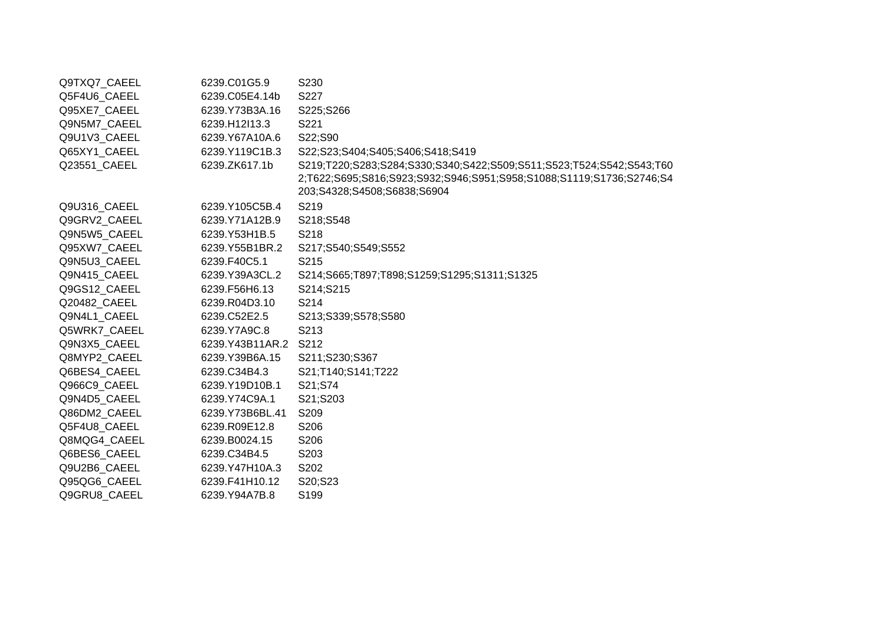| Q9TXQ7_CAEEL | 6239.C01G5.9    | S <sub>230</sub>                                                                                                                                                            |
|--------------|-----------------|-----------------------------------------------------------------------------------------------------------------------------------------------------------------------------|
| Q5F4U6 CAEEL | 6239.C05E4.14b  | S227                                                                                                                                                                        |
| Q95XE7_CAEEL | 6239.Y73B3A.16  | S225;S266                                                                                                                                                                   |
| Q9N5M7 CAEEL | 6239.H12l13.3   | S221                                                                                                                                                                        |
| Q9U1V3 CAEEL | 6239.Y67A10A.6  | S22;S90                                                                                                                                                                     |
| Q65XY1_CAEEL | 6239.Y119C1B.3  | S22;S23;S404;S405;S406;S418;S419                                                                                                                                            |
| Q23551 CAEEL | 6239.ZK617.1b   | S219;T220;S283;S284;S330;S340;S422;S509;S511;S523;T524;S542;S543;T60<br>2;T622;S695;S816;S923;S932;S946;S951;S958;S1088;S1119;S1736;S2746;S4<br>203;S4328;S4508;S6838;S6904 |
| Q9U316_CAEEL | 6239.Y105C5B.4  | S219                                                                                                                                                                        |
| Q9GRV2 CAEEL | 6239.Y71A12B.9  | S218;S548                                                                                                                                                                   |
| Q9N5W5 CAEEL | 6239.Y53H1B.5   | S218                                                                                                                                                                        |
| Q95XW7 CAEEL | 6239.Y55B1BR.2  | S217;S540;S549;S552                                                                                                                                                         |
| Q9N5U3_CAEEL | 6239.F40C5.1    | S215                                                                                                                                                                        |
| Q9N415_CAEEL | 6239.Y39A3CL.2  | S214;S665;T897;T898;S1259;S1295;S1311;S1325                                                                                                                                 |
| Q9GS12 CAEEL | 6239.F56H6.13   | S214;S215                                                                                                                                                                   |
| Q20482 CAEEL | 6239.R04D3.10   | S214                                                                                                                                                                        |
| Q9N4L1 CAEEL | 6239.C52E2.5    | S213;S339;S578;S580                                                                                                                                                         |
| Q5WRK7 CAEEL | 6239.Y7A9C.8    | S213                                                                                                                                                                        |
| Q9N3X5_CAEEL | 6239.Y43B11AR.2 | S212                                                                                                                                                                        |
| Q8MYP2_CAEEL | 6239.Y39B6A.15  | S211;S230;S367                                                                                                                                                              |
| Q6BES4_CAEEL | 6239.C34B4.3    | S21;T140;S141;T222                                                                                                                                                          |
| Q966C9 CAEEL | 6239.Y19D10B.1  | S21;S74                                                                                                                                                                     |
| Q9N4D5_CAEEL | 6239.Y74C9A.1   | S21;S203                                                                                                                                                                    |
| Q86DM2 CAEEL | 6239.Y73B6BL.41 | S209                                                                                                                                                                        |
| Q5F4U8_CAEEL | 6239.R09E12.8   | S206                                                                                                                                                                        |
| Q8MQG4 CAEEL | 6239.B0024.15   | S206                                                                                                                                                                        |
| Q6BES6 CAEEL | 6239.C34B4.5    | S203                                                                                                                                                                        |
| Q9U2B6 CAEEL | 6239.Y47H10A.3  | S202                                                                                                                                                                        |
| Q95QG6 CAEEL | 6239.F41H10.12  | S20;S23                                                                                                                                                                     |
| Q9GRU8 CAEEL | 6239.Y94A7B.8   | S199                                                                                                                                                                        |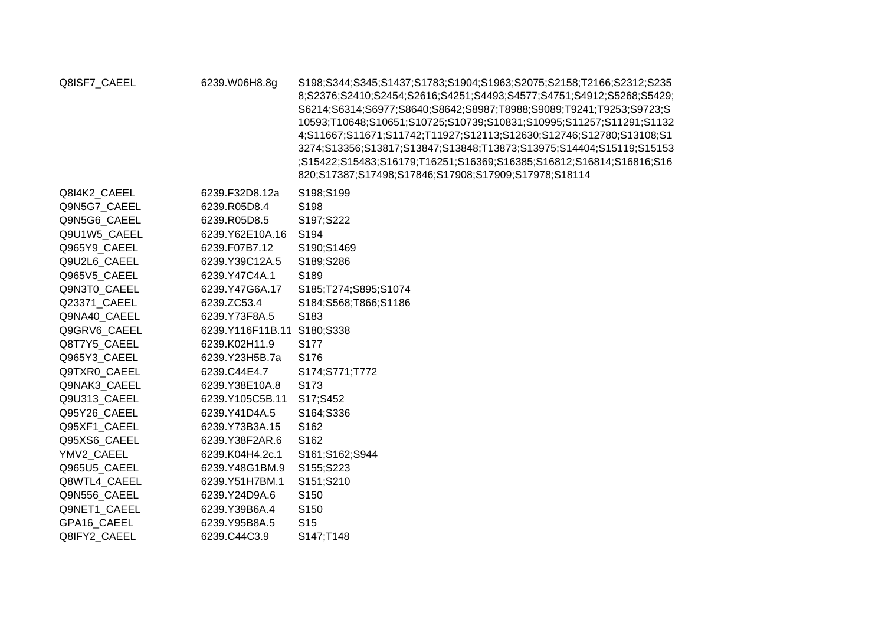| Q8ISF7_CAEEL | 6239.W06H8.8g              | S198;S344;S345;S1437;S1783;S1904;S1963;S2075;S2158;T2166;S2312;S235<br>8;S2376;S2410;S2454;S2616;S4251;S4493;S4577;S4751;S4912;S5268;S5429;<br>S6214;S6314;S6977;S8640;S8642;S8987;T8988;S9089;T9241;T9253;S9723;S<br>10593;T10648;S10651;S10725;S10739;S10831;S10995;S11257;S11291;S1132<br>4;S11667;S11671;S11742;T11927;S12113;S12630;S12746;S12780;S13108;S1<br>3274;S13356;S13817;S13847;S13848;T13873;S13975;S14404;S15119;S15153<br>;S15422;S15483;S16179;T16251;S16369;S16385;S16812;S16814;S16816;S16<br>820;S17387;S17498;S17846;S17908;S17909;S17978;S18114 |
|--------------|----------------------------|------------------------------------------------------------------------------------------------------------------------------------------------------------------------------------------------------------------------------------------------------------------------------------------------------------------------------------------------------------------------------------------------------------------------------------------------------------------------------------------------------------------------------------------------------------------------|
| Q8I4K2 CAEEL | 6239.F32D8.12a             | S198;S199                                                                                                                                                                                                                                                                                                                                                                                                                                                                                                                                                              |
| Q9N5G7_CAEEL | 6239.R05D8.4               | S198                                                                                                                                                                                                                                                                                                                                                                                                                                                                                                                                                                   |
| Q9N5G6 CAEEL | 6239.R05D8.5               | S197;S222                                                                                                                                                                                                                                                                                                                                                                                                                                                                                                                                                              |
| Q9U1W5_CAEEL | 6239.Y62E10A.16            | S194                                                                                                                                                                                                                                                                                                                                                                                                                                                                                                                                                                   |
| Q965Y9 CAEEL | 6239.F07B7.12              | S190;S1469                                                                                                                                                                                                                                                                                                                                                                                                                                                                                                                                                             |
| Q9U2L6 CAEEL | 6239.Y39C12A.5             | S189;S286                                                                                                                                                                                                                                                                                                                                                                                                                                                                                                                                                              |
| Q965V5_CAEEL | 6239.Y47C4A.1              | S189                                                                                                                                                                                                                                                                                                                                                                                                                                                                                                                                                                   |
| Q9N3T0 CAEEL | 6239.Y47G6A.17             | S185;T274;S895;S1074                                                                                                                                                                                                                                                                                                                                                                                                                                                                                                                                                   |
| Q23371_CAEEL | 6239.ZC53.4                | S184;S568;T866;S1186                                                                                                                                                                                                                                                                                                                                                                                                                                                                                                                                                   |
| Q9NA40 CAEEL | 6239.Y73F8A.5              | S183                                                                                                                                                                                                                                                                                                                                                                                                                                                                                                                                                                   |
| Q9GRV6 CAEEL | 6239.Y116F11B.11 S180;S338 |                                                                                                                                                                                                                                                                                                                                                                                                                                                                                                                                                                        |
| Q8T7Y5_CAEEL | 6239.K02H11.9              | S177                                                                                                                                                                                                                                                                                                                                                                                                                                                                                                                                                                   |
| Q965Y3 CAEEL | 6239.Y23H5B.7a             | S176                                                                                                                                                                                                                                                                                                                                                                                                                                                                                                                                                                   |
| Q9TXR0_CAEEL | 6239.C44E4.7               | S174;S771;T772                                                                                                                                                                                                                                                                                                                                                                                                                                                                                                                                                         |
| Q9NAK3 CAEEL | 6239.Y38E10A.8             | S173                                                                                                                                                                                                                                                                                                                                                                                                                                                                                                                                                                   |
| Q9U313 CAEEL | 6239.Y105C5B.11            | S17;S452                                                                                                                                                                                                                                                                                                                                                                                                                                                                                                                                                               |
| Q95Y26_CAEEL | 6239.Y41D4A.5              | S164;S336                                                                                                                                                                                                                                                                                                                                                                                                                                                                                                                                                              |
| Q95XF1 CAEEL | 6239.Y73B3A.15             | S162                                                                                                                                                                                                                                                                                                                                                                                                                                                                                                                                                                   |
| Q95XS6_CAEEL | 6239.Y38F2AR.6             | S162                                                                                                                                                                                                                                                                                                                                                                                                                                                                                                                                                                   |
| YMV2 CAEEL   | 6239.K04H4.2c.1            | S161;S162;S944                                                                                                                                                                                                                                                                                                                                                                                                                                                                                                                                                         |
| Q965U5_CAEEL | 6239.Y48G1BM.9             | S155;S223                                                                                                                                                                                                                                                                                                                                                                                                                                                                                                                                                              |
| Q8WTL4_CAEEL | 6239.Y51H7BM.1             | S151;S210                                                                                                                                                                                                                                                                                                                                                                                                                                                                                                                                                              |
| Q9N556 CAEEL | 6239.Y24D9A.6              | S <sub>150</sub>                                                                                                                                                                                                                                                                                                                                                                                                                                                                                                                                                       |
| Q9NET1_CAEEL | 6239.Y39B6A.4              | S <sub>150</sub>                                                                                                                                                                                                                                                                                                                                                                                                                                                                                                                                                       |
| GPA16 CAEEL  | 6239.Y95B8A.5              | S <sub>15</sub>                                                                                                                                                                                                                                                                                                                                                                                                                                                                                                                                                        |
| Q8IFY2 CAEEL | 6239.C44C3.9               | S147;T148                                                                                                                                                                                                                                                                                                                                                                                                                                                                                                                                                              |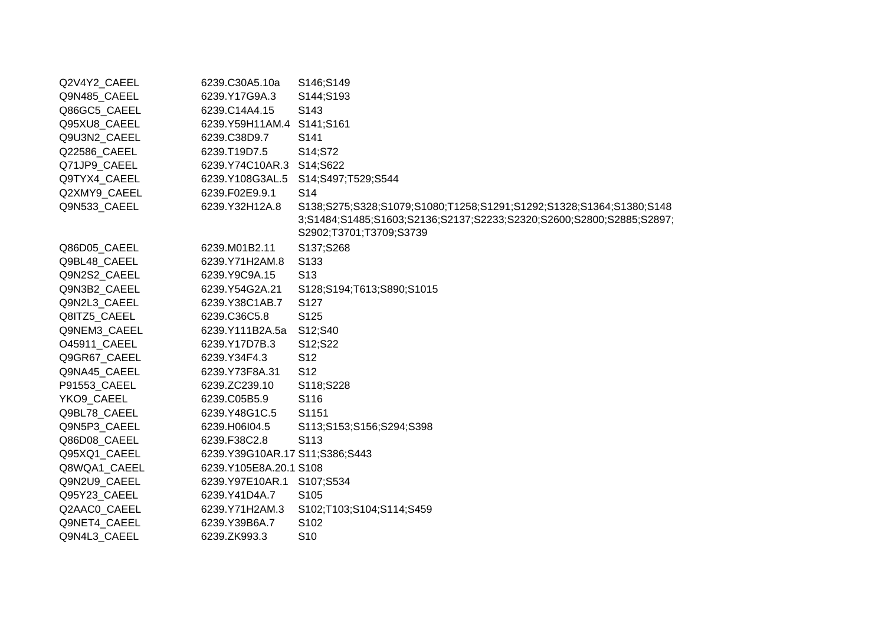| Q2V4Y2_CAEEL | 6239.C30A5.10a                 | S146;S149                                                                                                                                                              |
|--------------|--------------------------------|------------------------------------------------------------------------------------------------------------------------------------------------------------------------|
| Q9N485_CAEEL | 6239.Y17G9A.3                  | S144;S193                                                                                                                                                              |
| Q86GC5 CAEEL | 6239.C14A4.15                  | S <sub>143</sub>                                                                                                                                                       |
| Q95XU8_CAEEL | 6239.Y59H11AM.4 S141;S161      |                                                                                                                                                                        |
| Q9U3N2_CAEEL | 6239.C38D9.7                   | S141                                                                                                                                                                   |
| Q22586 CAEEL | 6239.T19D7.5                   | S14;S72                                                                                                                                                                |
| Q71JP9_CAEEL | 6239.Y74C10AR.3 S14;S622       |                                                                                                                                                                        |
| Q9TYX4_CAEEL | 6239.Y108G3AL.5                | S14;S497;T529;S544                                                                                                                                                     |
| Q2XMY9_CAEEL | 6239.F02E9.9.1                 | S <sub>14</sub>                                                                                                                                                        |
| Q9N533_CAEEL | 6239.Y32H12A.8                 | S138;S275;S328;S1079;S1080;T1258;S1291;S1292;S1328;S1364;S1380;S148<br>3;S1484;S1485;S1603;S2136;S2137;S2233;S2320;S2600;S2800;S2885;S2897;<br>S2902;T3701;T3709;S3739 |
| Q86D05_CAEEL | 6239.M01B2.11                  | S137;S268                                                                                                                                                              |
| Q9BL48_CAEEL | 6239.Y71H2AM.8                 | S <sub>133</sub>                                                                                                                                                       |
| Q9N2S2_CAEEL | 6239.Y9C9A.15                  | S <sub>13</sub>                                                                                                                                                        |
| Q9N3B2 CAEEL | 6239.Y54G2A.21                 | S128;S194;T613;S890;S1015                                                                                                                                              |
| Q9N2L3 CAEEL | 6239.Y38C1AB.7                 | S127                                                                                                                                                                   |
| Q8ITZ5_CAEEL | 6239.C36C5.8                   | S125                                                                                                                                                                   |
| Q9NEM3 CAEEL | 6239.Y111B2A.5a                | S12;S40                                                                                                                                                                |
| O45911_CAEEL | 6239.Y17D7B.3                  | S12;S22                                                                                                                                                                |
| Q9GR67_CAEEL | 6239.Y34F4.3                   | S <sub>12</sub>                                                                                                                                                        |
| Q9NA45 CAEEL | 6239.Y73F8A.31                 | S <sub>12</sub>                                                                                                                                                        |
| P91553_CAEEL | 6239.ZC239.10                  | S118;S228                                                                                                                                                              |
| YKO9_CAEEL   | 6239.C05B5.9                   | S116                                                                                                                                                                   |
| Q9BL78_CAEEL | 6239.Y48G1C.5                  | S1151                                                                                                                                                                  |
| Q9N5P3_CAEEL | 6239.H06l04.5                  | S113;S153;S156;S294;S398                                                                                                                                               |
| Q86D08 CAEEL | 6239.F38C2.8                   | S113                                                                                                                                                                   |
| Q95XQ1_CAEEL | 6239.Y39G10AR.17 S11;S386;S443 |                                                                                                                                                                        |
| Q8WQA1 CAEEL | 6239.Y105E8A.20.1 S108         |                                                                                                                                                                        |
| Q9N2U9_CAEEL | 6239.Y97E10AR.1 S107;S534      |                                                                                                                                                                        |
| Q95Y23_CAEEL | 6239.Y41D4A.7                  | S105                                                                                                                                                                   |
| Q2AAC0 CAEEL | 6239.Y71H2AM.3                 | S102;T103;S104;S114;S459                                                                                                                                               |
| Q9NET4_CAEEL | 6239.Y39B6A.7                  | S102                                                                                                                                                                   |
| Q9N4L3_CAEEL | 6239.ZK993.3                   | S <sub>10</sub>                                                                                                                                                        |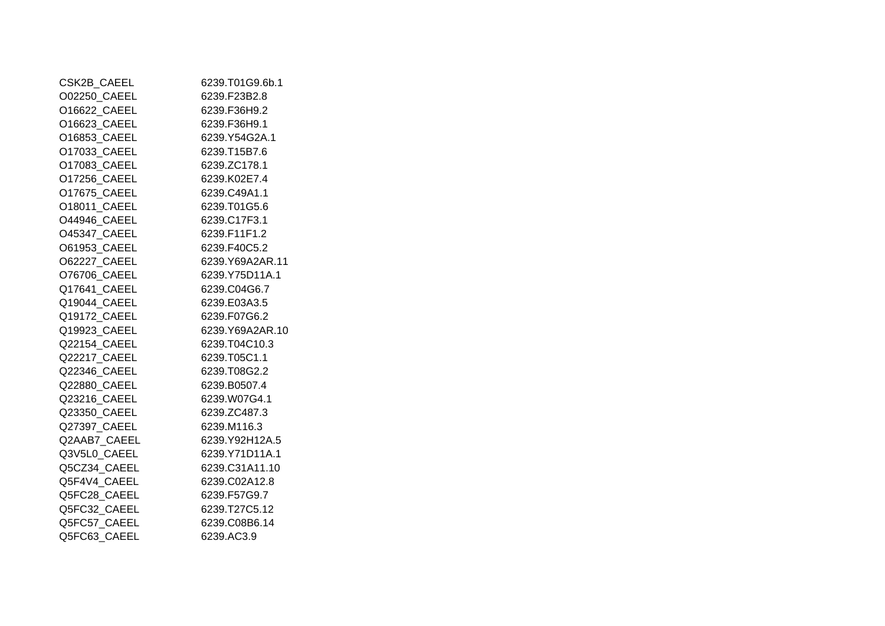| CSK2B_CAEEL  | 6239.T01G9.6b.1 |
|--------------|-----------------|
| O02250 CAEEL | 6239.F23B2.8    |
| O16622_CAEEL | 6239.F36H9.2    |
| O16623_CAEEL | 6239.F36H9.1    |
| O16853 CAEEL | 6239.Y54G2A.1   |
| O17033_CAEEL | 6239.T15B7.6    |
| O17083 CAEEL | 6239.ZC178.1    |
| O17256_CAEEL | 6239.K02E7.4    |
| O17675 CAEEL | 6239.C49A1.1    |
| O18011 CAEEL | 6239.T01G5.6    |
| O44946 CAEEL | 6239.C17F3.1    |
| O45347 CAEEL | 6239.F11F1.2    |
| O61953_CAEEL | 6239.F40C5.2    |
| O62227_CAEEL | 6239.Y69A2AR.11 |
| O76706 CAEEL | 6239.Y75D11A.1  |
| Q17641_CAEEL | 6239.C04G6.7    |
| Q19044 CAEEL | 6239.E03A3.5    |
| Q19172 CAEEL | 6239.F07G6.2    |
| Q19923_CAEEL | 6239.Y69A2AR.10 |
| Q22154 CAEEL | 6239.T04C10.3   |
| Q22217_CAEEL | 6239.T05C1.1    |
| Q22346 CAEEL | 6239.T08G2.2    |
| Q22880_CAEEL | 6239.B0507.4    |
| Q23216_CAEEL | 6239.W07G4.1    |
| Q23350 CAEEL | 6239.ZC487.3    |
| Q27397 CAEEL | 6239.M116.3     |
| Q2AAB7 CAEEL | 6239.Y92H12A.5  |
| Q3V5L0_CAEEL | 6239.Y71D11A.1  |
| Q5CZ34_CAEEL | 6239.C31A11.10  |
| Q5F4V4 CAEEL | 6239.C02A12.8   |
| Q5FC28 CAEEL | 6239.F57G9.7    |
| Q5FC32 CAEEL | 6239.T27C5.12   |
| Q5FC57_CAEEL | 6239.C08B6.14   |
| Q5FC63_CAEEL | 6239.AC3.9      |
|              |                 |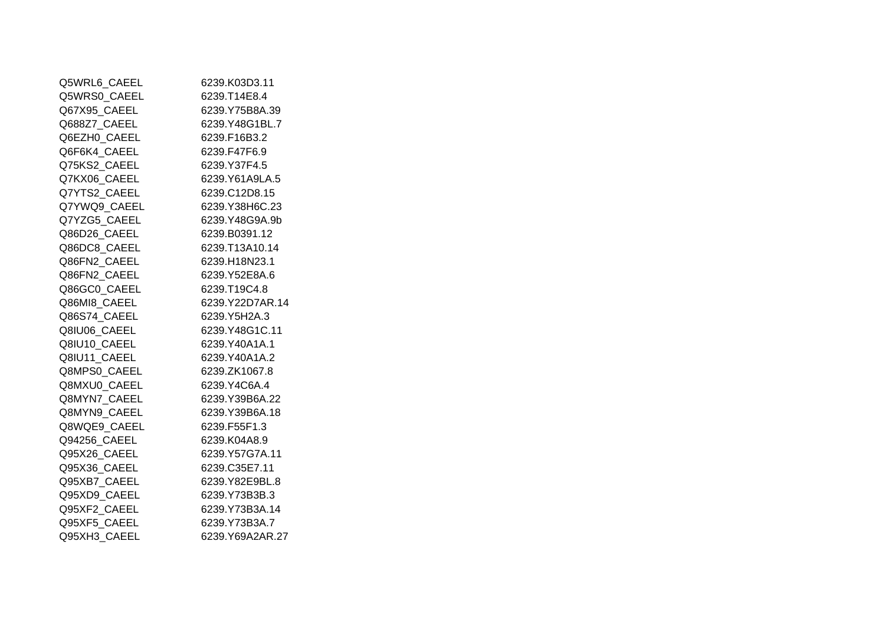| Q5WRL6_CAEEL | 6239.K03D3.11   |
|--------------|-----------------|
| Q5WRS0 CAEEL | 6239.T14E8.4    |
| Q67X95 CAEEL | 6239.Y75B8A.39  |
| Q688Z7 CAEEL | 6239.Y48G1BL.7  |
| Q6EZH0_CAEEL | 6239.F16B3.2    |
| Q6F6K4 CAEEL | 6239.F47F6.9    |
| Q75KS2_CAEEL | 6239.Y37F4.5    |
| Q7KX06_CAEEL | 6239.Y61A9LA.5  |
| Q7YTS2 CAEEL | 6239.C12D8.15   |
| Q7YWQ9 CAEEL | 6239.Y38H6C.23  |
| Q7YZG5_CAEEL | 6239.Y48G9A.9b  |
| Q86D26_CAEEL | 6239.B0391.12   |
| Q86DC8_CAEEL | 6239.T13A10.14  |
| Q86FN2 CAEEL | 6239.H18N23.1   |
| Q86FN2 CAEEL | 6239.Y52E8A.6   |
| Q86GC0_CAEEL | 6239.T19C4.8    |
| Q86MI8_CAEEL | 6239.Y22D7AR.14 |
| Q86S74_CAEEL | 6239.Y5H2A.3    |
| Q8IU06 CAEEL | 6239.Y48G1C.11  |
| Q8IU10 CAEEL | 6239.Y40A1A.1   |
| Q8IU11 CAEEL | 6239.Y40A1A.2   |
| Q8MPS0_CAEEL | 6239.ZK1067.8   |
| Q8MXU0_CAEEL | 6239.Y4C6A.4    |
| Q8MYN7 CAEEL | 6239.Y39B6A.22  |
| Q8MYN9 CAEEL | 6239.Y39B6A.18  |
| Q8WQE9_CAEEL | 6239.F55F1.3    |
| Q94256 CAEEL | 6239.K04A8.9    |
| Q95X26_CAEEL | 6239.Y57G7A.11  |
| Q95X36_CAEEL | 6239.C35E7.11   |
| Q95XB7 CAEEL | 6239.Y82E9BL.8  |
| Q95XD9 CAEEL | 6239.Y73B3B.3   |
| Q95XF2_CAEEL | 6239.Y73B3A.14  |
| Q95XF5_CAEEL | 6239.Y73B3A.7   |
| Q95XH3_CAEEL | 6239.Y69A2AR.27 |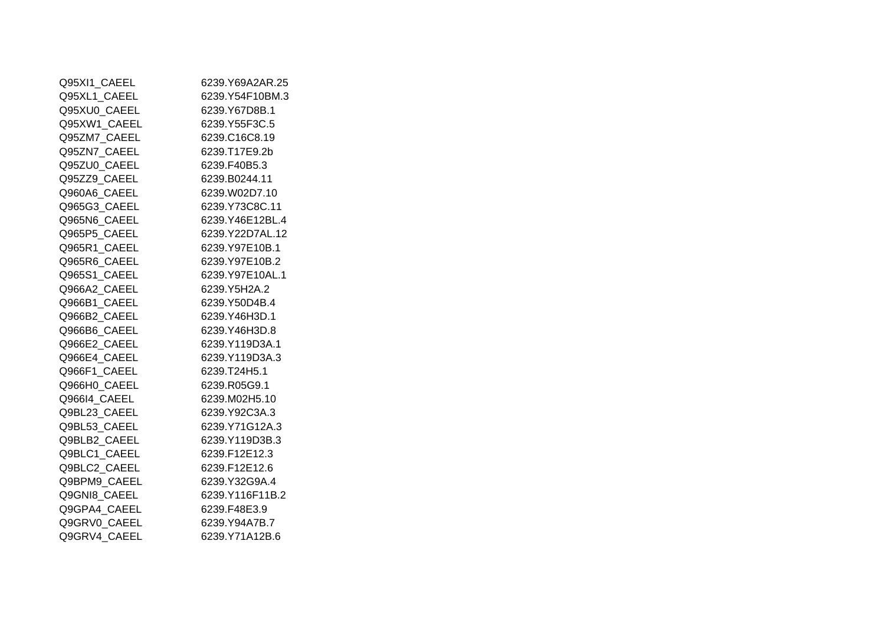| Q95XI1 CAEEL | 6239.Y69A2AR.25 |
|--------------|-----------------|
| Q95XL1 CAEEL | 6239.Y54F10BM.3 |
| Q95XU0_CAEEL | 6239.Y67D8B.1   |
| Q95XW1_CAEEL | 6239.Y55F3C.5   |
| Q95ZM7 CAEEL | 6239.C16C8.19   |
| Q95ZN7_CAEEL | 6239.T17E9.2b   |
| Q95ZU0 CAEEL | 6239.F40B5.3    |
| Q95ZZ9_CAEEL | 6239.B0244.11   |
| Q960A6_CAEEL | 6239.W02D7.10   |
| Q965G3 CAEEL | 6239.Y73C8C.11  |
| Q965N6 CAEEL | 6239.Y46E12BL.4 |
| Q965P5 CAEEL | 6239.Y22D7AL.12 |
| Q965R1_CAEEL | 6239.Y97E10B.1  |
| Q965R6_CAEEL | 6239.Y97E10B.2  |
| Q965S1 CAEEL | 6239.Y97E10AL.1 |
| Q966A2 CAEEL | 6239.Y5H2A.2    |
| Q966B1 CAEEL | 6239.Y50D4B.4   |
| Q966B2_CAEEL | 6239.Y46H3D.1   |
| Q966B6_CAEEL | 6239.Y46H3D.8   |
| Q966E2 CAEEL | 6239.Y119D3A.1  |
| Q966E4 CAEEL | 6239.Y119D3A.3  |
| Q966F1 CAEEL | 6239.T24H5.1    |
| Q966H0 CAEEL | 6239.R05G9.1    |
| Q966I4 CAEEL | 6239.M02H5.10   |
| Q9BL23 CAEEL | 6239.Y92C3A.3   |
| Q9BL53_CAEEL | 6239.Y71G12A.3  |
| Q9BLB2 CAEEL | 6239.Y119D3B.3  |
| Q9BLC1 CAEEL | 6239.F12E12.3   |
| Q9BLC2_CAEEL | 6239.F12E12.6   |
| Q9BPM9_CAEEL | 6239.Y32G9A.4   |
| Q9GNI8 CAEEL | 6239.Y116F11B.2 |
| Q9GPA4 CAEEL | 6239.F48E3.9    |
| Q9GRV0 CAEEL | 6239.Y94A7B.7   |
| Q9GRV4_CAEEL | 6239.Y71A12B.6  |
|              |                 |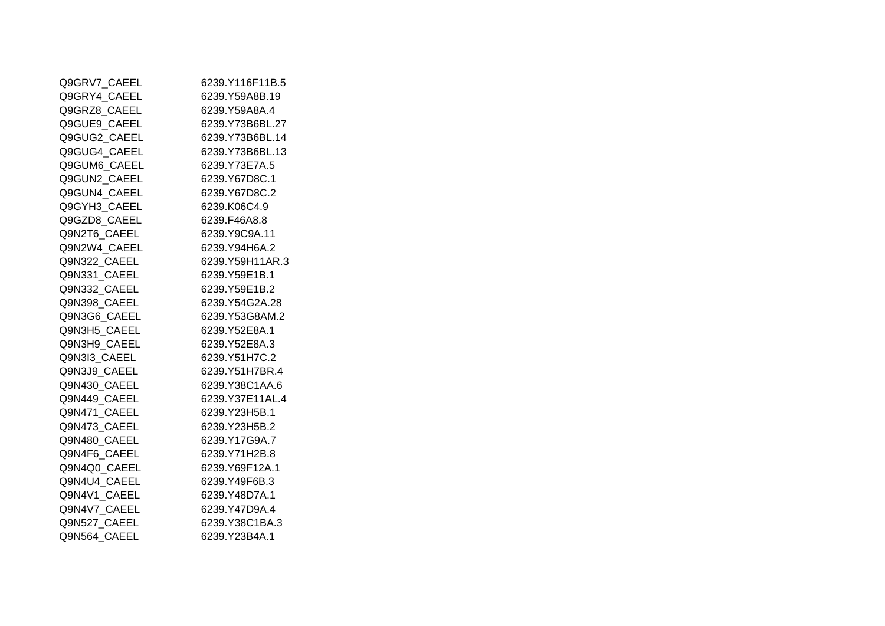| Q9GRV7 CAEEL | 6239.Y116F11B.5 |
|--------------|-----------------|
| Q9GRY4 CAEEL | 6239.Y59A8B.19  |
| Q9GRZ8 CAEEL | 6239.Y59A8A.4   |
| Q9GUE9 CAEEL | 6239.Y73B6BL.27 |
| Q9GUG2 CAEEL | 6239.Y73B6BL.14 |
| Q9GUG4 CAEEL | 6239.Y73B6BL.13 |
| Q9GUM6 CAEEL | 6239.Y73E7A.5   |
| Q9GUN2 CAEEL | 6239.Y67D8C.1   |
| Q9GUN4 CAEEL | 6239.Y67D8C.2   |
| Q9GYH3 CAEEL | 6239.K06C4.9    |
| Q9GZD8 CAEEL | 6239.F46A8.8    |
| Q9N2T6_CAEEL | 6239.Y9C9A.11   |
| Q9N2W4 CAEEL | 6239.Y94H6A.2   |
| Q9N322_CAEEL | 6239.Y59H11AR.3 |
| Q9N331 CAEEL | 6239.Y59E1B.1   |
| Q9N332 CAEEL | 6239.Y59E1B.2   |
| Q9N398 CAEEL | 6239.Y54G2A.28  |
| Q9N3G6 CAEEL | 6239.Y53G8AM.2  |
| Q9N3H5 CAEEL | 6239.Y52E8A.1   |
| Q9N3H9 CAEEL | 6239.Y52E8A.3   |
| Q9N3I3 CAEEL | 6239.Y51H7C.2   |
| Q9N3J9 CAEEL | 6239.Y51H7BR.4  |
| Q9N430_CAEEL | 6239.Y38C1AA.6  |
| Q9N449 CAEEL | 6239.Y37E11AL.4 |
| Q9N471 CAEEL | 6239 Y23H5B.1   |
| Q9N473 CAEEL | 6239.Y23H5B.2   |
| Q9N480_CAEEL | 6239.Y17G9A.7   |
| Q9N4F6 CAEEL | 6239.Y71H2B.8   |
| Q9N4Q0 CAEEL | 6239.Y69F12A.1  |
| Q9N4U4 CAEEL | 6239.Y49F6B.3   |
| Q9N4V1 CAEEL | 6239.Y48D7A.1   |
| Q9N4V7 CAEEL | 6239.Y47D9A.4   |
| Q9N527_CAEEL | 6239.Y38C1BA.3  |
| Q9N564 CAEEL | 6239.Y23B4A.1   |
|              |                 |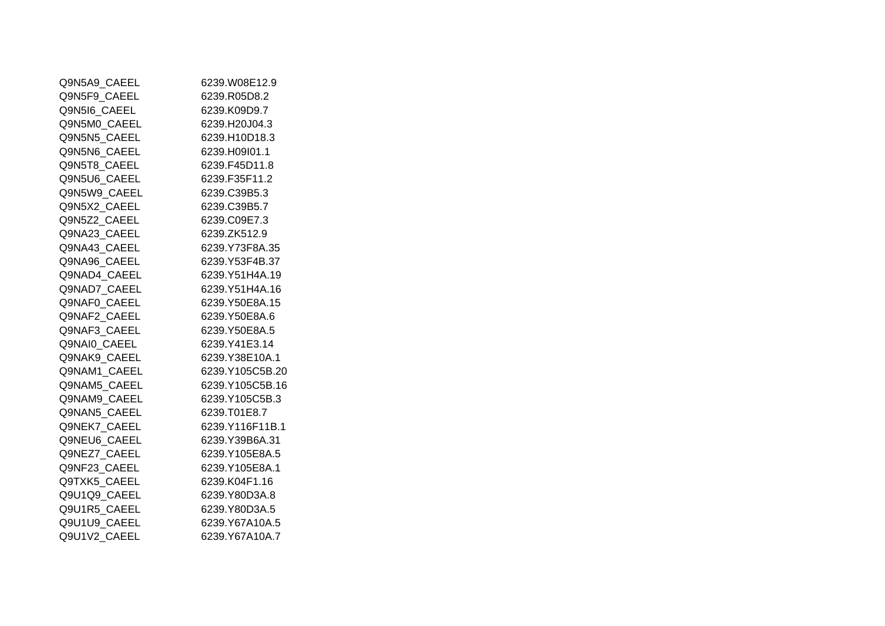| Q9N5A9 CAEEL | 6239.W08E12.9   |
|--------------|-----------------|
| Q9N5F9 CAEEL | 6239.R05D8.2    |
| Q9N5I6 CAEEL | 6239.K09D9.7    |
| Q9N5M0_CAEEL | 6239.H20J04.3   |
| Q9N5N5 CAEEL | 6239.H10D18.3   |
| Q9N5N6 CAEEL | 6239.H09I01.1   |
| Q9N5T8 CAEEL | 6239.F45D11.8   |
| Q9N5U6 CAEEL | 6239.F35F11.2   |
| Q9N5W9 CAEEL | 6239.C39B5.3    |
| Q9N5X2 CAEEL | 6239.C39B5.7    |
| Q9N5Z2_CAEEL | 6239.C09E7.3    |
| Q9NA23 CAEEL | 6239.ZK512.9    |
| Q9NA43 CAEEL | 6239.Y73F8A.35  |
| Q9NA96_CAEEL | 6239.Y53F4B.37  |
| Q9NAD4 CAEEL | 6239.Y51H4A.19  |
| Q9NAD7 CAEEL | 6239.Y51H4A.16  |
| Q9NAF0 CAEEL | 6239.Y50E8A.15  |
| Q9NAF2 CAEEL | 6239.Y50E8A.6   |
| Q9NAF3 CAEEL | 6239.Y50E8A.5   |
| Q9NAI0 CAEEL | 6239.Y41E3.14   |
| Q9NAK9 CAEEL | 6239.Y38E10A.1  |
| Q9NAM1 CAEEL | 6239.Y105C5B.20 |
| Q9NAM5_CAEEL | 6239.Y105C5B.16 |
| Q9NAM9 CAEEL | 6239.Y105C5B.3  |
| Q9NAN5 CAEEL | 6239.T01E8.7    |
| Q9NEK7_CAEEL | 6239.Y116F11B.1 |
| Q9NEU6_CAEEL | 6239.Y39B6A.31  |
| Q9NEZ7 CAEEL | 6239.Y105E8A.5  |
| Q9NF23_CAEEL | 6239.Y105E8A.1  |
| Q9TXK5 CAEEL | 6239.K04F1.16   |
| Q9U1Q9 CAEEL | 6239.Y80D3A.8   |
| Q9U1R5 CAEEL | 6239.Y80D3A.5   |
| Q9U1U9 CAEEL | 6239.Y67A10A.5  |
| Q9U1V2 CAEEL | 6239.Y67A10A.7  |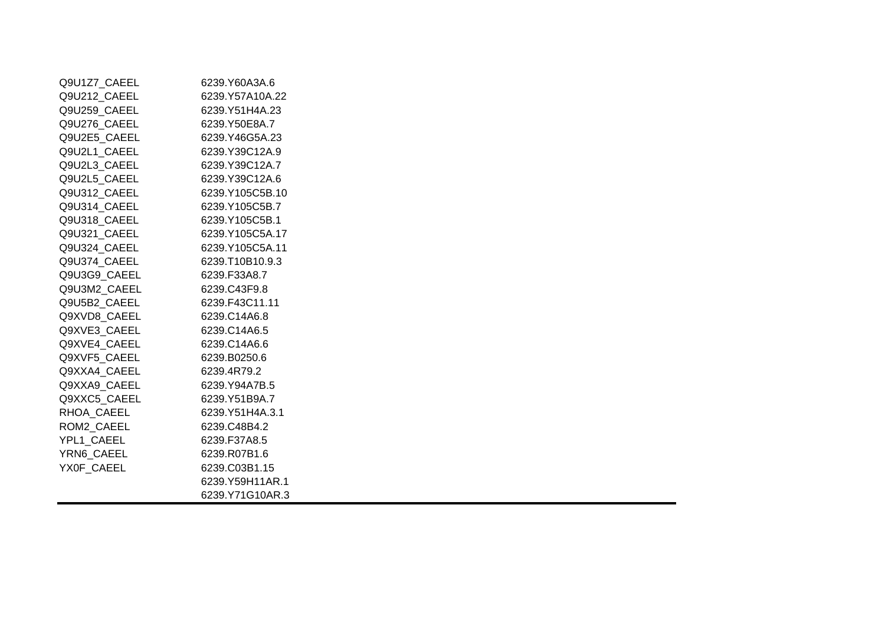| Q9U1Z7 CAEEL | 6239.Y60A3A.6    |
|--------------|------------------|
| Q9U212 CAEEL | 6239.Y57A10A.22  |
| Q9U259_CAEEL | 6239.Y51H4A.23   |
| Q9U276_CAEEL | 6239.Y50E8A.7    |
| Q9U2E5_CAEEL | 6239.Y46G5A.23   |
| Q9U2L1 CAEEL | 6239.Y39C12A.9   |
| Q9U2L3 CAEEL | 6239.Y39C12A.7   |
| Q9U2L5_CAEEL | 6239.Y39C12A.6   |
| Q9U312 CAEEL | 6239.Y105C5B.10  |
| Q9U314 CAEEL | 6239.Y105C5B.7   |
| Q9U318 CAEEL | 6239.Y105C5B.1   |
| Q9U321 CAEEL | 6239.Y105C5A.17  |
| Q9U324 CAEEL | 6239.Y105C5A.11  |
| Q9U374 CAEEL | 6239.T10B10.9.3  |
| Q9U3G9 CAEEL | 6239.F33A8.7     |
| Q9U3M2_CAEEL | 6239.C43F9.8     |
| Q9U5B2 CAEEL | 6239.F43C11.11   |
| Q9XVD8 CAEEL | 6239.C14A6.8     |
| Q9XVE3 CAEEL | 6239.C14A6.5     |
| Q9XVE4 CAEEL | 6239.C14A6.6     |
| Q9XVF5 CAEEL | 6239.B0250.6     |
| Q9XXA4 CAEEL | 6239.4R79.2      |
| Q9XXA9 CAEEL | 6239.Y94A7B.5    |
| Q9XXC5 CAEEL | 6239.Y51B9A.7    |
| RHOA CAEEL   | 6239.Y51H4A.3.1  |
| ROM2 CAEEL   | 6239.C48B4.2     |
| YPL1 CAEEL   | 6239.F37A8.5     |
| YRN6 CAEEL   | 6239.R07B1.6     |
| YX0F CAEEL   | 6239.C03B1.15    |
|              | 6239. Y59H11AR.1 |
|              | 6239.Y71G10AR.3  |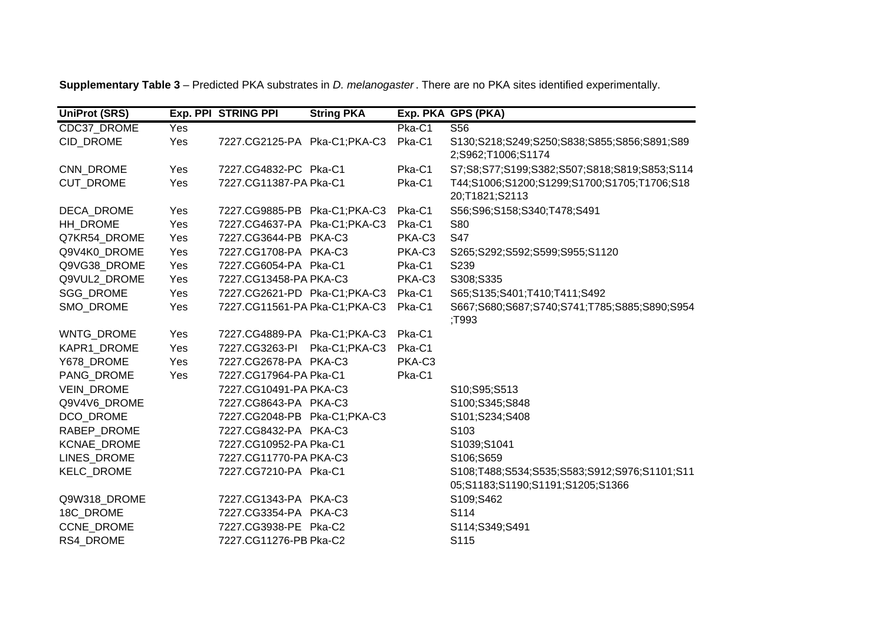| <b>UniProt (SRS)</b> |     | Exp. PPI STRING PPI           | <b>String PKA</b> |        | Exp. PKA GPS (PKA)                                                               |
|----------------------|-----|-------------------------------|-------------------|--------|----------------------------------------------------------------------------------|
| CDC37 DROME          | Yes |                               |                   | Pka-C1 | S <sub>56</sub>                                                                  |
| CID DROME            | Yes | 7227.CG2125-PA Pka-C1;PKA-C3  |                   | Pka-C1 | S130;S218;S249;S250;S838;S855;S856;S891;S89<br>2;S962;T1006;S1174                |
| CNN_DROME            | Yes | 7227.CG4832-PC Pka-C1         |                   | Pka-C1 | S7;S8;S77;S199;S382;S507;S818;S819;S853;S114                                     |
| <b>CUT DROME</b>     | Yes | 7227.CG11387-PA Pka-C1        |                   | Pka-C1 | T44;S1006;S1200;S1299;S1700;S1705;T1706;S18<br>20;T1821;S2113                    |
| DECA_DROME           | Yes | 7227.CG9885-PB Pka-C1;PKA-C3  |                   | Pka-C1 | S56;S96;S158;S340;T478;S491                                                      |
| HH DROME             | Yes | 7227.CG4637-PA Pka-C1;PKA-C3  |                   | Pka-C1 | <b>S80</b>                                                                       |
| Q7KR54 DROME         | Yes | 7227.CG3644-PB PKA-C3         |                   | PKA-C3 | <b>S47</b>                                                                       |
| Q9V4K0_DROME         | Yes | 7227.CG1708-PA PKA-C3         |                   | PKA-C3 | S265;S292;S592;S599;S955;S1120                                                   |
| Q9VG38 DROME         | Yes | 7227.CG6054-PA Pka-C1         |                   | Pka-C1 | S239                                                                             |
| Q9VUL2_DROME         | Yes | 7227.CG13458-PA PKA-C3        |                   | PKA-C3 | S308;S335                                                                        |
| SGG_DROME            | Yes | 7227.CG2621-PD Pka-C1;PKA-C3  |                   | Pka-C1 | S65;S135;S401;T410;T411;S492                                                     |
| SMO DROME            | Yes | 7227.CG11561-PA Pka-C1;PKA-C3 |                   | Pka-C1 | S667;S680;S687;S740;S741;T785;S885;S890;S954<br>T993;                            |
| <b>WNTG DROME</b>    | Yes | 7227.CG4889-PA Pka-C1;PKA-C3  |                   | Pka-C1 |                                                                                  |
| KAPR1 DROME          | Yes | 7227.CG3263-PI                | Pka-C1;PKA-C3     | Pka-C1 |                                                                                  |
| Y678_DROME           | Yes | 7227.CG2678-PA PKA-C3         |                   | PKA-C3 |                                                                                  |
| PANG DROME           | Yes | 7227.CG17964-PA Pka-C1        |                   | Pka-C1 |                                                                                  |
| <b>VEIN DROME</b>    |     | 7227.CG10491-PA PKA-C3        |                   |        | S10;S95;S513                                                                     |
| Q9V4V6_DROME         |     | 7227.CG8643-PA PKA-C3         |                   |        | S100;S345;S848                                                                   |
| DCO DROME            |     | 7227.CG2048-PB Pka-C1;PKA-C3  |                   |        | S101;S234;S408                                                                   |
| RABEP_DROME          |     | 7227.CG8432-PA PKA-C3         |                   |        | S103                                                                             |
| KCNAE_DROME          |     | 7227.CG10952-PA Pka-C1        |                   |        | S1039;S1041                                                                      |
| LINES_DROME          |     | 7227.CG11770-PA PKA-C3        |                   |        | S106;S659                                                                        |
| KELC_DROME           |     | 7227.CG7210-PA Pka-C1         |                   |        | S108;T488;S534;S535;S583;S912;S976;S1101;S11<br>05;S1183;S1190;S1191;S1205;S1366 |
| Q9W318_DROME         |     | 7227.CG1343-PA PKA-C3         |                   |        | S109;S462                                                                        |
| 18C_DROME            |     | 7227.CG3354-PA PKA-C3         |                   |        | S114                                                                             |
| <b>CCNE DROME</b>    |     | 7227.CG3938-PE Pka-C2         |                   |        | S114;S349;S491                                                                   |
| RS4_DROME            |     | 7227.CG11276-PB Pka-C2        |                   |        | S115                                                                             |

**Supplementary Table 3** – Predicted PKA substrates in *D. melanogaster* . There are no PKA sites identified experimentally.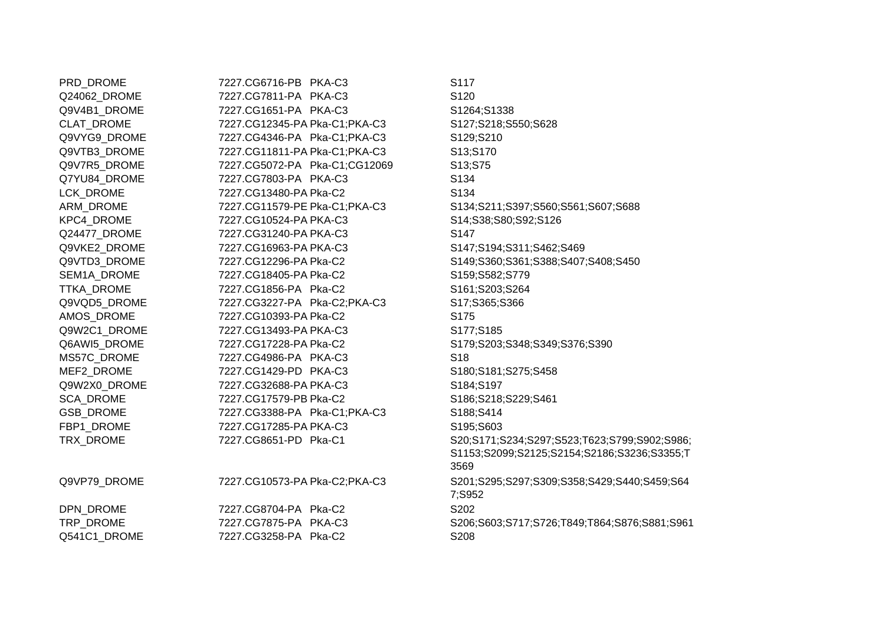| PRD_DROME        | 7227.CG6716-PB PKA-C3         | S117                                         |
|------------------|-------------------------------|----------------------------------------------|
| Q24062_DROME     | 7227.CG7811-PA PKA-C3         | S120                                         |
| Q9V4B1_DROME     | 7227.CG1651-PA PKA-C3         | S1264;S1338                                  |
| CLAT_DROME       | 7227.CG12345-PA Pka-C1;PKA-C3 | S127;S218;S550;S628                          |
| Q9VYG9_DROME     | 7227.CG4346-PA Pka-C1;PKA-C3  | S129;S210                                    |
| Q9VTB3 DROME     | 7227.CG11811-PA Pka-C1;PKA-C3 | S13;S170                                     |
| Q9V7R5_DROME     | 7227.CG5072-PA Pka-C1;CG12069 | S13;S75                                      |
| Q7YU84 DROME     | 7227.CG7803-PA PKA-C3         | S134                                         |
| LCK_DROME        | 7227.CG13480-PA Pka-C2        | S134                                         |
| ARM DROME        | 7227.CG11579-PE Pka-C1;PKA-C3 | S134;S211;S397;S560;S561;S607;S688           |
| KPC4_DROME       | 7227.CG10524-PA PKA-C3        | S14;S38;S80;S92;S126                         |
| Q24477_DROME     | 7227.CG31240-PA PKA-C3        | S <sub>147</sub>                             |
| Q9VKE2_DROME     | 7227.CG16963-PA PKA-C3        | S147;S194;S311;S462;S469                     |
| Q9VTD3_DROME     | 7227.CG12296-PA Pka-C2        | S149;S360;S361;S388;S407;S408;S450           |
| SEM1A_DROME      | 7227.CG18405-PA Pka-C2        | S159;S582;S779                               |
| TTKA_DROME       | 7227.CG1856-PA Pka-C2         | S161;S203;S264                               |
| Q9VQD5_DROME     | 7227.CG3227-PA Pka-C2;PKA-C3  | S17;S365;S366                                |
| AMOS_DROME       | 7227.CG10393-PA Pka-C2        | S <sub>175</sub>                             |
| Q9W2C1_DROME     | 7227.CG13493-PA PKA-C3        | S177;S185                                    |
| Q6AWI5_DROME     | 7227.CG17228-PA Pka-C2        | S179;S203;S348;S349;S376;S390                |
| MS57C_DROME      | 7227.CG4986-PA PKA-C3         | S <sub>18</sub>                              |
| MEF2_DROME       | 7227.CG1429-PD PKA-C3         | S180;S181;S275;S458                          |
| Q9W2X0_DROME     | 7227.CG32688-PA PKA-C3        | S184;S197                                    |
| <b>SCA_DROME</b> | 7227.CG17579-PB Pka-C2        | S186;S218;S229;S461                          |
| <b>GSB DROME</b> | 7227.CG3388-PA Pka-C1;PKA-C3  | S188;S414                                    |
| FBP1_DROME       | 7227.CG17285-PA PKA-C3        | S195;S603                                    |
| TRX_DROME        | 7227.CG8651-PD Pka-C1         | S20;S171;S234;S297;S523;T623;S799;S902;S986; |
|                  |                               | S1153;S2099;S2125;S2154;S2186;S3236;S3355;T  |
|                  |                               | 3569                                         |
| Q9VP79_DROME     | 7227.CG10573-PA Pka-C2;PKA-C3 | S201;S295;S297;S309;S358;S429;S440;S459;S64  |
|                  |                               | 7;S952                                       |
| DPN_DROME        | 7227.CG8704-PA Pka-C2         | S202                                         |
| TRP_DROME        | 7227.CG7875-PA PKA-C3         | S206;S603;S717;S726;T849;T864;S876;S881;S961 |
| Q541C1_DROME     | 7227.CG3258-PA Pka-C2         | S208                                         |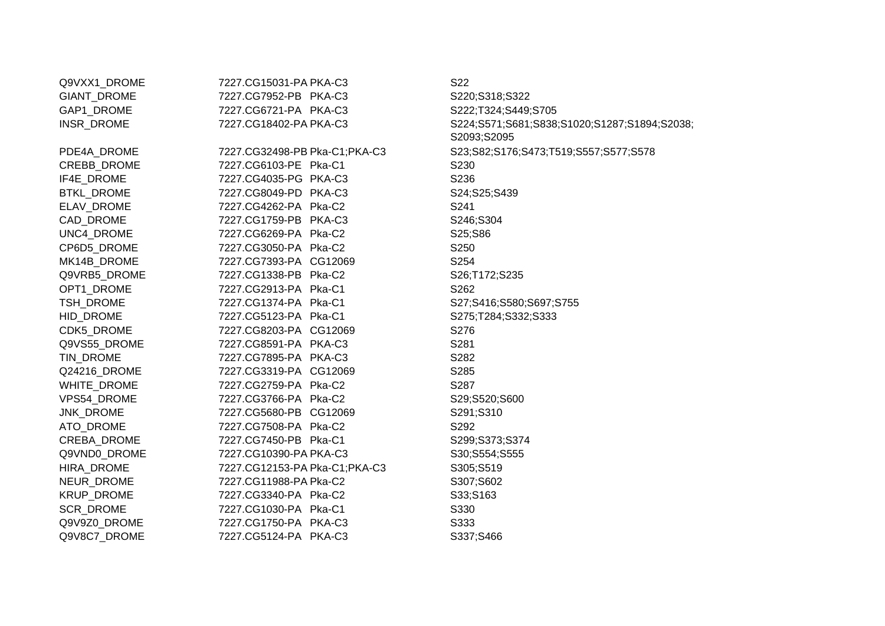| Q9VXX1_DROME      | 7227.CG15031-PA PKA-C3        | S22                                          |
|-------------------|-------------------------------|----------------------------------------------|
| GIANT_DROME       | 7227.CG7952-PB PKA-C3         | S220;S318;S322                               |
| GAP1_DROME        | 7227.CG6721-PA PKA-C3         | S222;T324;S449;S705                          |
| INSR_DROME        | 7227.CG18402-PA PKA-C3        | S224;S571;S681;S838;S1020;S1287;S1894;S2038; |
|                   |                               | S2093;S2095                                  |
| PDE4A_DROME       | 7227.CG32498-PB Pka-C1;PKA-C3 | S23;S82;S176;S473;T519;S557;S577;S578        |
| CREBB_DROME       | 7227.CG6103-PE Pka-C1         | S <sub>230</sub>                             |
| IF4E_DROME        | 7227.CG4035-PG PKA-C3         | S236                                         |
| <b>BTKL_DROME</b> | 7227.CG8049-PD PKA-C3         | S24;S25;S439                                 |
| ELAV_DROME        | 7227.CG4262-PA Pka-C2         | S241                                         |
| CAD_DROME         | 7227.CG1759-PB PKA-C3         | S246;S304                                    |
| UNC4_DROME        | 7227.CG6269-PA Pka-C2         | S25;S86                                      |
| CP6D5_DROME       | 7227.CG3050-PA Pka-C2         | S <sub>250</sub>                             |
| MK14B_DROME       | 7227.CG7393-PA CG12069        | S254                                         |
| Q9VRB5_DROME      | 7227.CG1338-PB Pka-C2         | S26;T172;S235                                |
| OPT1_DROME        | 7227.CG2913-PA Pka-C1         | S262                                         |
| TSH_DROME         | 7227.CG1374-PA Pka-C1         | S27;S416;S580;S697;S755                      |
| HID_DROME         | 7227.CG5123-PA Pka-C1         | S275;T284;S332;S333                          |
| CDK5_DROME        | 7227.CG8203-PA CG12069        | S276                                         |
| Q9VS55_DROME      | 7227.CG8591-PA PKA-C3         | S281                                         |
| TIN_DROME         | 7227.CG7895-PA PKA-C3         | S282                                         |
| Q24216_DROME      | 7227.CG3319-PA CG12069        | S285                                         |
| WHITE_DROME       | 7227.CG2759-PA Pka-C2         | S287                                         |
| VPS54_DROME       | 7227.CG3766-PA Pka-C2         | S29;S520;S600                                |
| JNK_DROME         | 7227.CG5680-PB CG12069        | S291;S310                                    |
| ATO_DROME         | 7227.CG7508-PA Pka-C2         | S292                                         |
| CREBA_DROME       | 7227.CG7450-PB Pka-C1         | S299;S373;S374                               |
| Q9VND0_DROME      | 7227.CG10390-PA PKA-C3        | S30;S554;S555                                |
| HIRA_DROME        | 7227.CG12153-PA Pka-C1;PKA-C3 | S305;S519                                    |
| NEUR_DROME        | 7227.CG11988-PA Pka-C2        | S307;S602                                    |
| KRUP_DROME        | 7227.CG3340-PA Pka-C2         | S33;S163                                     |
| SCR_DROME         | 7227.CG1030-PA Pka-C1         | S330                                         |
| Q9V9Z0_DROME      | 7227.CG1750-PA PKA-C3         | S333                                         |
| Q9V8C7_DROME      | 7227.CG5124-PA PKA-C3         | S337;S466                                    |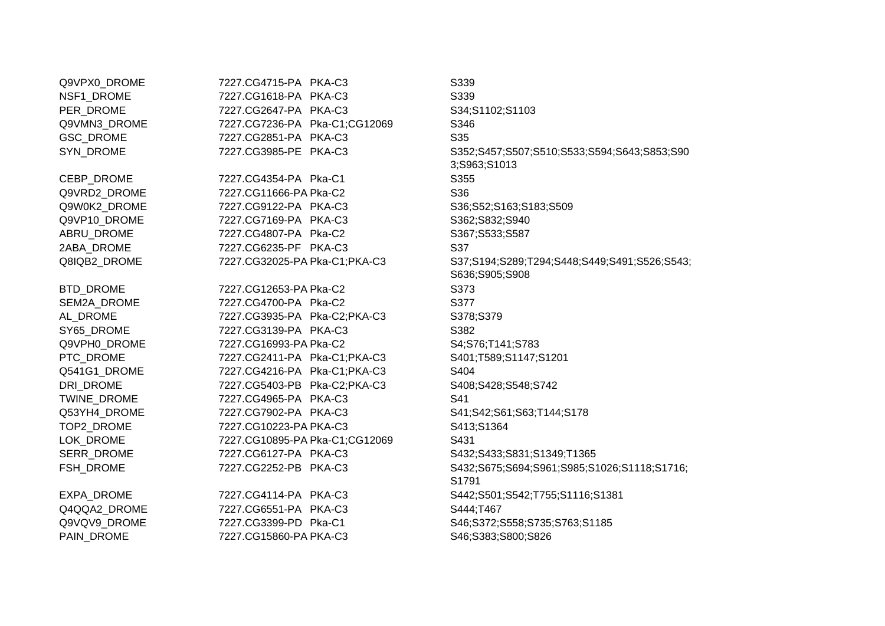| Q9VPX0_DROME | 7227.CG4715-PA PKA-C3          | S339                                                           |
|--------------|--------------------------------|----------------------------------------------------------------|
| NSF1_DROME   | 7227.CG1618-PA PKA-C3          | S339                                                           |
| PER_DROME    | 7227.CG2647-PA PKA-C3          | S34;S1102;S1103                                                |
| Q9VMN3 DROME | 7227.CG7236-PA Pka-C1;CG12069  | S346                                                           |
| GSC_DROME    | 7227.CG2851-PA PKA-C3          | S35                                                            |
| SYN_DROME    | 7227.CG3985-PE PKA-C3          | S352;S457;S507;S510;S533;S594;S643;S853;S90<br>3;S963;S1013    |
| CEBP_DROME   | 7227.CG4354-PA Pka-C1          | S355                                                           |
| Q9VRD2 DROME | 7227.CG11666-PA Pka-C2         | S36                                                            |
| Q9W0K2_DROME | 7227.CG9122-PA PKA-C3          | S36;S52;S163;S183;S509                                         |
| Q9VP10_DROME | 7227.CG7169-PA PKA-C3          | S362;S832;S940                                                 |
| ABRU_DROME   | 7227.CG4807-PA Pka-C2          | S367;S533;S587                                                 |
| 2ABA_DROME   | 7227.CG6235-PF PKA-C3          | S37                                                            |
| Q8IQB2_DROME | 7227.CG32025-PA Pka-C1;PKA-C3  | S37;S194;S289;T294;S448;S449;S491;S526;S543;<br>S636;S905;S908 |
| BTD_DROME    | 7227.CG12653-PA Pka-C2         | S373                                                           |
| SEM2A_DROME  | 7227.CG4700-PA Pka-C2          | S377                                                           |
| AL_DROME     | 7227.CG3935-PA Pka-C2;PKA-C3   | S378;S379                                                      |
| SY65_DROME   | 7227.CG3139-PA PKA-C3          | S382                                                           |
| Q9VPH0_DROME | 7227.CG16993-PA Pka-C2         | S4;S76;T141;S783                                               |
| PTC_DROME    | 7227.CG2411-PA Pka-C1;PKA-C3   | S401;T589;S1147;S1201                                          |
| Q541G1_DROME | 7227.CG4216-PA Pka-C1;PKA-C3   | S404                                                           |
| DRI DROME    | 7227.CG5403-PB Pka-C2;PKA-C3   | S408;S428;S548;S742                                            |
| TWINE_DROME  | 7227.CG4965-PA PKA-C3          | S41                                                            |
| Q53YH4_DROME | 7227.CG7902-PA PKA-C3          | S41;S42;S61;S63;T144;S178                                      |
| TOP2_DROME   | 7227.CG10223-PA PKA-C3         | S413;S1364                                                     |
| LOK_DROME    | 7227.CG10895-PA Pka-C1;CG12069 | S431                                                           |
| SERR_DROME   | 7227.CG6127-PA PKA-C3          | S432;S433;S831;S1349;T1365                                     |
| FSH_DROME    | 7227.CG2252-PB PKA-C3          | S432;S675;S694;S961;S985;S1026;S1118;S1716;<br>S1791           |
| EXPA_DROME   | 7227.CG4114-PA PKA-C3          | S442;S501;S542;T755;S1116;S1381                                |
| Q4QQA2_DROME | 7227.CG6551-PA PKA-C3          | S444;T467                                                      |
| Q9VQV9_DROME | 7227.CG3399-PD Pka-C1          | S46;S372;S558;S735;S763;S1185                                  |
| PAIN_DROME   | 7227.CG15860-PA PKA-C3         | S46;S383;S800;S826                                             |
|              |                                |                                                                |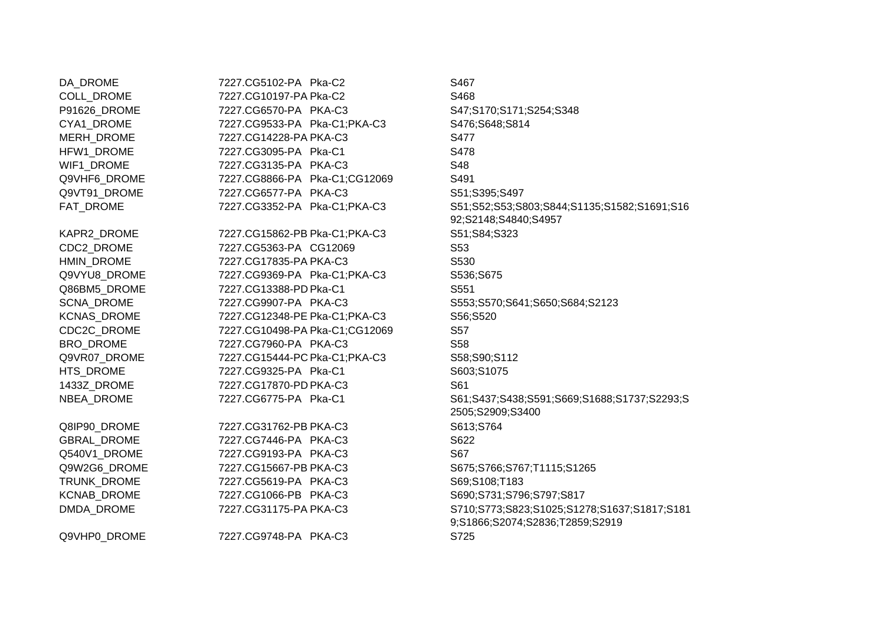DA\_DROME 7227.CG5102-PA Pka-C2 S467 COLL\_DROME 7227.CG10197-P A Pka-C2 S468 P91626\_DROME 7227.CG6570-PA PKA-C3 S47;S170;S171;S254;S348 CYA1\_DROME 7227.CG9533-PA Pka-C1;PKA-C3 S476;S648;S814 MERH\_DROME 7227.CG14228-P A PKA-C3 S477 HFW1\_DROME 7227.CG3095-PA Pka-C1 S478 WIF1\_DROME 7227.CG3135-PA PKA-C3 S48 Q9VHF6\_DROME 7227.CG8866-PA Pka-C1;CG12069 S491 Q9VT91\_DROME 7227.CG6577-PA PKA-C3 S51:S395:S497 FAT\_DROME 7227.CG3352-PA Pka-C1;PKA-C3 S51;S52;S53;S803;S844;S1135;S1582;S1691;S16 92;S2148;S4840;S4957 KAPR2\_DROME 7227.CG15862-PB Pka-C1;PKA-C3 S51;S84;S323 CDC2\_DROME 7227.CG5363-PA CG12069 S53 HMIN\_DROME 7227.CG17835-P A PKA-C3 S530 Q9VYU8\_DROME 7227.CG9369-PA Pka-C1;PKA-C3 S536;S675 Q86BM5\_DROME D Pka-C1 S551 SCNA\_DROME 7227.CG9907-PA PKA-C3 S553;S570;S641;S650;S684;S2123 KCNAS\_DROME 7227.CG12348-PE Pka-C1:PKA-C3 S56:S520 CDC2C\_DROME 7227.CG10498-P A Pka-C1;CG12069 S57 BRO DROME 7227.CG7960-PA PKA-C3 S58 Q9VR07\_DROME C Pka-C1;PKA-C3 S58;S90;S112 HTS\_DROME 7227.CG9325-PA Pka-C1 S603;S1075 1433Z\_DROME 7227.CG17870-P D PKA-C3 S61 NBEA\_DROME 7227.CG6775-PA Pka-C1 S61;S437;S438;S591;S669;S1688;S1737;S2293;S 2505;S2909;S3400 Q8IP90\_DROME 7227.CG31762-PB PKA-C3 S613;S764 GBRAL\_DROME 7227.CG7446-PA PKA-C3 S622 Q540V1\_DROME 7227.CG9193-PA PKA-C3 S67 Q9W2G6\_DROME 7227.CG15667-PB PKA-C3 S675;S766;S767;T1115;S1265 TRUNK\_DROME 7227.CG5619-PA PKA-C3 S69;S108;T183 KCNAB\_DROME 7227.CG1066-PB PKA-C3 S690;S731;S796;S797;S817 DMDA\_DROME 7227.CG31175-P A PKA-C3 S710;S773;S823;S1025;S1278;S1637;S1817;S181 9;S1866;S2074;S2836;T2859;S2919 Q9VHP0\_DROME 7227.CG9748-PA PKA-C3 S725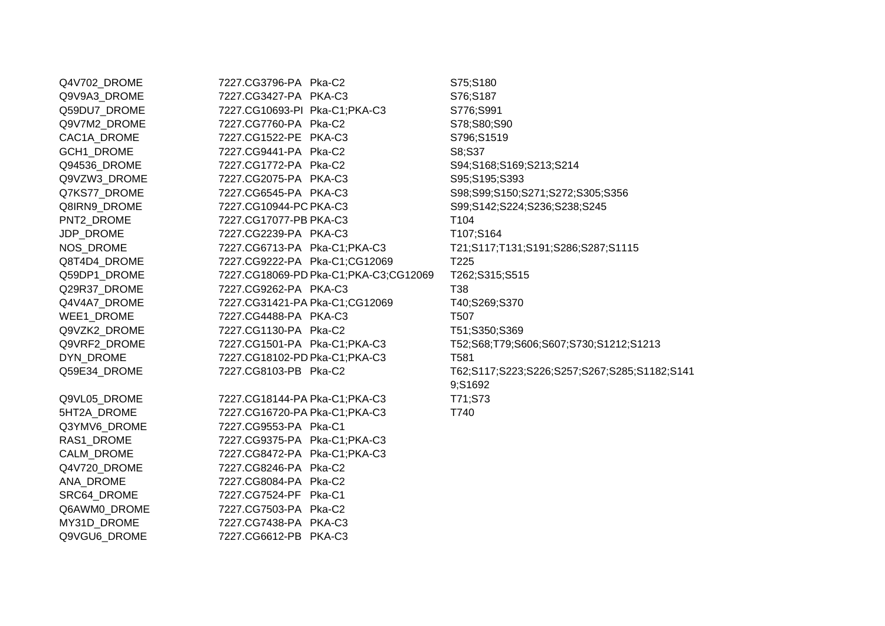Q4V702\_DROME 7227.CG3796-PA Pka-C2 S75;S180 Q9V9A3\_DROME 7227.CG3427-PA PKA-C3 S76:S187 Q59DU7\_DROME 7227.CG10693-PI Pka-C1;PKA-C3 S776;S991 Q9V7M2\_DROME 7227.CG7760-PA Pka-C2 S78;S80;S90 CAC1A\_DROME 7227.CG1522-PE PKA-C3 S796;S1519 GCH1\_DROME 7227.CG9441-PA Pka-C2 S8:S37 Q94536\_DROME 7227.CG1772-PA Pka-C2 S94;S168;S169;S213;S214 Q9VZW3\_DROME 7227.CG2075-PA PKA-C3 S95;S195;S393 Q7KS77\_DROME 7227.CG6545-PA PKA-C3 S98;S99;S150;S271;S272;S305;S356 Q8IRN9\_DROME 7227.CG10944-PC PKA-C3 PKA-C3 S99;S142;S224;S236;S238;S245 PNT2\_DROME 7227.CG17077-PB PKA-C3 T104 JDP\_DROME 7227.CG2239-PA PKA-C3 T107;S164 NOS\_DROME 7227.CG6713-PA Pka-C1;PKA-C3 T21;S117;T131;S191;S286;S287;S1115 Q8T4D4\_DROME 7227.CG9222-PA Pka-C1;CG12069 T225 Q59DP1\_DROME D Pka-C1;PKA-C3;CG12069 T262;S315;S515 Q29R37\_DROME 7227.CG9262-PA PKA-C3 T38 Q4V4A7\_DROME A Pka-C1;CG12069 T40;S269;S370 WEE1\_DROME 7227.CG4488-PA PKA-C3 T507 Q9VZK2\_DROME 7227.CG1130-PA Pka-C2 T51;S350;S369 Q9VRF2\_DROME 7227.CG1501-PA Pka-C1;PKA-C3 T52;S68;T79;S606;S607;S730;S1212;S1213 DYN\_DROME 7227.CG18102-P D Pka-C1;PKA-C3 T581 Q59E34 DROME 7227.CG8103-PB Pka-C2 T62;S117;S223;S226;S257;S267;S285;S1182;S141 9;S1692 Q9VL05\_DROME A Pka-C1;PKA-C3 T71;S73 5HT2A\_DROME 7227.CG16720-P A Pka-C1;PKA-C3 T740 Q3YMV6\_DROME 7227.CG9553-PA Pka-C1 RAS1\_DROME 7227.CG9375-PA Pka-C1;PKA-C3 CALM\_DROME 7227.CG8472-PA Pka-C1;PKA-C3 Q4V720\_DROME 7227.CG8246-PA Pka-C2 ANA\_DROME 7227.CG8084-PA Pka-C2 SRC64\_DROME 7227.CG7524-PF Pka-C1 Q6AWM0\_DROME 7227.CG7503-PA Pka-C2 MY31D\_DROME 7227.CG7438-PA PKA-C3 Q9VGU6\_DROME 7227.CG6612-PB PKA-C3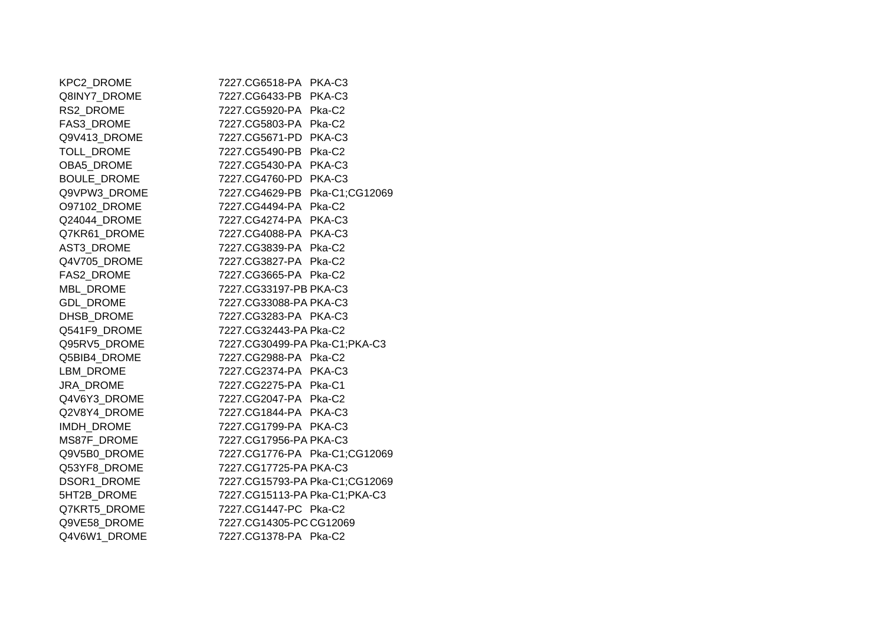| 7227.CG6518-PA PKA-C3          |
|--------------------------------|
| 7227.CG6433-PB PKA-C3          |
| 7227.CG5920-PA Pka-C2          |
| 7227.CG5803-PA Pka-C2          |
| 7227.CG5671-PD PKA-C3          |
| 7227.CG5490-PB Pka-C2          |
| 7227.CG5430-PA PKA-C3          |
| 7227.CG4760-PD PKA-C3          |
| 7227.CG4629-PB Pka-C1;CG12069  |
| 7227.CG4494-PA Pka-C2          |
| 7227.CG4274-PA PKA-C3          |
| 7227.CG4088-PA PKA-C3          |
| 7227.CG3839-PA Pka-C2          |
| 7227.CG3827-PA Pka-C2          |
| 7227.CG3665-PA Pka-C2          |
| 7227.CG33197-PB PKA-C3         |
| 7227.CG33088-PA PKA-C3         |
| 7227.CG3283-PA PKA-C3          |
| 7227.CG32443-PA Pka-C2         |
| 7227.CG30499-PA Pka-C1;PKA-C3  |
| 7227.CG2988-PA Pka-C2          |
| 7227.CG2374-PA PKA-C3          |
| 7227.CG2275-PA Pka-C1          |
| 7227.CG2047-PA Pka-C2          |
| 7227.CG1844-PA PKA-C3          |
| 7227.CG1799-PA PKA-C3          |
| 7227.CG17956-PA PKA-C3         |
| 7227.CG1776-PA Pka-C1;CG12069  |
| 7227.CG17725-PA PKA-C3         |
| 7227.CG15793-PA Pka-C1;CG12069 |
| 7227.CG15113-PA Pka-C1; PKA-C3 |
| 7227.CG1447-PC Pka-C2          |
| 7227.CG14305-PC CG12069        |
| 7227.CG1378-PA Pka-C2          |
|                                |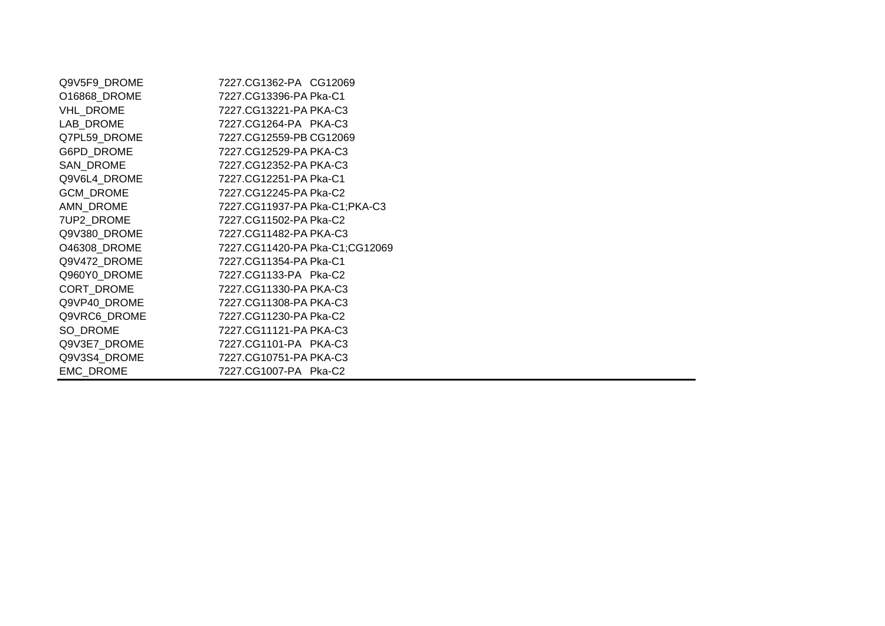| Q9V5F9_DROME | 7227.CG1362-PA CG12069         |
|--------------|--------------------------------|
| O16868 DROME | 7227.CG13396-PA Pka-C1         |
| VHL_DROME    | 7227.CG13221-PA PKA-C3         |
| LAB DROME    | 7227.CG1264-PA PKA-C3          |
| Q7PL59_DROME | 7227.CG12559-PB CG12069        |
| G6PD_DROME   | 7227.CG12529-PA PKA-C3         |
| SAN DROME    | 7227.CG12352-PA PKA-C3         |
| Q9V6L4 DROME | 7227.CG12251-PA Pka-C1         |
| GCM_DROME    | 7227.CG12245-PA Pka-C2         |
| AMN DROME    | 7227.CG11937-PA Pka-C1;PKA-C3  |
| 7UP2 DROME   | 7227.CG11502-PA Pka-C2         |
| Q9V380_DROME | 7227.CG11482-PA PKA-C3         |
| O46308 DROME | 7227.CG11420-PA Pka-C1;CG12069 |
| Q9V472_DROME | 7227.CG11354-PA Pka-C1         |
| Q960Y0_DROME | 7227.CG1133-PA Pka-C2          |
| CORT_DROME   | 7227.CG11330-PA PKA-C3         |
| Q9VP40 DROME | 7227.CG11308-PA PKA-C3         |
| Q9VRC6_DROME | 7227.CG11230-PA Pka-C2         |
| SO DROME     | 7227.CG11121-PA PKA-C3         |
| Q9V3E7_DROME | 7227.CG1101-PA PKA-C3          |
| Q9V3S4_DROME | 7227.CG10751-PA PKA-C3         |
| EMC_DROME    | 7227.CG1007-PA Pka-C2          |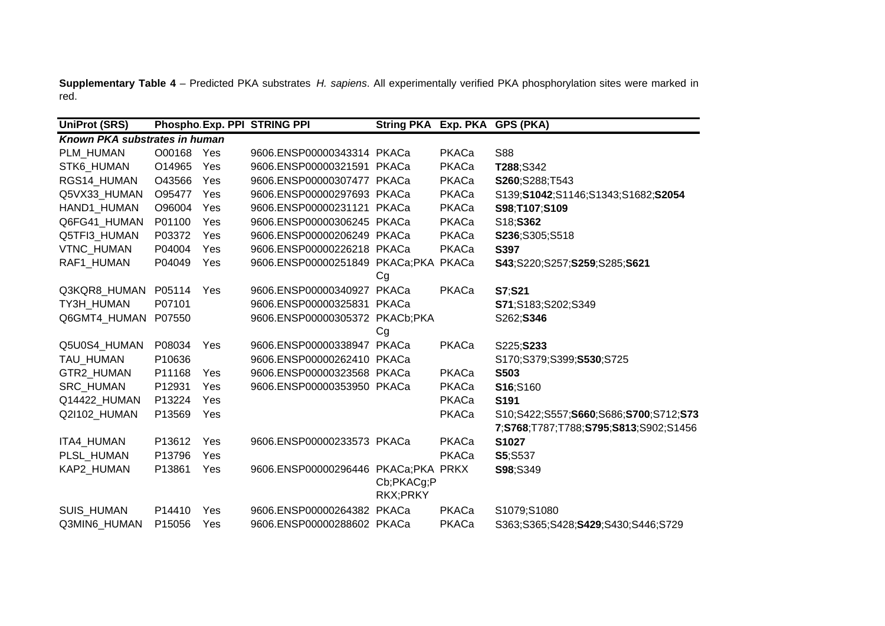**Supplementary Table 4** – Predicted PKA substrates *H. sapiens*. All experimentally verified PKA phosphorylation sites were marked in red.

| <b>UniProt (SRS)</b>          |        |     | Phospho Exp. PPI STRING PPI          | String PKA Exp. PKA GPS (PKA) |       |                                       |
|-------------------------------|--------|-----|--------------------------------------|-------------------------------|-------|---------------------------------------|
| Known PKA substrates in human |        |     |                                      |                               |       |                                       |
| PLM_HUMAN                     | O00168 | Yes | 9606.ENSP00000343314 PKACa           |                               | PKACa | <b>S88</b>                            |
| STK6 HUMAN                    | O14965 | Yes | 9606.ENSP00000321591 PKACa           |                               | PKACa | T288;S342                             |
| RGS14_HUMAN                   | O43566 | Yes | 9606.ENSP00000307477 PKACa           |                               | PKACa | S260;S288;T543                        |
| Q5VX33_HUMAN                  | O95477 | Yes | 9606.ENSP00000297693 PKACa           |                               | PKACa | S139;S1042;S1146;S1343;S1682;S2054    |
| HAND1_HUMAN                   | O96004 | Yes | 9606.ENSP00000231121 PKACa           |                               | PKACa | S98;T107;S109                         |
| Q6FG41 HUMAN                  | P01100 | Yes | 9606.ENSP00000306245 PKACa           |                               | PKACa | S18;S362                              |
| Q5TFI3 HUMAN                  | P03372 | Yes | 9606.ENSP00000206249 PKACa           |                               | PKACa | S236;S305;S518                        |
| VTNC_HUMAN                    | P04004 | Yes | 9606.ENSP00000226218 PKACa           |                               | PKACa | S397                                  |
| RAF1_HUMAN                    | P04049 | Yes | 9606.ENSP00000251849 PKACa;PKA PKACa |                               |       | S43;S220;S257;S259;S285;S621          |
|                               |        |     |                                      | Cg                            |       |                                       |
| Q3KQR8 HUMAN                  | P05114 | Yes | 9606.ENSP00000340927                 | PKACa                         | PKACa | S7:S21                                |
| TY3H_HUMAN                    | P07101 |     | 9606.ENSP00000325831 PKACa           |                               |       | S71;S183;S202;S349                    |
| Q6GMT4_HUMAN                  | P07550 |     | 9606.ENSP00000305372 PKACb;PKA       |                               |       | S262; <b>S346</b>                     |
|                               |        |     |                                      | Cg                            |       |                                       |
| Q5U0S4_HUMAN                  | P08034 | Yes | 9606.ENSP00000338947 PKACa           |                               | PKACa | S225;S233                             |
| TAU_HUMAN                     | P10636 |     | 9606.ENSP00000262410 PKACa           |                               |       | S170;S379;S399;S530;S725              |
| GTR2_HUMAN                    | P11168 | Yes | 9606.ENSP00000323568 PKACa           |                               | PKACa | S503                                  |
| <b>SRC HUMAN</b>              | P12931 | Yes | 9606.ENSP00000353950 PKACa           |                               | PKACa | S16;S160                              |
| Q14422 HUMAN                  | P13224 | Yes |                                      |                               | PKACa | S191                                  |
| Q2I102_HUMAN                  | P13569 | Yes |                                      |                               | PKACa | S10;S422;S557;S660;S686;S700;S712;S73 |
|                               |        |     |                                      |                               |       | 7;S768;T787;T788;S795;S813;S902;S1456 |
| ITA4_HUMAN                    | P13612 | Yes | 9606.ENSP00000233573 PKACa           |                               | PKACa | S1027                                 |
| PLSL HUMAN                    | P13796 | Yes |                                      |                               | PKACa | <b>S5:S537</b>                        |
| KAP2_HUMAN                    | P13861 | Yes | 9606.ENSP00000296446                 | PKACa;PKA PRKX                |       | S98;S349                              |
|                               |        |     |                                      | Cb;PKACg;P                    |       |                                       |
|                               |        |     |                                      | RKX;PRKY                      |       |                                       |
| <b>SUIS HUMAN</b>             | P14410 | Yes | 9606.ENSP00000264382                 | PKACa                         | PKACa | S1079;S1080                           |
| Q3MIN6 HUMAN                  | P15056 | Yes | 9606.ENSP00000288602 PKACa           |                               | PKACa | S363;S365;S428;S429;S430;S446;S729    |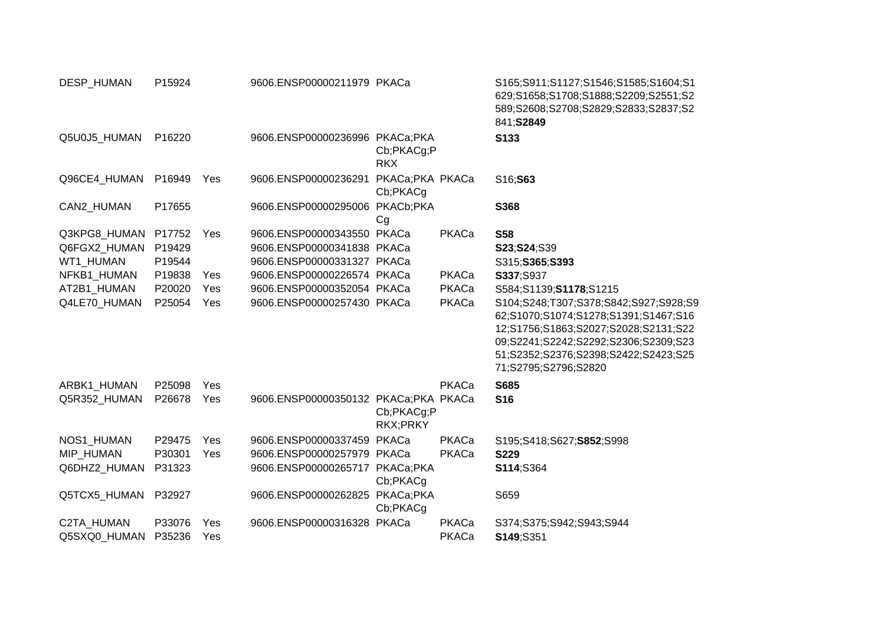| DESP_HUMAN                 | P15924           |            | 9606.ENSP00000211979 PKACa           |                          |                | S165;S911;S1127;S1546;S1585;S1604;S1<br>629;S1658;S1708;S1888;S2209;S2551;S2<br>589;S2608;S2708;S2829;S2833;S2837;S2<br>841; S2849                                                                                            |
|----------------------------|------------------|------------|--------------------------------------|--------------------------|----------------|-------------------------------------------------------------------------------------------------------------------------------------------------------------------------------------------------------------------------------|
| Q5U0J5_HUMAN               | P16220           |            | 9606.ENSP00000236996 PKACa;PKA       | Cb;PKACg;P<br><b>RKX</b> |                | S133                                                                                                                                                                                                                          |
| Q96CE4 HUMAN               | P16949           | Yes        | 9606.ENSP00000236291 PKACa;PKA PKACa | Cb;PKACg                 |                | S16;S63                                                                                                                                                                                                                       |
| CAN2_HUMAN                 | P17655           |            | 9606.ENSP00000295006 PKACb;PKA       | Cg                       |                | S368                                                                                                                                                                                                                          |
| Q3KPG8_HUMAN               | P17752           | Yes        | 9606.ENSP00000343550 PKACa           |                          | PKACa          | <b>S58</b>                                                                                                                                                                                                                    |
| Q6FGX2_HUMAN               | P19429           |            | 9606.ENSP00000341838 PKACa           |                          |                | S23;S24;S39                                                                                                                                                                                                                   |
| WT1 HUMAN                  | P19544           |            | 9606.ENSP00000331327 PKACa           |                          |                | S315;S365;S393                                                                                                                                                                                                                |
| NFKB1 HUMAN                | P19838           | Yes        | 9606.ENSP00000226574 PKACa           |                          | PKACa          | S337;S937                                                                                                                                                                                                                     |
| AT2B1 HUMAN                | P20020           | Yes        | 9606.ENSP00000352054 PKACa           |                          | PKACa          | S584;S1139;S1178;S1215                                                                                                                                                                                                        |
| Q4LE70 HUMAN               | P25054           | Yes        | 9606.ENSP00000257430 PKACa           |                          | PKACa          | S104;S248;T307;S378;S842;S927;S928;S9<br>62;S1070;S1074;S1278;S1391;S1467;S16<br>12;S1756;S1863;S2027;S2028;S2131;S22<br>09;S2241;S2242;S2292;S2306;S2309;S23<br>51;S2352;S2376;S2398;S2422;S2423;S25<br>71;S2795;S2796;S2820 |
| ARBK1_HUMAN                | P25098           | Yes        |                                      |                          | PKACa          | <b>S685</b>                                                                                                                                                                                                                   |
| Q5R352_HUMAN               | P26678           | Yes        | 9606.ENSP00000350132 PKACa;PKA PKACa | Cb;PKACg;P<br>RKX;PRKY   |                | <b>S16</b>                                                                                                                                                                                                                    |
| NOS1_HUMAN                 | P29475           | Yes        | 9606.ENSP00000337459 PKACa           |                          | PKACa          | S195;S418;S627;S852;S998                                                                                                                                                                                                      |
| MIP_HUMAN                  | P30301           | Yes        | 9606.ENSP00000257979 PKACa           |                          | PKACa          | <b>S229</b>                                                                                                                                                                                                                   |
| Q6DHZ2_HUMAN               | P31323           |            | 9606.ENSP00000265717 PKACa;PKA       | Cb;PKACg                 |                | S114;S364                                                                                                                                                                                                                     |
| Q5TCX5_HUMAN               | P32927           |            | 9606.ENSP00000262825 PKACa;PKA       | Cb;PKACg                 |                | S659                                                                                                                                                                                                                          |
| C2TA HUMAN<br>Q5SXQ0 HUMAN | P33076<br>P35236 | Yes<br>Yes | 9606.ENSP00000316328 PKACa           |                          | PKACa<br>PKACa | S374;S375;S942;S943;S944<br>S149;S351                                                                                                                                                                                         |
|                            |                  |            |                                      |                          |                |                                                                                                                                                                                                                               |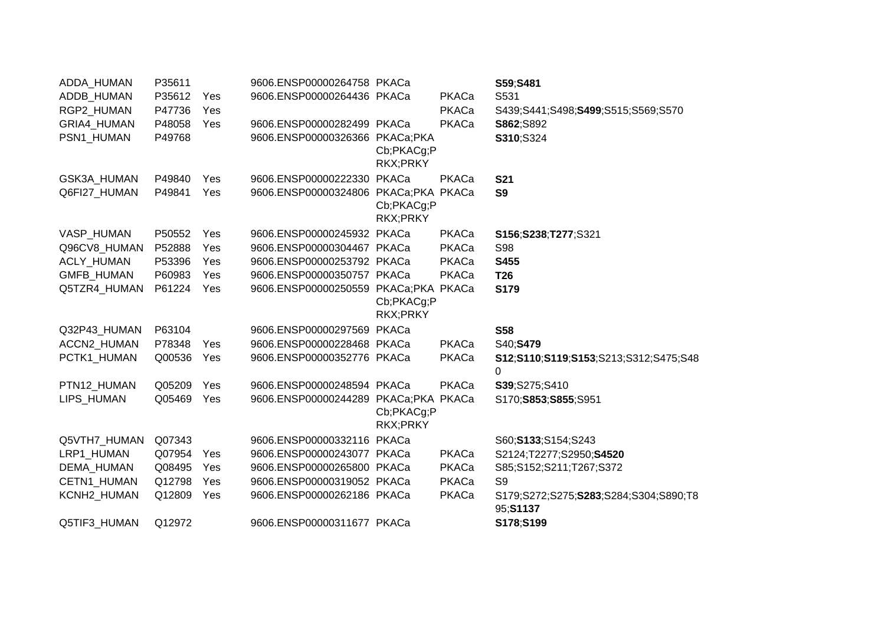| ADDA_HUMAN        | P35611 |     | 9606.ENSP00000264758 PKACa           |                                           |       | S59;S481                                           |
|-------------------|--------|-----|--------------------------------------|-------------------------------------------|-------|----------------------------------------------------|
| ADDB_HUMAN        | P35612 | Yes | 9606.ENSP00000264436 PKACa           |                                           | PKACa | S531                                               |
| RGP2_HUMAN        | P47736 | Yes |                                      |                                           | PKACa | S439;S441;S498;S499;S515;S569;S570                 |
| GRIA4_HUMAN       | P48058 | Yes | 9606.ENSP00000282499 PKACa           |                                           | PKACa | S862;S892                                          |
| PSN1_HUMAN        | P49768 |     | 9606.ENSP00000326366 PKACa;PKA       | Cb;PKACg;P<br>RKX;PRKY                    |       | S310;S324                                          |
| GSK3A_HUMAN       | P49840 | Yes | 9606.ENSP00000222330 PKACa           |                                           | PKACa | <b>S21</b>                                         |
| Q6FI27 HUMAN      | P49841 | Yes | 9606.ENSP00000324806 PKACa;PKA PKACa | Cb;PKACg;P<br>RKX;PRKY                    |       | S <sub>9</sub>                                     |
| VASP_HUMAN        | P50552 | Yes | 9606.ENSP00000245932 PKACa           |                                           | PKACa | S156;S238;T277;S321                                |
| Q96CV8_HUMAN      | P52888 | Yes | 9606.ENSP00000304467 PKACa           |                                           | PKACa | <b>S98</b>                                         |
| ACLY_HUMAN        | P53396 | Yes | 9606.ENSP00000253792 PKACa           |                                           | PKACa | S455                                               |
| GMFB_HUMAN        | P60983 | Yes | 9606.ENSP00000350757 PKACa           |                                           | PKACa | <b>T26</b>                                         |
| Q5TZR4 HUMAN      | P61224 | Yes | 9606.ENSP00000250559 PKACa;PKA PKACa | Cb;PKACg;P<br>RKX;PRKY                    |       | S179                                               |
| Q32P43_HUMAN      | P63104 |     | 9606.ENSP00000297569 PKACa           |                                           |       | <b>S58</b>                                         |
| ACCN2_HUMAN       | P78348 | Yes | 9606.ENSP00000228468 PKACa           |                                           | PKACa | S40;S479                                           |
| PCTK1 HUMAN       | Q00536 | Yes | 9606.ENSP00000352776 PKACa           |                                           | PKACa | S12;S110;S119;S153;S213;S312;S475;S48<br>$\Omega$  |
| PTN12_HUMAN       | Q05209 | Yes | 9606.ENSP00000248594 PKACa           |                                           | PKACa | S39;S275;S410                                      |
| <b>LIPS HUMAN</b> | Q05469 | Yes | 9606.ENSP00000244289                 | PKACa;PKA PKACa<br>Cb;PKACg;P<br>RKX;PRKY |       | S170;S853;S855;S951                                |
| Q5VTH7_HUMAN      | Q07343 |     | 9606.ENSP00000332116                 | PKACa                                     |       | S60; S133; S154; S243                              |
| LRP1_HUMAN        | Q07954 | Yes | 9606.ENSP00000243077 PKACa           |                                           | PKACa | S2124;T2277;S2950;S4520                            |
| DEMA_HUMAN        | Q08495 | Yes | 9606.ENSP00000265800 PKACa           |                                           | PKACa | S85;S152;S211;T267;S372                            |
| CETN1_HUMAN       | Q12798 | Yes | 9606.ENSP00000319052 PKACa           |                                           | PKACa | S <sub>9</sub>                                     |
| KCNH2_HUMAN       | Q12809 | Yes | 9606.ENSP00000262186 PKACa           |                                           | PKACa | S179;S272;S275;S283;S284;S304;S890;T8<br>95; S1137 |
| Q5TIF3_HUMAN      | Q12972 |     | 9606.ENSP00000311677 PKACa           |                                           |       | S178;S199                                          |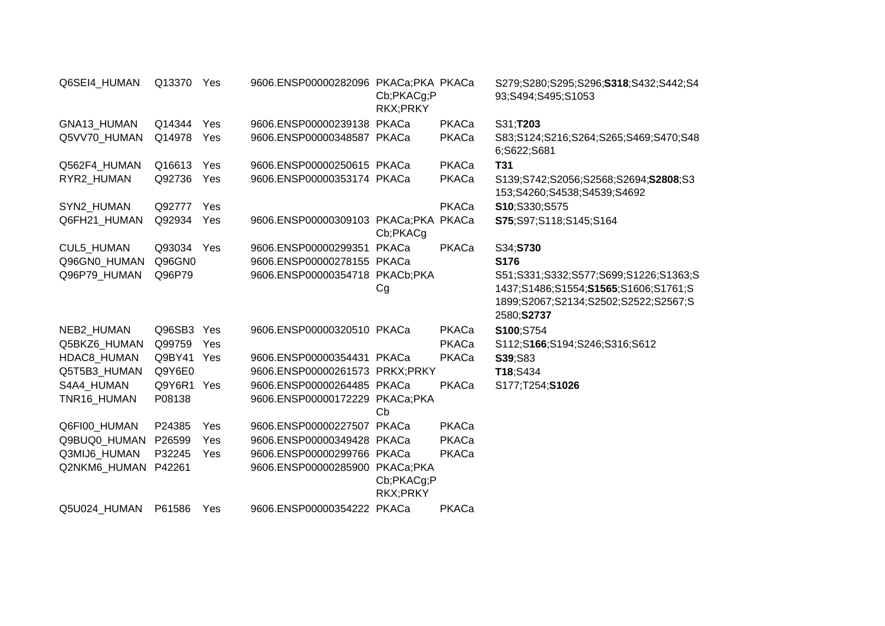| Q6SEI4_HUMAN | Q13370     | Yes | 9606.ENSP00000282096 PKACa;PKA PKACa | Cb;PKACg;P<br>RKX;PRKY |       | S279;S280;S295;S296;S318;S432;S442;S4<br>93;S494;S495;S1053                                                                         |
|--------------|------------|-----|--------------------------------------|------------------------|-------|-------------------------------------------------------------------------------------------------------------------------------------|
| GNA13_HUMAN  | Q14344     | Yes | 9606.ENSP00000239138 PKACa           |                        | PKACa | S31;T203                                                                                                                            |
| Q5VV70 HUMAN | Q14978     | Yes | 9606.ENSP00000348587 PKACa           |                        | PKACa | S83;S124;S216;S264;S265;S469;S470;S48<br>6;S622;S681                                                                                |
| Q562F4 HUMAN | Q16613     | Yes | 9606.ENSP00000250615 PKACa           |                        | PKACa | <b>T31</b>                                                                                                                          |
| RYR2_HUMAN   | Q92736     | Yes | 9606.ENSP00000353174 PKACa           |                        | PKACa | S139;S742;S2056;S2568;S2694;S2808;S3<br>153;S4260;S4538;S4539;S4692                                                                 |
| SYN2_HUMAN   | Q92777     | Yes |                                      |                        | PKACa | S10;S330;S575                                                                                                                       |
| Q6FH21 HUMAN | Q92934     | Yes | 9606.ENSP00000309103 PKACa;PKA       | Cb;PKACg               | PKACa | S75;S97;S118;S145;S164                                                                                                              |
| CUL5 HUMAN   | Q93034     | Yes | 9606.ENSP00000299351                 | PKACa                  | PKACa | S34;S730                                                                                                                            |
| Q96GN0_HUMAN | Q96GN0     |     | 9606.ENSP00000278155 PKACa           |                        |       | S176                                                                                                                                |
| Q96P79 HUMAN | Q96P79     |     | 9606.ENSP00000354718                 | PKACb;PKA<br>Cg        |       | S51;S331;S332;S577;S699;S1226;S1363;S<br>1437;S1486;S1554;S1565;S1606;S1761;S<br>1899;S2067;S2134;S2502;S2522;S2567;S<br>2580;S2737 |
| NEB2 HUMAN   | Q96SB3 Yes |     | 9606.ENSP00000320510 PKACa           |                        | PKACa | S100:S754                                                                                                                           |
| Q5BKZ6_HUMAN | Q99759     | Yes |                                      |                        | PKACa | S112;S166;S194;S246;S316;S612                                                                                                       |
| HDAC8 HUMAN  | Q9BY41     | Yes | 9606.ENSP00000354431 PKACa           |                        | PKACa | <b>S39;S83</b>                                                                                                                      |
| Q5T5B3_HUMAN | Q9Y6E0     |     | 9606.ENSP00000261573 PRKX;PRKY       |                        |       | T18;S434                                                                                                                            |
| S4A4 HUMAN   | Q9Y6R1     | Yes | 9606.ENSP00000264485 PKACa           |                        | PKACa | S177;T254;S1026                                                                                                                     |
| TNR16_HUMAN  | P08138     |     | 9606.ENSP00000172229 PKACa;PKA       | Cb                     |       |                                                                                                                                     |
| Q6FI00_HUMAN | P24385     | Yes | 9606.ENSP00000227507 PKACa           |                        | PKACa |                                                                                                                                     |
| Q9BUQ0 HUMAN | P26599     | Yes | 9606.ENSP00000349428 PKACa           |                        | PKACa |                                                                                                                                     |
| Q3MIJ6_HUMAN | P32245     | Yes | 9606.ENSP00000299766 PKACa           |                        | PKACa |                                                                                                                                     |
| Q2NKM6_HUMAN | P42261     |     | 9606.ENSP00000285900 PKACa;PKA       | Cb;PKACg;P<br>RKX;PRKY |       |                                                                                                                                     |
| Q5U024_HUMAN | P61586     | Yes | 9606.ENSP00000354222                 | PKACa                  | PKACa |                                                                                                                                     |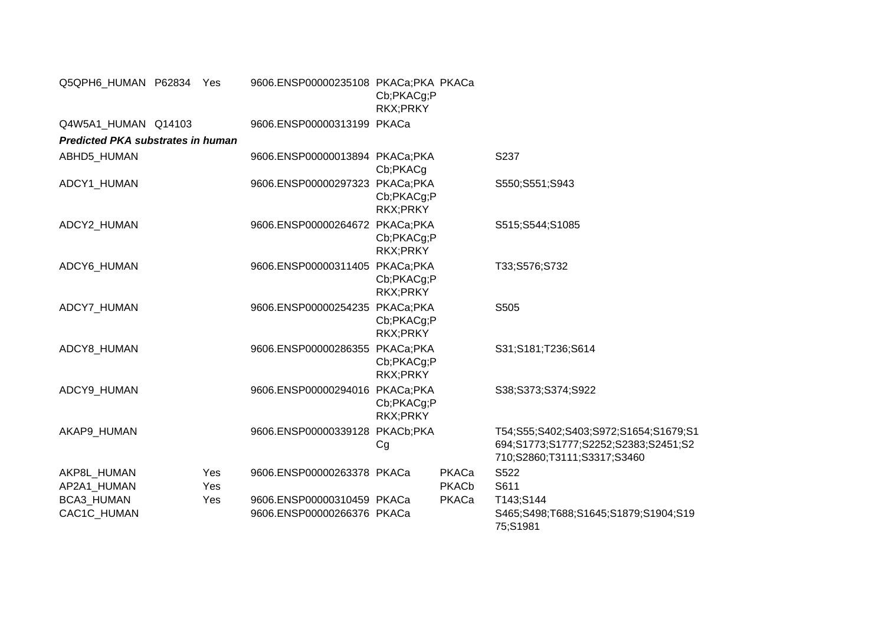| Q5QPH6_HUMAN P62834 Yes                  |            | 9606.ENSP00000235108 PKACa;PKA PKACa | Cb;PKACg;P<br>RKX;PRKY                                   |                       |                                                                                                              |
|------------------------------------------|------------|--------------------------------------|----------------------------------------------------------|-----------------------|--------------------------------------------------------------------------------------------------------------|
| Q4W5A1_HUMAN Q14103                      |            | 9606.ENSP00000313199 PKACa           |                                                          |                       |                                                                                                              |
| <b>Predicted PKA substrates in human</b> |            |                                      |                                                          |                       |                                                                                                              |
| ABHD5_HUMAN                              |            | 9606.ENSP00000013894 PKACa;PKA       | Cb;PKACg                                                 |                       | S237                                                                                                         |
| ADCY1 HUMAN                              |            |                                      | 9606.ENSP00000297323 PKACa;PKA<br>Cb;PKACg;P<br>RKX;PRKY |                       | S550;S551;S943                                                                                               |
| ADCY2_HUMAN                              |            | 9606.ENSP00000264672 PKACa;PKA       | Cb;PKACg;P<br>RKX;PRKY                                   |                       | S515;S544;S1085                                                                                              |
| ADCY6_HUMAN                              |            | 9606.ENSP00000311405 PKACa;PKA       | Cb;PKACg;P<br>RKX;PRKY                                   |                       | T33;S576;S732                                                                                                |
| ADCY7 HUMAN                              |            | 9606.ENSP00000254235 PKACa;PKA       | Cb;PKACg;P<br>RKX;PRKY                                   |                       | S505                                                                                                         |
| ADCY8_HUMAN                              |            | 9606.ENSP00000286355 PKACa;PKA       | Cb;PKACg;P<br>RKX;PRKY                                   |                       | S31;S181;T236;S614                                                                                           |
| ADCY9 HUMAN                              |            | 9606.ENSP00000294016 PKACa;PKA       | Cb;PKACg;P<br>RKX;PRKY                                   |                       | S38;S373;S374;S922                                                                                           |
| AKAP9 HUMAN                              |            | 9606.ENSP00000339128 PKACb;PKA       | Cg                                                       |                       | T54;S55;S402;S403;S972;S1654;S1679;S1<br>694;S1773;S1777;S2252;S2383;S2451;S2<br>710;S2860;T3111;S3317;S3460 |
| AKP8L HUMAN<br>AP2A1_HUMAN               | Yes<br>Yes | 9606.ENSP00000263378 PKACa           |                                                          | PKACa<br><b>PKACb</b> | S522<br>S611                                                                                                 |
| BCA3_HUMAN                               | Yes        | 9606.ENSP00000310459 PKACa           |                                                          | PKACa                 | T143;S144                                                                                                    |
| CAC1C_HUMAN                              |            | 9606.ENSP00000266376 PKACa           |                                                          |                       | S465;S498;T688;S1645;S1879;S1904;S19<br>75;S1981                                                             |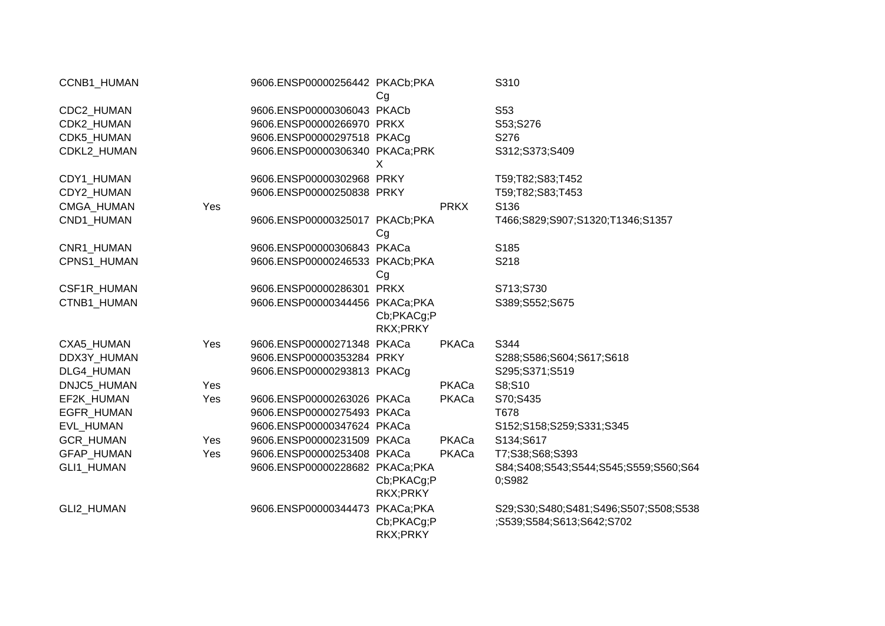| CCNB1_HUMAN              |     | 9606.ENSP00000256442 PKACb;PKA                         | Cg                     |             | S310                                                               |
|--------------------------|-----|--------------------------------------------------------|------------------------|-------------|--------------------------------------------------------------------|
| CDC2_HUMAN               |     | 9606.ENSP00000306043 PKACb                             |                        |             | S53                                                                |
| CDK2 HUMAN               |     | 9606.ENSP00000266970 PRKX                              |                        |             | S53;S276                                                           |
| CDK5_HUMAN               |     | 9606.ENSP00000297518 PKACg                             |                        |             | S276                                                               |
| CDKL2 HUMAN              |     | 9606.ENSP00000306340 PKACa;PRK                         | X                      |             | S312;S373;S409                                                     |
|                          |     |                                                        |                        |             |                                                                    |
| CDY1_HUMAN<br>CDY2_HUMAN |     | 9606.ENSP00000302968 PRKY<br>9606.ENSP00000250838 PRKY |                        |             | T59;T82;S83;T452                                                   |
|                          |     |                                                        |                        | <b>PRKX</b> | T59;T82;S83;T453<br>S136                                           |
| CMGA_HUMAN               | Yes |                                                        |                        |             |                                                                    |
| CND1_HUMAN               |     | 9606.ENSP00000325017 PKACb;PKA                         | Cg                     |             | T466;S829;S907;S1320;T1346;S1357                                   |
| CNR1_HUMAN               |     | 9606.ENSP00000306843 PKACa                             |                        |             | S185                                                               |
| CPNS1 HUMAN              |     | 9606.ENSP00000246533 PKACb;PKA                         | Cg                     |             | S218                                                               |
| CSF1R_HUMAN              |     | 9606.ENSP00000286301 PRKX                              |                        |             | S713;S730                                                          |
| CTNB1_HUMAN              |     | 9606.ENSP00000344456 PKACa;PKA                         | Cb;PKACg;P<br>RKX;PRKY |             | S389;S552;S675                                                     |
| CXA5_HUMAN               | Yes | 9606.ENSP00000271348 PKACa                             |                        | PKACa       | S344                                                               |
| DDX3Y HUMAN              |     | 9606.ENSP00000353284 PRKY                              |                        |             | S288;S586;S604;S617;S618                                           |
| DLG4_HUMAN               |     | 9606.ENSP00000293813 PKACg                             |                        |             | S295;S371;S519                                                     |
| DNJC5 HUMAN              | Yes |                                                        |                        | PKACa       | S8;S10                                                             |
| EF2K_HUMAN               | Yes | 9606.ENSP00000263026 PKACa                             |                        | PKACa       | S70;S435                                                           |
| EGFR_HUMAN               |     | 9606.ENSP00000275493 PKACa                             |                        |             | T678                                                               |
| EVL_HUMAN                |     | 9606.ENSP00000347624 PKACa                             |                        |             | S152;S158;S259;S331;S345                                           |
| GCR_HUMAN                | Yes | 9606.ENSP00000231509 PKACa                             |                        | PKACa       | S134;S617                                                          |
| GFAP_HUMAN               | Yes | 9606.ENSP00000253408 PKACa                             |                        | PKACa       | T7;S38;S68;S393                                                    |
| GLI1_HUMAN               |     | 9606.ENSP00000228682 PKACa;PKA                         | Cb;PKACg;P<br>RKX;PRKY |             | S84;S408;S543;S544;S545;S559;S560;S64<br>0;S982                    |
| GLI2_HUMAN               |     | 9606.ENSP00000344473 PKACa;PKA                         | Cb;PKACg;P<br>RKX;PRKY |             | S29;S30;S480;S481;S496;S507;S508;S538<br>;S539;S584;S613;S642;S702 |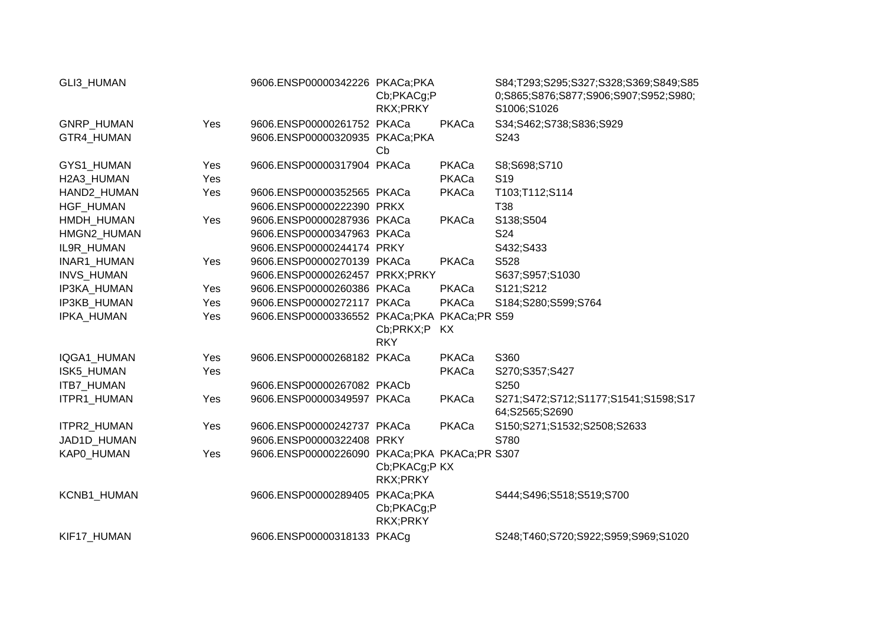| GLI3_HUMAN         |     | 9606.ENSP00000342226 PKACa;PKA               | Cb;PKACg;P<br>RKX;PRKY    |       | S84;T293;S295;S327;S328;S369;S849;S85<br>0;S865;S876;S877;S906;S907;S952;S980;<br>S1006;S1026 |
|--------------------|-----|----------------------------------------------|---------------------------|-------|-----------------------------------------------------------------------------------------------|
| GNRP_HUMAN         | Yes | 9606.ENSP00000261752 PKACa                   |                           | PKACa | S34;S462;S738;S836;S929                                                                       |
| GTR4 HUMAN         |     | 9606.ENSP00000320935 PKACa;PKA               | Cb                        |       | S243                                                                                          |
| GYS1_HUMAN         | Yes | 9606.ENSP00000317904 PKACa                   |                           | PKACa | S8;S698;S710                                                                                  |
| H2A3 HUMAN         | Yes |                                              |                           | PKACa | S <sub>19</sub>                                                                               |
| HAND2_HUMAN        | Yes | 9606.ENSP00000352565 PKACa                   |                           | PKACa | T103;T112;S114                                                                                |
| HGF_HUMAN          |     | 9606.ENSP00000222390 PRKX                    |                           |       | T38                                                                                           |
| HMDH_HUMAN         | Yes | 9606.ENSP00000287936 PKACa                   |                           | PKACa | S138;S504                                                                                     |
| HMGN2_HUMAN        |     | 9606.ENSP00000347963 PKACa                   |                           |       | S24                                                                                           |
| IL9R HUMAN         |     | 9606.ENSP00000244174 PRKY                    |                           |       | S432;S433                                                                                     |
| INAR1_HUMAN        | Yes | 9606.ENSP00000270139 PKACa                   |                           | PKACa | S528                                                                                          |
| INVS_HUMAN         |     | 9606.ENSP00000262457 PRKX;PRKY               |                           |       | S637;S957;S1030                                                                               |
| <b>IP3KA HUMAN</b> | Yes | 9606.ENSP00000260386 PKACa                   |                           | PKACa | S121;S212                                                                                     |
| IP3KB_HUMAN        | Yes | 9606.ENSP00000272117 PKACa                   |                           | PKACa | S184;S280;S599;S764                                                                           |
| IPKA_HUMAN         | Yes | 9606.ENSP00000336552 PKACa;PKA PKACa;PR S59  | Cb;PRKX;P<br><b>RKY</b>   | KX.   |                                                                                               |
| IQGA1_HUMAN        | Yes | 9606.ENSP00000268182 PKACa                   |                           | PKACa | S360                                                                                          |
| <b>ISK5 HUMAN</b>  | Yes |                                              |                           | PKACa | S270;S357;S427                                                                                |
| ITB7_HUMAN         |     | 9606.ENSP00000267082 PKACb                   |                           |       | S250                                                                                          |
| ITPR1_HUMAN        | Yes | 9606.ENSP00000349597 PKACa                   |                           | PKACa | S271;S472;S712;S1177;S1541;S1598;S17<br>64;S2565;S2690                                        |
| ITPR2_HUMAN        | Yes | 9606.ENSP00000242737 PKACa                   |                           | PKACa | S150;S271;S1532;S2508;S2633                                                                   |
| JAD1D_HUMAN        |     | 9606.ENSP00000322408 PRKY                    |                           |       | S780                                                                                          |
| KAP0_HUMAN         | Yes | 9606.ENSP00000226090 PKACa;PKA PKACa;PR S307 | Cb;PKACg;P KX<br>RKX;PRKY |       |                                                                                               |
| KCNB1_HUMAN        |     | 9606.ENSP00000289405 PKACa;PKA               | Cb;PKACg;P<br>RKX;PRKY    |       | S444;S496;S518;S519;S700                                                                      |
| KIF17_HUMAN        |     | 9606.ENSP00000318133 PKACq                   |                           |       | S248;T460;S720;S922;S959;S969;S1020                                                           |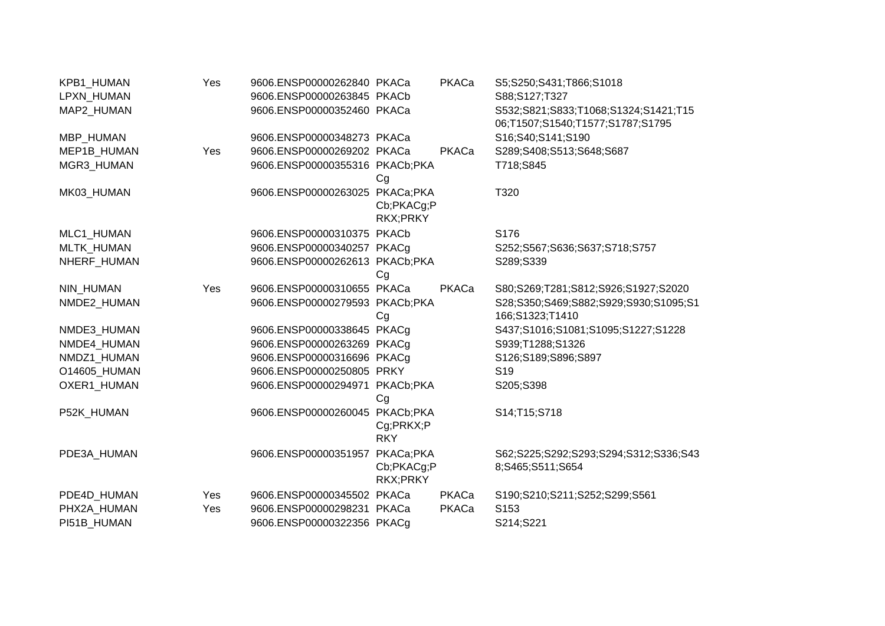| KPB1_HUMAN        | Yes | 9606.ENSP00000262840 PKACa     |                                     | PKACa | S5;S250;S431;T866;S1018                                                  |
|-------------------|-----|--------------------------------|-------------------------------------|-------|--------------------------------------------------------------------------|
| LPXN_HUMAN        |     | 9606.ENSP00000263845 PKACb     |                                     |       | S88;S127;T327                                                            |
| MAP2 HUMAN        |     | 9606.ENSP00000352460 PKACa     |                                     |       | S532;S821;S833;T1068;S1324;S1421;T15<br>06;T1507;S1540;T1577;S1787;S1795 |
| MBP_HUMAN         |     | 9606.ENSP00000348273 PKACa     |                                     |       | S16;S40;S141;S190                                                        |
| MEP1B_HUMAN       | Yes | 9606.ENSP00000269202 PKACa     |                                     | PKACa | S289;S408;S513;S648;S687                                                 |
| MGR3_HUMAN        |     | 9606.ENSP00000355316 PKACb;PKA | Cg                                  |       | T718;S845                                                                |
| MK03_HUMAN        |     | 9606.ENSP00000263025           | PKACa;PKA<br>Cb;PKACg;P<br>RKX;PRKY |       | T320                                                                     |
| MLC1_HUMAN        |     | 9606.ENSP00000310375 PKACb     |                                     |       | S176                                                                     |
| <b>MLTK HUMAN</b> |     | 9606.ENSP00000340257 PKACq     |                                     |       | S252;S567;S636;S637;S718;S757                                            |
| NHERF_HUMAN       |     | 9606.ENSP00000262613 PKACb;PKA | Cg                                  |       | S289;S339                                                                |
| <b>NIN HUMAN</b>  | Yes | 9606.ENSP00000310655 PKACa     |                                     | PKACa | S80;S269;T281;S812;S926;S1927;S2020                                      |
| NMDE2 HUMAN       |     | 9606.ENSP00000279593 PKACb;PKA | Cg                                  |       | S28;S350;S469;S882;S929;S930;S1095;S1<br>166;S1323;T1410                 |
| NMDE3_HUMAN       |     | 9606.ENSP00000338645 PKACg     |                                     |       | S437;S1016;S1081;S1095;S1227;S1228                                       |
| NMDE4 HUMAN       |     | 9606.ENSP00000263269 PKACq     |                                     |       | S939;T1288;S1326                                                         |
| NMDZ1_HUMAN       |     | 9606.ENSP00000316696 PKACg     |                                     |       | S126;S189;S896;S897                                                      |
| O14605_HUMAN      |     | 9606.ENSP00000250805 PRKY      |                                     |       | S <sub>19</sub>                                                          |
| OXER1 HUMAN       |     | 9606.ENSP00000294971           | PKACb;PKA<br>Cg                     |       | S205;S398                                                                |
| P52K HUMAN        |     | 9606.ENSP00000260045 PKACb;PKA | Cg;PRKX;P<br><b>RKY</b>             |       | S14;T15;S718                                                             |
| PDE3A_HUMAN       |     | 9606.ENSP00000351957           | PKACa;PKA<br>Cb;PKACg;P<br>RKX;PRKY |       | S62;S225;S292;S293;S294;S312;S336;S43<br>8;S465;S511;S654                |
| PDE4D_HUMAN       | Yes | 9606.ENSP00000345502 PKACa     |                                     | PKACa | S190;S210;S211;S252;S299;S561                                            |
| PHX2A HUMAN       | Yes | 9606.ENSP00000298231 PKACa     |                                     | PKACa | S153                                                                     |
| PI51B HUMAN       |     | 9606.ENSP00000322356 PKACg     |                                     |       | S214;S221                                                                |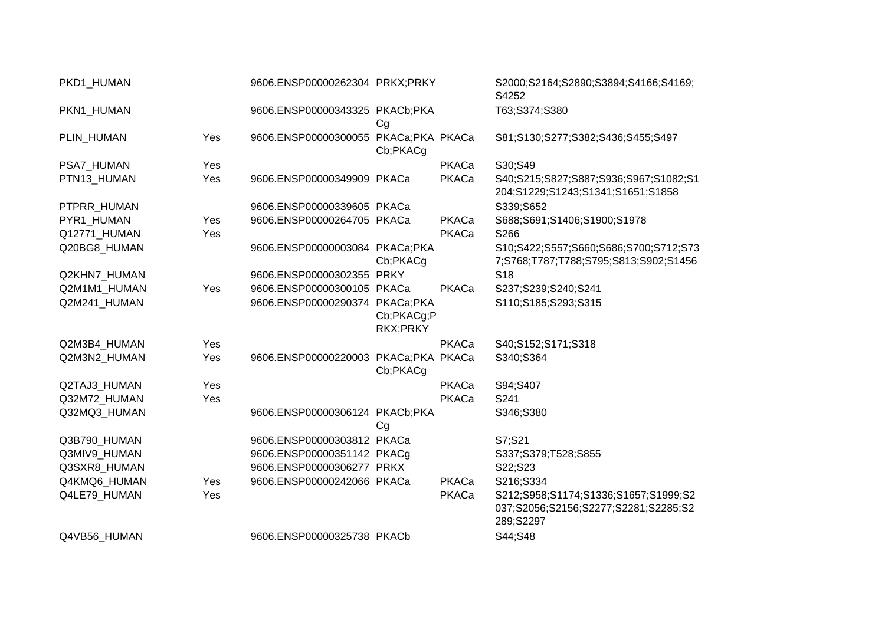| PKD1_HUMAN   |     | 9606.ENSP00000262304 PRKX;PRKY       |                        |       | S2000;S2164;S2890;S3894;S4166;S4169;<br>S4252                                             |
|--------------|-----|--------------------------------------|------------------------|-------|-------------------------------------------------------------------------------------------|
| PKN1 HUMAN   |     | 9606.ENSP00000343325 PKACb;PKA       | Cg                     |       | T63;S374;S380                                                                             |
| PLIN_HUMAN   | Yes | 9606.ENSP00000300055 PKACa;PKA PKACa | Cb;PKACg               |       | S81;S130;S277;S382;S436;S455;S497                                                         |
| PSA7_HUMAN   | Yes |                                      |                        | PKACa | S30;S49                                                                                   |
| PTN13_HUMAN  | Yes | 9606.ENSP00000349909 PKACa           |                        | PKACa | S40;S215;S827;S887;S936;S967;S1082;S1<br>204;S1229;S1243;S1341;S1651;S1858                |
| PTPRR_HUMAN  |     | 9606.ENSP00000339605 PKACa           |                        |       | S339;S652                                                                                 |
| PYR1_HUMAN   | Yes | 9606.ENSP00000264705 PKACa           |                        | PKACa | S688;S691;S1406;S1900;S1978                                                               |
| Q12771 HUMAN | Yes |                                      |                        | PKACa | S266                                                                                      |
| Q20BG8_HUMAN |     | 9606.ENSP00000003084 PKACa;PKA       | Cb;PKACg               |       | S10;S422;S557;S660;S686;S700;S712;S73<br>7;S768;T787;T788;S795;S813;S902;S1456            |
| Q2KHN7_HUMAN |     | 9606.ENSP00000302355 PRKY            |                        |       | S <sub>18</sub>                                                                           |
| Q2M1M1_HUMAN | Yes | 9606.ENSP00000300105 PKACa           |                        | PKACa | S237;S239;S240;S241                                                                       |
| Q2M241_HUMAN |     | 9606.ENSP00000290374 PKACa;PKA       | Cb;PKACg;P<br>RKX;PRKY |       | S110;S185;S293;S315                                                                       |
| Q2M3B4_HUMAN | Yes |                                      |                        | PKACa | S40;S152;S171;S318                                                                        |
| Q2M3N2 HUMAN | Yes | 9606.ENSP00000220003 PKACa;PKA PKACa | Cb;PKACg               |       | S340;S364                                                                                 |
| Q2TAJ3_HUMAN | Yes |                                      |                        | PKACa | S94;S407                                                                                  |
| Q32M72_HUMAN | Yes |                                      |                        | PKACa | S241                                                                                      |
| Q32MQ3_HUMAN |     | 9606.ENSP00000306124 PKACb;PKA       | Cg                     |       | S346;S380                                                                                 |
| Q3B790_HUMAN |     | 9606.ENSP00000303812 PKACa           |                        |       | S7;S21                                                                                    |
| Q3MIV9_HUMAN |     | 9606.ENSP00000351142 PKACg           |                        |       | S337;S379;T528;S855                                                                       |
| Q3SXR8_HUMAN |     | 9606.ENSP00000306277 PRKX            |                        |       | S22;S23                                                                                   |
| Q4KMQ6_HUMAN | Yes | 9606.ENSP00000242066 PKACa           |                        | PKACa | S216;S334                                                                                 |
| Q4LE79_HUMAN | Yes |                                      |                        | PKACa | S212;S958;S1174;S1336;S1657;S1999;S2<br>037;S2056;S2156;S2277;S2281;S2285;S2<br>289;S2297 |
| Q4VB56 HUMAN |     | 9606.ENSP00000325738 PKACb           |                        |       | S44;S48                                                                                   |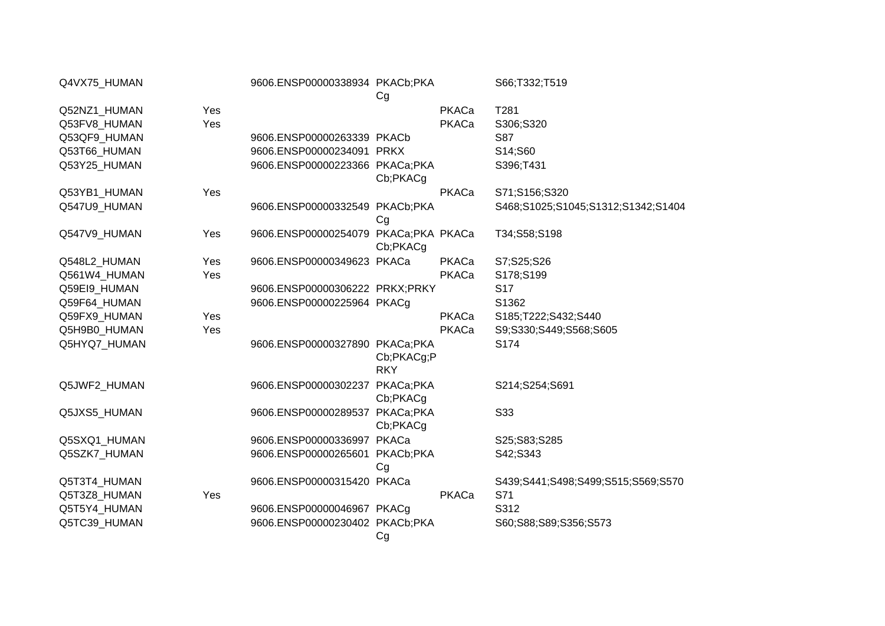| Q4VX75_HUMAN |     | 9606.ENSP00000338934 PKACb;PKA       | Cg                       |       | S66;T332;T519                      |
|--------------|-----|--------------------------------------|--------------------------|-------|------------------------------------|
| Q52NZ1_HUMAN | Yes |                                      |                          | PKACa | T281                               |
| Q53FV8_HUMAN | Yes |                                      |                          | PKACa | S306;S320                          |
| Q53QF9_HUMAN |     | 9606.ENSP00000263339 PKACb           |                          |       | S87                                |
| Q53T66_HUMAN |     | 9606.ENSP00000234091 PRKX            |                          |       | S14;S60                            |
| Q53Y25 HUMAN |     | 9606.ENSP00000223366 PKACa;PKA       | Cb;PKACg                 |       | S396;T431                          |
| Q53YB1_HUMAN | Yes |                                      |                          | PKACa | S71;S156;S320                      |
| Q547U9 HUMAN |     | 9606.ENSP00000332549 PKACb;PKA       | Cg                       |       | S468;S1025;S1045;S1312;S1342;S1404 |
| Q547V9_HUMAN | Yes | 9606.ENSP00000254079 PKACa;PKA PKACa | Cb;PKACg                 |       | T34;S58;S198                       |
| Q548L2_HUMAN | Yes | 9606.ENSP00000349623 PKACa           |                          | PKACa | S7;S25;S26                         |
| Q561W4_HUMAN | Yes |                                      |                          | PKACa | S178;S199                          |
| Q59EI9_HUMAN |     | 9606.ENSP00000306222 PRKX;PRKY       |                          |       | S <sub>17</sub>                    |
| Q59F64_HUMAN |     | 9606.ENSP00000225964 PKACg           |                          |       | S1362                              |
| Q59FX9_HUMAN | Yes |                                      |                          | PKACa | S185;T222;S432;S440                |
| Q5H9B0_HUMAN | Yes |                                      |                          | PKACa | S9;S330;S449;S568;S605             |
| Q5HYQ7_HUMAN |     | 9606.ENSP00000327890 PKACa;PKA       | Cb;PKACg;P<br><b>RKY</b> |       | S174                               |
| Q5JWF2 HUMAN |     | 9606.ENSP00000302237                 | PKACa;PKA<br>Cb;PKACg    |       | S214;S254;S691                     |
| Q5JXS5_HUMAN |     | 9606.ENSP00000289537 PKACa;PKA       | Cb;PKACg                 |       | S33                                |
| Q5SXQ1_HUMAN |     | 9606.ENSP00000336997 PKACa           |                          |       | S25;S83;S285                       |
| Q5SZK7_HUMAN |     | 9606.ENSP00000265601 PKACb;PKA       | Cg                       |       | S42;S343                           |
| Q5T3T4_HUMAN |     | 9606.ENSP00000315420 PKACa           |                          |       | S439;S441;S498;S499;S515;S569;S570 |
| Q5T3Z8_HUMAN | Yes |                                      |                          | PKACa | S71                                |
| Q5T5Y4_HUMAN |     | 9606.ENSP00000046967 PKACq           |                          |       | S312                               |
| Q5TC39_HUMAN |     | 9606.ENSP00000230402 PKACb;PKA       | Cg                       |       | S60;S88;S89;S356;S573              |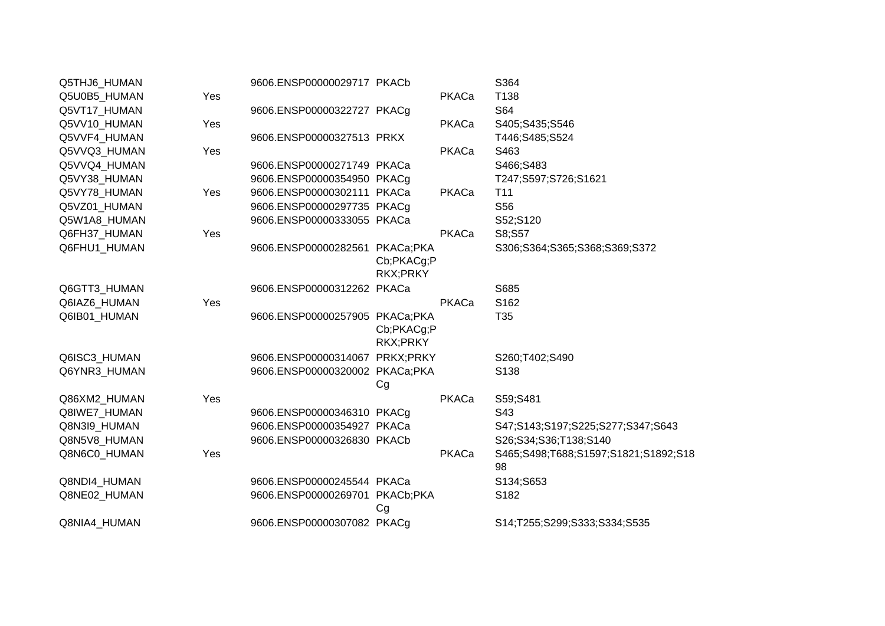| Q5THJ6_HUMAN |     | 9606.ENSP00000029717 PKACb     |                        |       | S364                                       |
|--------------|-----|--------------------------------|------------------------|-------|--------------------------------------------|
| Q5U0B5_HUMAN | Yes |                                |                        | PKACa | T138                                       |
| Q5VT17_HUMAN |     | 9606.ENSP00000322727 PKACg     |                        |       | S64                                        |
| Q5VV10_HUMAN | Yes |                                |                        | PKACa | S405;S435;S546                             |
| Q5VVF4_HUMAN |     | 9606.ENSP00000327513 PRKX      |                        |       | T446;S485;S524                             |
| Q5VVQ3_HUMAN | Yes |                                |                        | PKACa | S463                                       |
| Q5VVQ4_HUMAN |     | 9606.ENSP00000271749 PKACa     |                        |       | S466;S483                                  |
| Q5VY38_HUMAN |     | 9606.ENSP00000354950 PKACg     |                        |       | T247;S597;S726;S1621                       |
| Q5VY78_HUMAN | Yes | 9606.ENSP00000302111 PKACa     |                        | PKACa | T <sub>11</sub>                            |
| Q5VZ01_HUMAN |     | 9606.ENSP00000297735 PKACg     |                        |       | S56                                        |
| Q5W1A8_HUMAN |     | 9606.ENSP00000333055 PKACa     |                        |       | S52;S120                                   |
| Q6FH37_HUMAN | Yes |                                |                        | PKACa | S8;S57                                     |
| Q6FHU1_HUMAN |     | 9606.ENSP00000282561 PKACa;PKA | Cb;PKACg;P<br>RKX;PRKY |       | S306;S364;S365;S368;S369;S372              |
| Q6GTT3_HUMAN |     | 9606.ENSP00000312262 PKACa     |                        |       | S685                                       |
| Q6IAZ6_HUMAN | Yes |                                |                        | PKACa | S162                                       |
| Q6IB01 HUMAN |     | 9606.ENSP00000257905 PKACa;PKA | Cb;PKACg;P             |       | T35                                        |
|              |     |                                | RKX;PRKY               |       |                                            |
| Q6ISC3_HUMAN |     | 9606.ENSP00000314067 PRKX;PRKY |                        |       | S260;T402;S490                             |
| Q6YNR3 HUMAN |     | 9606.ENSP00000320002 PKACa;PKA | Cg                     |       | S138                                       |
| Q86XM2_HUMAN | Yes |                                |                        | PKACa | S59;S481                                   |
| Q8IWE7_HUMAN |     | 9606.ENSP00000346310 PKACq     |                        |       | S43                                        |
| Q8N3I9_HUMAN |     | 9606.ENSP00000354927 PKACa     |                        |       | S47;S143;S197;S225;S277;S347;S643          |
| Q8N5V8_HUMAN |     | 9606.ENSP00000326830 PKACb     |                        |       | S26;S34;S36;T138;S140                      |
| Q8N6C0_HUMAN | Yes |                                |                        | PKACa | S465;S498;T688;S1597;S1821;S1892;S18<br>98 |
| Q8NDI4_HUMAN |     | 9606.ENSP00000245544 PKACa     |                        |       | S134;S653                                  |
| Q8NE02_HUMAN |     | 9606.ENSP00000269701 PKACb;PKA | Cg                     |       | S182                                       |
| Q8NIA4_HUMAN |     | 9606.ENSP00000307082 PKACg     |                        |       | S14;T255;S299;S333;S334;S535               |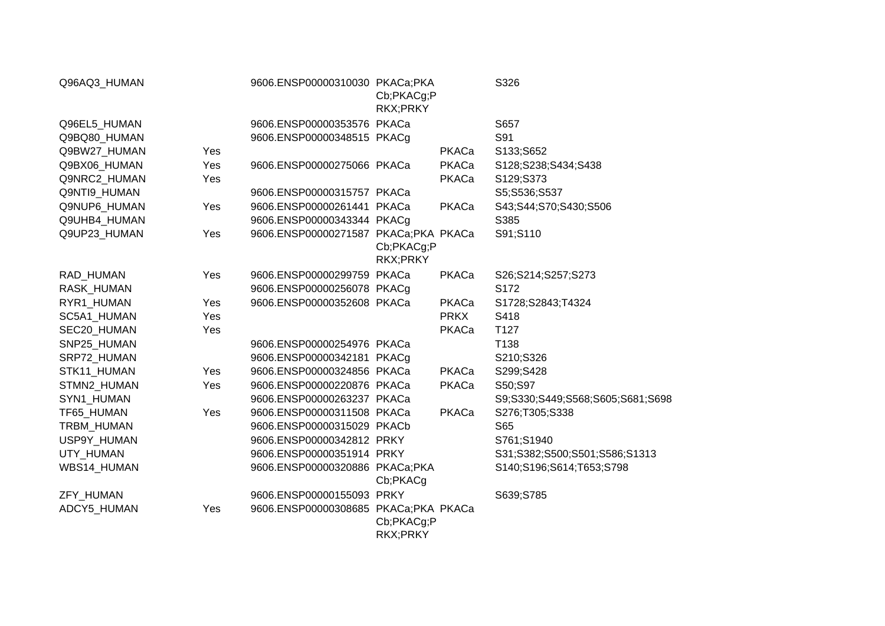| Q96AQ3_HUMAN      |            | 9606.ENSP00000310030 PKACa;PKA       | Cb;PKACg;P<br>RKX;PRKY |             | S326                             |
|-------------------|------------|--------------------------------------|------------------------|-------------|----------------------------------|
| Q96EL5_HUMAN      |            | 9606.ENSP00000353576 PKACa           |                        |             | S657                             |
| Q9BQ80_HUMAN      |            | 9606.ENSP00000348515 PKACg           |                        |             | S91                              |
| Q9BW27_HUMAN      | Yes        |                                      |                        | PKACa       | S133;S652                        |
| Q9BX06_HUMAN      | Yes        | 9606.ENSP00000275066 PKACa           |                        | PKACa       | S128;S238;S434;S438              |
| Q9NRC2_HUMAN      | Yes        |                                      |                        | PKACa       | S129;S373                        |
| Q9NTI9_HUMAN      |            | 9606.ENSP00000315757 PKACa           |                        |             | S5;S536;S537                     |
| Q9NUP6_HUMAN      | Yes        | 9606.ENSP00000261441 PKACa           |                        | PKACa       | S43;S44;S70;S430;S506            |
| Q9UHB4_HUMAN      |            | 9606.ENSP00000343344 PKACg           |                        |             | S385                             |
| Q9UP23_HUMAN      | Yes        | 9606.ENSP00000271587 PKACa;PKA PKACa | Cb;PKACg;P<br>RKX;PRKY |             | S91;S110                         |
| RAD_HUMAN         | Yes        | 9606.ENSP00000299759 PKACa           |                        | PKACa       | S26;S214;S257;S273               |
| RASK_HUMAN        |            | 9606.ENSP00000256078 PKACg           |                        |             | S172                             |
| RYR1 HUMAN        | <b>Yes</b> | 9606.ENSP00000352608 PKACa           |                        | PKACa       | S1728;S2843;T4324                |
| SC5A1 HUMAN       | <b>Yes</b> |                                      |                        | <b>PRKX</b> | S418                             |
| SEC20_HUMAN       | Yes        |                                      |                        | PKACa       | T127                             |
| SNP25_HUMAN       |            | 9606.ENSP00000254976 PKACa           |                        |             | T138                             |
| SRP72_HUMAN       |            | 9606.ENSP00000342181 PKACg           |                        |             | S210;S326                        |
| STK11_HUMAN       | Yes        | 9606.ENSP00000324856 PKACa           |                        | PKACa       | S299;S428                        |
| STMN2_HUMAN       | Yes        | 9606.ENSP00000220876 PKACa           |                        | PKACa       | S50;S97                          |
| SYN1_HUMAN        |            | 9606.ENSP00000263237 PKACa           |                        |             | S9;S330;S449;S568;S605;S681;S698 |
| TF65_HUMAN        | Yes        | 9606.ENSP00000311508 PKACa           |                        | PKACa       | S276;T305;S338                   |
| <b>TRBM HUMAN</b> |            | 9606.ENSP00000315029 PKACb           |                        |             | S65                              |
| USP9Y_HUMAN       |            | 9606.ENSP00000342812 PRKY            |                        |             | S761;S1940                       |
| UTY_HUMAN         |            | 9606.ENSP00000351914 PRKY            |                        |             | S31;S382;S500;S501;S586;S1313    |
| WBS14_HUMAN       |            | 9606.ENSP00000320886 PKACa;PKA       | Cb;PKACg               |             | S140;S196;S614;T653;S798         |
| ZFY_HUMAN         |            | 9606.ENSP00000155093 PRKY            |                        |             | S639;S785                        |
| ADCY5_HUMAN       | Yes        | 9606.ENSP00000308685 PKACa;PKA PKACa | Cb;PKACg;P<br>RKX;PRKY |             |                                  |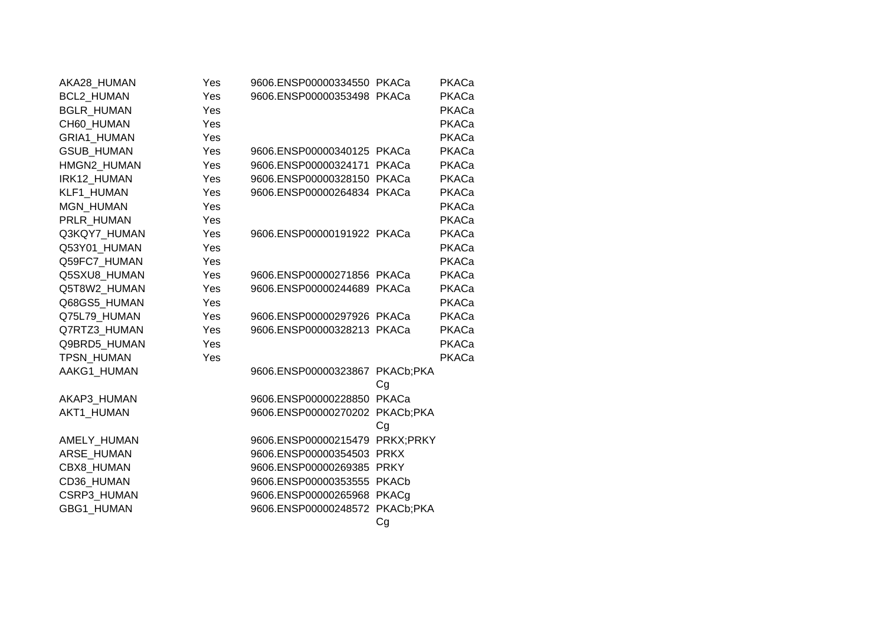| AKA28_HUMAN       | Yes | 9606.ENSP00000334550 PKACa     |    | PKACa |
|-------------------|-----|--------------------------------|----|-------|
| BCL2_HUMAN        | Yes | 9606.ENSP00000353498 PKACa     |    | PKACa |
| <b>BGLR HUMAN</b> | Yes |                                |    | PKACa |
| CH60 HUMAN        | Yes |                                |    | PKACa |
| GRIA1_HUMAN       | Yes |                                |    | PKACa |
| <b>GSUB HUMAN</b> | Yes | 9606.ENSP00000340125 PKACa     |    | PKACa |
| HMGN2_HUMAN       | Yes | 9606.ENSP00000324171 PKACa     |    | PKACa |
| IRK12 HUMAN       | Yes | 9606.ENSP00000328150 PKACa     |    | PKACa |
| KLF1_HUMAN        | Yes | 9606.ENSP00000264834 PKACa     |    | PKACa |
| MGN_HUMAN         | Yes |                                |    | PKACa |
| PRLR HUMAN        | Yes |                                |    | PKACa |
| Q3KQY7 HUMAN      | Yes | 9606.ENSP00000191922 PKACa     |    | PKACa |
| Q53Y01_HUMAN      | Yes |                                |    | PKACa |
| Q59FC7 HUMAN      | Yes |                                |    | PKACa |
| Q5SXU8 HUMAN      | Yes | 9606.ENSP00000271856 PKACa     |    | PKACa |
| Q5T8W2_HUMAN      | Yes | 9606.ENSP00000244689 PKACa     |    | PKACa |
| Q68GS5 HUMAN      | Yes |                                |    | PKACa |
| Q75L79 HUMAN      | Yes | 9606.ENSP00000297926 PKACa     |    | PKACa |
| Q7RTZ3_HUMAN      | Yes | 9606.ENSP00000328213 PKACa     |    | PKACa |
| Q9BRD5 HUMAN      | Yes |                                |    | PKACa |
| TPSN HUMAN        | Yes |                                |    | PKACa |
| AAKG1_HUMAN       |     | 9606.ENSP00000323867 PKACb;PKA | Cg |       |
| AKAP3_HUMAN       |     | 9606.ENSP00000228850 PKACa     |    |       |
| AKT1 HUMAN        |     | 9606.ENSP00000270202 PKACb;PKA |    |       |
|                   |     |                                | Cg |       |
| AMELY_HUMAN       |     | 9606.ENSP00000215479 PRKX;PRKY |    |       |
| ARSE HUMAN        |     | 9606.ENSP00000354503 PRKX      |    |       |
| CBX8 HUMAN        |     | 9606.ENSP00000269385 PRKY      |    |       |
| CD36_HUMAN        |     | 9606.ENSP00000353555 PKACb     |    |       |
| CSRP3_HUMAN       |     | 9606.ENSP00000265968 PKACg     |    |       |
| <b>GBG1 HUMAN</b> |     | 9606.ENSP00000248572 PKACb;PKA |    |       |
|                   |     |                                | Cg |       |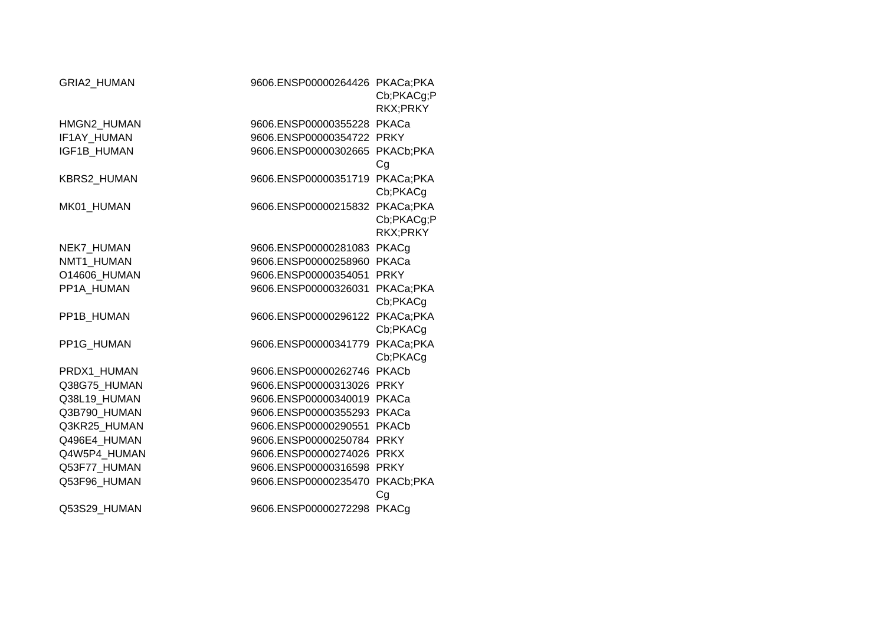| GRIA2_HUMAN        | 9606.ENSP00000264426 PKACa;PKA | Cb;PKACg;P<br>RKX;PRKY |
|--------------------|--------------------------------|------------------------|
| HMGN2_HUMAN        | 9606.ENSP00000355228 PKACa     |                        |
| IF1AY HUMAN        | 9606.ENSP00000354722 PRKY      |                        |
| <b>IGF1B HUMAN</b> | 9606.ENSP00000302665           | PKACb;PKA<br>Cg        |
| <b>KBRS2 HUMAN</b> | 9606.ENSP00000351719           | PKACa;PKA<br>Cb;PKACg  |
| MK01 HUMAN         | 9606.ENSP00000215832 PKACa;PKA | Cb;PKACg;P<br>RKX:PRKY |
| NEK7_HUMAN         | 9606.ENSP00000281083 PKACg     |                        |
| NMT1 HUMAN         | 9606.ENSP00000258960           | PKACa                  |
| O14606_HUMAN       | 9606.ENSP00000354051           | <b>PRKY</b>            |
| PP1A HUMAN         | 9606.ENSP00000326031           | PKACa;PKA<br>Cb;PKACg  |
| PP1B_HUMAN         | 9606.ENSP00000296122 PKACa;PKA | Cb;PKACg               |
| PP1G HUMAN         | 9606.ENSP00000341779           | PKACa;PKA<br>Cb;PKACg  |
| PRDX1 HUMAN        | 9606.ENSP00000262746           | <b>PKACb</b>           |
| Q38G75_HUMAN       | 9606.ENSP00000313026           | <b>PRKY</b>            |
| Q38L19_HUMAN       | 9606.ENSP00000340019           | PKACa                  |
| Q3B790_HUMAN       | 9606.ENSP00000355293           | PKACa                  |
| Q3KR25 HUMAN       | 9606.ENSP00000290551           | <b>PKACb</b>           |
| Q496E4 HUMAN       | 9606.ENSP00000250784           | <b>PRKY</b>            |
| Q4W5P4_HUMAN       | 9606.ENSP00000274026           | <b>PRKX</b>            |
| Q53F77_HUMAN       | 9606.ENSP00000316598           | <b>PRKY</b>            |
| Q53F96 HUMAN       | 9606.ENSP00000235470           | PKACb;PKA<br>Cg        |
| Q53S29 HUMAN       | 9606.ENSP00000272298           | PKACg                  |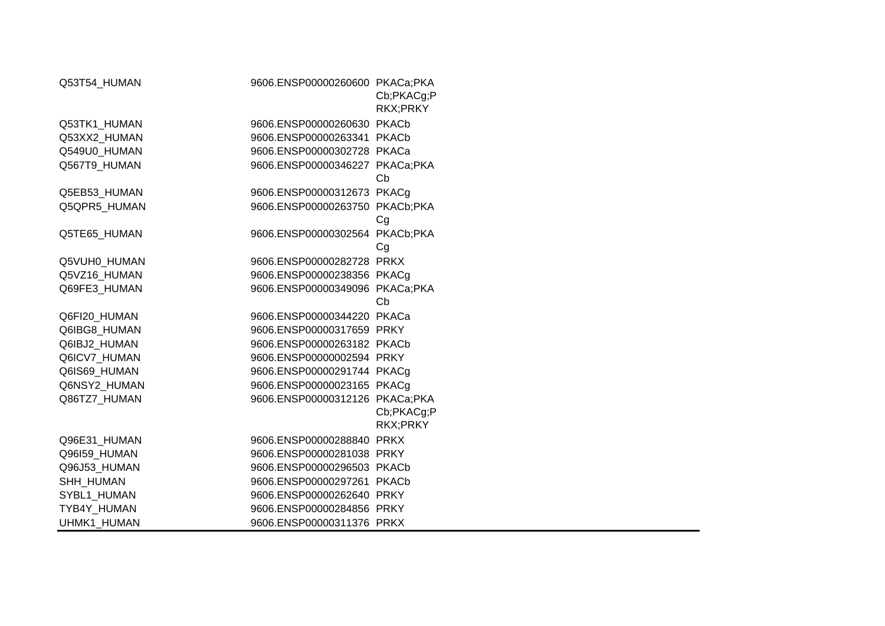| Q53T54_HUMAN | 9606.ENSP00000260600 PKACa;PKA | Cb;PKACg;P<br>RKX;PRKY |
|--------------|--------------------------------|------------------------|
| Q53TK1_HUMAN | 9606.ENSP00000260630 PKACb     |                        |
| Q53XX2 HUMAN | 9606.ENSP00000263341 PKACb     |                        |
| Q549U0_HUMAN | 9606.ENSP00000302728 PKACa     |                        |
| Q567T9 HUMAN | 9606.ENSP00000346227 PKACa;PKA |                        |
|              |                                | Cb                     |
| Q5EB53_HUMAN | 9606.ENSP00000312673 PKACg     |                        |
| Q5QPR5_HUMAN | 9606.ENSP00000263750 PKACb;PKA |                        |
|              |                                | Cg                     |
| Q5TE65_HUMAN | 9606.ENSP00000302564 PKACb;PKA |                        |
|              |                                | Cg                     |
| Q5VUH0_HUMAN | 9606.ENSP00000282728 PRKX      |                        |
| Q5VZ16 HUMAN | 9606.ENSP00000238356 PKACq     |                        |
| Q69FE3_HUMAN | 9606.ENSP00000349096 PKACa;PKA |                        |
|              |                                | Cb                     |
| Q6FI20_HUMAN | 9606.ENSP00000344220 PKACa     |                        |
| Q6IBG8 HUMAN | 9606.ENSP00000317659 PRKY      |                        |
| Q6IBJ2 HUMAN | 9606.ENSP00000263182 PKACb     |                        |
| Q6ICV7 HUMAN | 9606.ENSP00000002594 PRKY      |                        |
| Q6IS69_HUMAN | 9606.ENSP00000291744 PKACq     |                        |
| Q6NSY2 HUMAN | 9606.ENSP00000023165 PKACg     |                        |
| Q86TZ7 HUMAN | 9606.ENSP00000312126 PKACa;PKA |                        |
|              |                                | Cb;PKACg;P             |
|              |                                | RKX;PRKY               |
| Q96E31_HUMAN | 9606.ENSP00000288840 PRKX      |                        |
| Q96I59_HUMAN | 9606.ENSP00000281038 PRKY      |                        |
| Q96J53_HUMAN | 9606.ENSP00000296503 PKACb     |                        |
| SHH_HUMAN    | 9606.ENSP00000297261 PKACb     |                        |
| SYBL1_HUMAN  | 9606.ENSP00000262640 PRKY      |                        |
| TYB4Y_HUMAN  | 9606.ENSP00000284856 PRKY      |                        |
| UHMK1 HUMAN  | 9606.ENSP00000311376 PRKX      |                        |